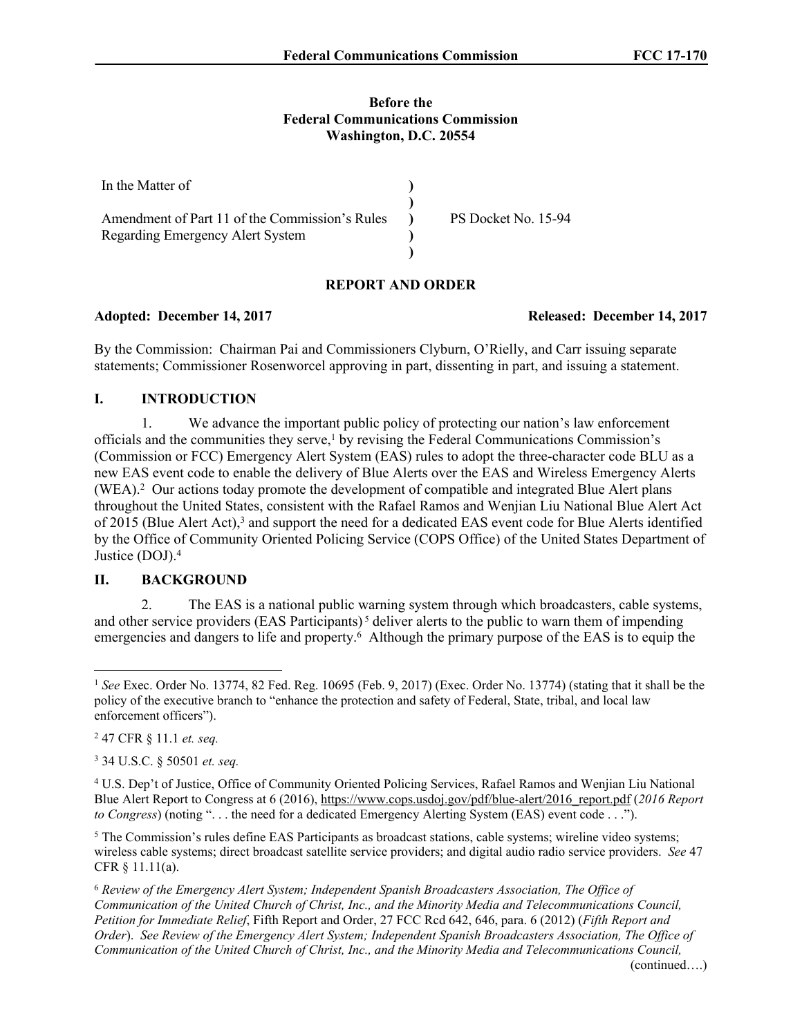#### **Before the Federal Communications Commission Washington, D.C. 20554**

| In the Matter of                               |                     |
|------------------------------------------------|---------------------|
|                                                |                     |
| Amendment of Part 11 of the Commission's Rules | PS Docket No. 15-94 |
| Regarding Emergency Alert System               |                     |
|                                                |                     |

## **REPORT AND ORDER**

#### **Adopted: December 14, 2017 Released: December 14, 2017**

By the Commission: Chairman Pai and Commissioners Clyburn, O'Rielly, and Carr issuing separate statements; Commissioner Rosenworcel approving in part, dissenting in part, and issuing a statement.

#### **I. INTRODUCTION**

1. We advance the important public policy of protecting our nation's law enforcement officials and the communities they serve,<sup>1</sup> by revising the Federal Communications Commission's (Commission or FCC) Emergency Alert System (EAS) rules to adopt the three-character code BLU as a new EAS event code to enable the delivery of Blue Alerts over the EAS and Wireless Emergency Alerts (WEA).<sup>2</sup> Our actions today promote the development of compatible and integrated Blue Alert plans throughout the United States, consistent with the Rafael Ramos and Wenjian Liu National Blue Alert Act of 2015 (Blue Alert Act),<sup>3</sup> and support the need for a dedicated EAS event code for Blue Alerts identified by the Office of Community Oriented Policing Service (COPS Office) of the United States Department of Justice (DOJ).<sup>4</sup>

#### **II. BACKGROUND**

2. The EAS is a national public warning system through which broadcasters, cable systems, and other service providers (EAS Participants)<sup>5</sup> deliver alerts to the public to warn them of impending emergencies and dangers to life and property.<sup>6</sup> Although the primary purpose of the EAS is to equip the

<sup>1</sup> *See* Exec. Order No. 13774, 82 Fed. Reg. 10695 (Feb. 9, 2017) (Exec. Order No. 13774) (stating that it shall be the policy of the executive branch to "enhance the protection and safety of Federal, State, tribal, and local law enforcement officers").

<sup>2</sup> 47 CFR § 11.1 *et. seq.*

<sup>3</sup> 34 U.S.C. § 50501 *et. seq.*

<sup>4</sup> U.S. Dep't of Justice, Office of Community Oriented Policing Services, Rafael Ramos and Wenjian Liu National Blue Alert Report to Congress at 6 (2016), [https://www.cops.usdoj.gov/pdf/blue-alert/2016\\_report.pdf](https://www.cops.usdoj.gov/pdf/blue-alert/2016_report.pdf) (*2016 Report to Congress*) (noting ". . . the need for a dedicated Emergency Alerting System (EAS) event code . . .").

<sup>&</sup>lt;sup>5</sup> The Commission's rules define EAS Participants as broadcast stations, cable systems; wireline video systems; wireless cable systems; direct broadcast satellite service providers; and digital audio radio service providers. *See* 47 CFR § 11.11(a).

<sup>6</sup> *Review of the Emergency Alert System; Independent Spanish Broadcasters Association, The Office of Communication of the United Church of Christ, Inc., and the Minority Media and Telecommunications Council, Petition for Immediate Relief*, Fifth Report and Order, 27 FCC Rcd 642, 646, para. 6 (2012) (*Fifth Report and Order*). *See Review of the Emergency Alert System; Independent Spanish Broadcasters Association, The Office of Communication of the United Church of Christ, Inc., and the Minority Media and Telecommunications Council,*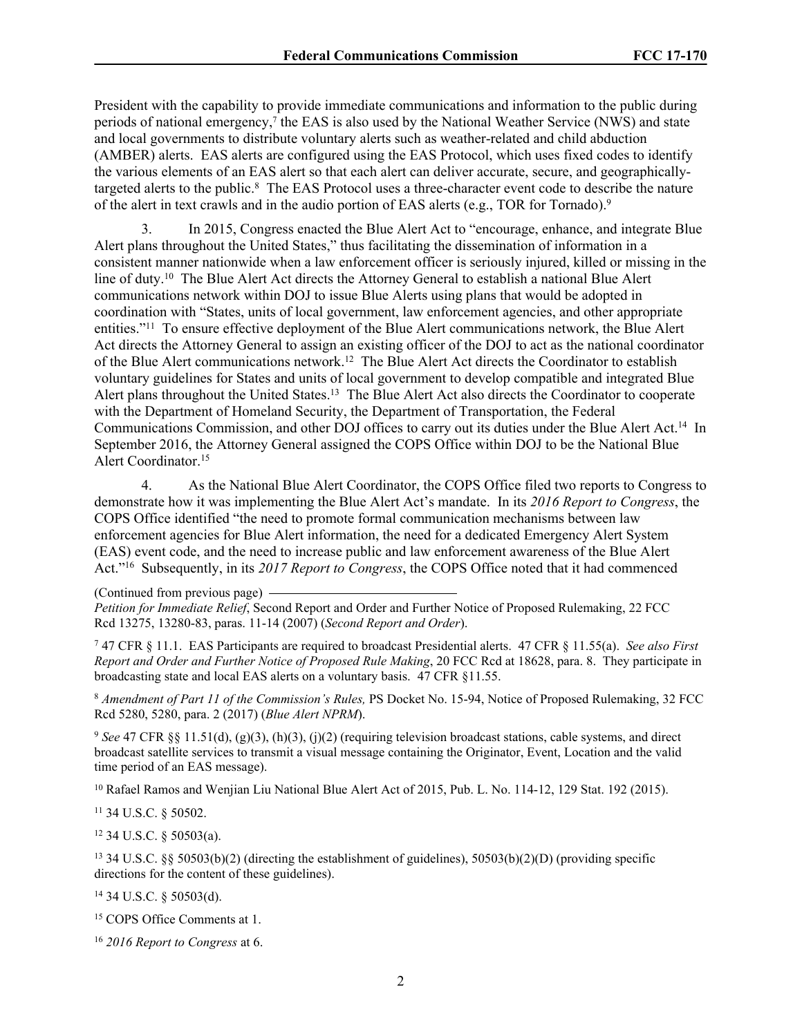President with the capability to provide immediate communications and information to the public during periods of national emergency,<sup>7</sup> the EAS is also used by the National Weather Service (NWS) and state and local governments to distribute voluntary alerts such as weather-related and child abduction (AMBER) alerts. EAS alerts are configured using the EAS Protocol, which uses fixed codes to identify the various elements of an EAS alert so that each alert can deliver accurate, secure, and geographicallytargeted alerts to the public.<sup>8</sup> The EAS Protocol uses a three-character event code to describe the nature of the alert in text crawls and in the audio portion of EAS alerts (e.g., TOR for Tornado).<sup>9</sup>

3. In 2015, Congress enacted the Blue Alert Act to "encourage, enhance, and integrate Blue Alert plans throughout the United States," thus facilitating the dissemination of information in a consistent manner nationwide when a law enforcement officer is seriously injured, killed or missing in the line of duty.<sup>10</sup> The Blue Alert Act directs the Attorney General to establish a national Blue Alert communications network within DOJ to issue Blue Alerts using plans that would be adopted in coordination with "States, units of local government, law enforcement agencies, and other appropriate entities."<sup>11</sup> To ensure effective deployment of the Blue Alert communications network, the Blue Alert Act directs the Attorney General to assign an existing officer of the DOJ to act as the national coordinator of the Blue Alert communications network.<sup>12</sup> The Blue Alert Act directs the Coordinator to establish voluntary guidelines for States and units of local government to develop compatible and integrated Blue Alert plans throughout the United States.<sup>13</sup> The Blue Alert Act also directs the Coordinator to cooperate with the Department of Homeland Security, the Department of Transportation, the Federal Communications Commission, and other DOJ offices to carry out its duties under the Blue Alert Act.<sup>14</sup> In September 2016, the Attorney General assigned the COPS Office within DOJ to be the National Blue Alert Coordinator.<sup>15</sup>

4. As the National Blue Alert Coordinator, the COPS Office filed two reports to Congress to demonstrate how it was implementing the Blue Alert Act's mandate. In its *2016 Report to Congress*, the COPS Office identified "the need to promote formal communication mechanisms between law enforcement agencies for Blue Alert information, the need for a dedicated Emergency Alert System (EAS) event code, and the need to increase public and law enforcement awareness of the Blue Alert Act."<sup>16</sup> Subsequently, in its *2017 Report to Congress*, the COPS Office noted that it had commenced

(Continued from previous page)

*Petition for Immediate Relief*, Second Report and Order and Further Notice of Proposed Rulemaking, 22 FCC Rcd 13275, 13280-83, paras. 11-14 (2007) (*Second Report and Order*).

7 47 CFR § 11.1. EAS Participants are required to broadcast Presidential alerts. 47 CFR § 11.55(a). *See also First Report and Order and Further Notice of Proposed Rule Making*, 20 FCC Rcd at 18628, para. 8. They participate in broadcasting state and local EAS alerts on a voluntary basis. 47 CFR §11.55.

<sup>8</sup> *Amendment of Part 11 of the Commission's Rules,* PS Docket No. 15-94, Notice of Proposed Rulemaking, 32 FCC Rcd 5280, 5280, para. 2 (2017) (*Blue Alert NPRM*).

<sup>9</sup> *See* 47 CFR §§ 11.51(d), (g)(3), (h)(3), (j)(2) (requiring television broadcast stations, cable systems, and direct broadcast satellite services to transmit a visual message containing the Originator, Event, Location and the valid time period of an EAS message).

<sup>10</sup> Rafael Ramos and Wenjian Liu National Blue Alert Act of 2015, Pub. L. No. 114-12, 129 Stat. 192 (2015).

<sup>11</sup> 34 U.S.C. § 50502.

<sup>12</sup> 34 U.S.C. § 50503(a).

<sup>13</sup> 34 U.S.C. §§ 50503(b)(2) (directing the establishment of guidelines), 50503(b)(2)(D) (providing specific directions for the content of these guidelines).

<sup>14</sup> 34 U.S.C. § 50503(d).

<sup>15</sup> COPS Office Comments at 1.

<sup>16</sup> *2016 Report to Congress* at 6.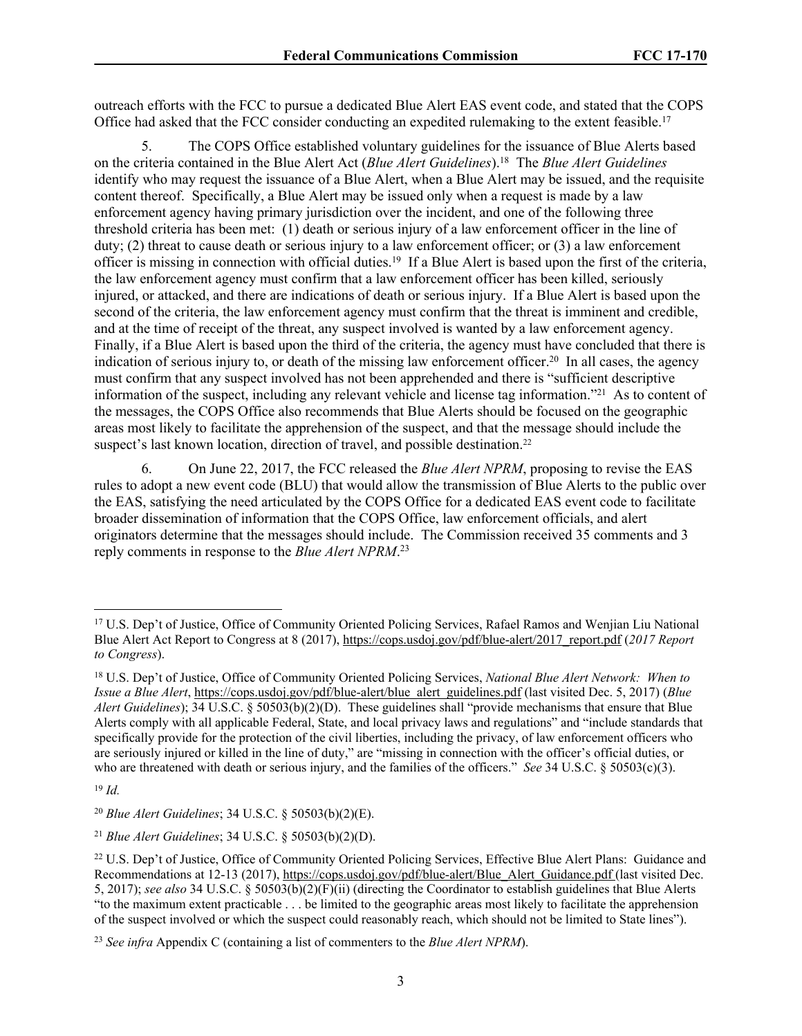outreach efforts with the FCC to pursue a dedicated Blue Alert EAS event code, and stated that the COPS Office had asked that the FCC consider conducting an expedited rulemaking to the extent feasible.<sup>17</sup>

5. The COPS Office established voluntary guidelines for the issuance of Blue Alerts based on the criteria contained in the Blue Alert Act (*Blue Alert Guidelines*).<sup>18</sup> The *Blue Alert Guidelines* identify who may request the issuance of a Blue Alert, when a Blue Alert may be issued, and the requisite content thereof. Specifically, a Blue Alert may be issued only when a request is made by a law enforcement agency having primary jurisdiction over the incident, and one of the following three threshold criteria has been met: (1) death or serious injury of a law enforcement officer in the line of duty; (2) threat to cause death or serious injury to a law enforcement officer; or (3) a law enforcement officer is missing in connection with official duties.<sup>19</sup> If a Blue Alert is based upon the first of the criteria, the law enforcement agency must confirm that a law enforcement officer has been killed, seriously injured, or attacked, and there are indications of death or serious injury. If a Blue Alert is based upon the second of the criteria, the law enforcement agency must confirm that the threat is imminent and credible, and at the time of receipt of the threat, any suspect involved is wanted by a law enforcement agency. Finally, if a Blue Alert is based upon the third of the criteria, the agency must have concluded that there is indication of serious injury to, or death of the missing law enforcement officer.<sup>20</sup> In all cases, the agency must confirm that any suspect involved has not been apprehended and there is "sufficient descriptive information of the suspect, including any relevant vehicle and license tag information."<sup>21</sup> As to content of the messages, the COPS Office also recommends that Blue Alerts should be focused on the geographic areas most likely to facilitate the apprehension of the suspect, and that the message should include the suspect's last known location, direction of travel, and possible destination.<sup>22</sup>

6. On June 22, 2017, the FCC released the *Blue Alert NPRM*, proposing to revise the EAS rules to adopt a new event code (BLU) that would allow the transmission of Blue Alerts to the public over the EAS, satisfying the need articulated by the COPS Office for a dedicated EAS event code to facilitate broader dissemination of information that the COPS Office, law enforcement officials, and alert originators determine that the messages should include. The Commission received 35 comments and 3 reply comments in response to the *Blue Alert NPRM*. 23

<sup>17</sup> U.S. Dep't of Justice, Office of Community Oriented Policing Services, Rafael Ramos and Wenjian Liu National Blue Alert Act Report to Congress at 8 (2017), [https://cops.usdoj.gov/pdf/blue-alert/2017\\_report.pdf](https://cops.usdoj.gov/pdf/blue-alert/2017_report.pdf) (*2017 Report to Congress*).

<sup>18</sup> U.S. Dep't of Justice, Office of Community Oriented Policing Services, *National Blue Alert Network: When to Issue a Blue Alert*, [https://cops.usdoj.gov/pdf/blue-alert/blue\\_alert\\_guidelines.pdf](https://cops.usdoj.gov/pdf/blue-alert/blue_alert_guidelines.pdf) (last visited Dec. 5, 2017) (*Blue Alert Guidelines*); 34 U.S.C. § 50503(b)(2)(D). These guidelines shall "provide mechanisms that ensure that Blue Alerts comply with all applicable Federal, State, and local privacy laws and regulations" and "include standards that specifically provide for the protection of the civil liberties, including the privacy, of law enforcement officers who are seriously injured or killed in the line of duty," are "missing in connection with the officer's official duties, or who are threatened with death or serious injury, and the families of the officers." *See* 34 U.S.C. § 50503(c)(3).

<sup>19</sup> *Id.*

<sup>20</sup> *Blue Alert Guidelines*; 34 U.S.C. § 50503(b)(2)(E).

<sup>21</sup> *Blue Alert Guidelines*; 34 U.S.C. § 50503(b)(2)(D).

<sup>&</sup>lt;sup>22</sup> U.S. Dep't of Justice, Office of Community Oriented Policing Services, Effective Blue Alert Plans: Guidance and Recommendations at 12-13 (2017), [https://cops.usdoj.gov/pdf/blue-alert/Blue\\_Alert\\_Guidance.pdf](https://cops.usdoj.gov/pdf/blue-alert/Blue_Alert_Guidance.pdf) (last visited Dec. 5, 2017); *see also* 34 U.S.C. § 50503(b)(2)(F)(ii) (directing the Coordinator to establish guidelines that Blue Alerts "to the maximum extent practicable . . . be limited to the geographic areas most likely to facilitate the apprehension of the suspect involved or which the suspect could reasonably reach, which should not be limited to State lines").

<sup>23</sup> *See infra* Appendix C (containing a list of commenters to the *Blue Alert NPRM*).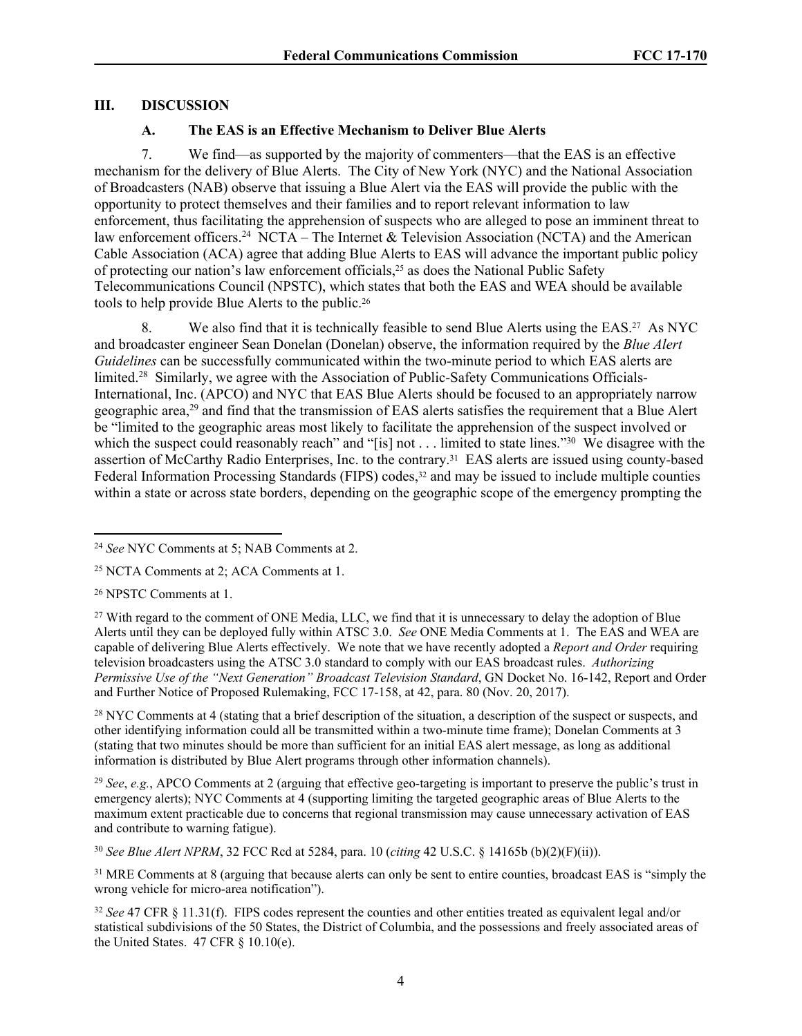### **III. DISCUSSION**

#### **A. The EAS is an Effective Mechanism to Deliver Blue Alerts**

7. We find—as supported by the majority of commenters—that the EAS is an effective mechanism for the delivery of Blue Alerts. The City of New York (NYC) and the National Association of Broadcasters (NAB) observe that issuing a Blue Alert via the EAS will provide the public with the opportunity to protect themselves and their families and to report relevant information to law enforcement, thus facilitating the apprehension of suspects who are alleged to pose an imminent threat to law enforcement officers.<sup>24</sup> NCTA – The Internet & Television Association (NCTA) and the American Cable Association (ACA) agree that adding Blue Alerts to EAS will advance the important public policy of protecting our nation's law enforcement officials,25 as does the National Public Safety Telecommunications Council (NPSTC), which states that both the EAS and WEA should be available tools to help provide Blue Alerts to the public.<sup>26</sup>

8. We also find that it is technically feasible to send Blue Alerts using the EAS.<sup>27</sup> As NYC and broadcaster engineer Sean Donelan (Donelan) observe, the information required by the *Blue Alert Guidelines* can be successfully communicated within the two-minute period to which EAS alerts are limited.28 Similarly, we agree with the Association of Public-Safety Communications Officials-International, Inc. (APCO) and NYC that EAS Blue Alerts should be focused to an appropriately narrow geographic area,<sup>29</sup> and find that the transmission of EAS alerts satisfies the requirement that a Blue Alert be "limited to the geographic areas most likely to facilitate the apprehension of the suspect involved or which the suspect could reasonably reach" and "[is] not . . . limited to state lines."<sup>30</sup> We disagree with the assertion of McCarthy Radio Enterprises, Inc. to the contrary.31 EAS alerts are issued using county-based Federal Information Processing Standards (FIPS) codes,<sup>32</sup> and may be issued to include multiple counties within a state or across state borders, depending on the geographic scope of the emergency prompting the

<sup>26</sup> NPSTC Comments at 1.

<sup>28</sup> NYC Comments at 4 (stating that a brief description of the situation, a description of the suspect or suspects, and other identifying information could all be transmitted within a two-minute time frame); Donelan Comments at 3 (stating that two minutes should be more than sufficient for an initial EAS alert message, as long as additional information is distributed by Blue Alert programs through other information channels).

<sup>29</sup> *See*, *e.g.*, APCO Comments at 2 (arguing that effective geo-targeting is important to preserve the public's trust in emergency alerts); NYC Comments at 4 (supporting limiting the targeted geographic areas of Blue Alerts to the maximum extent practicable due to concerns that regional transmission may cause unnecessary activation of EAS and contribute to warning fatigue).

<sup>30</sup> *See Blue Alert NPRM*, 32 FCC Rcd at 5284, para. 10 (*citing* 42 U.S.C. § 14165b (b)(2)(F)(ii)).

<sup>31</sup> MRE Comments at 8 (arguing that because alerts can only be sent to entire counties, broadcast EAS is "simply the wrong vehicle for micro-area notification").

<sup>24</sup> *See* NYC Comments at 5; NAB Comments at 2.

<sup>25</sup> NCTA Comments at 2; ACA Comments at 1.

<sup>&</sup>lt;sup>27</sup> With regard to the comment of ONE Media, LLC, we find that it is unnecessary to delay the adoption of Blue Alerts until they can be deployed fully within ATSC 3.0. *See* ONE Media Comments at 1. The EAS and WEA are capable of delivering Blue Alerts effectively. We note that we have recently adopted a *Report and Order* requiring television broadcasters using the ATSC 3.0 standard to comply with our EAS broadcast rules. *Authorizing Permissive Use of the "Next Generation" Broadcast Television Standard*, GN Docket No. 16-142, Report and Order and Further Notice of Proposed Rulemaking, FCC 17-158, at 42, para. 80 (Nov. 20, 2017).

<sup>32</sup> *See* 47 CFR § 11.31(f). FIPS codes represent the counties and other entities treated as equivalent legal and/or statistical subdivisions of the 50 States, the District of Columbia, and the possessions and freely associated areas of the United States.  $47$  CFR  $\S$  10.10(e).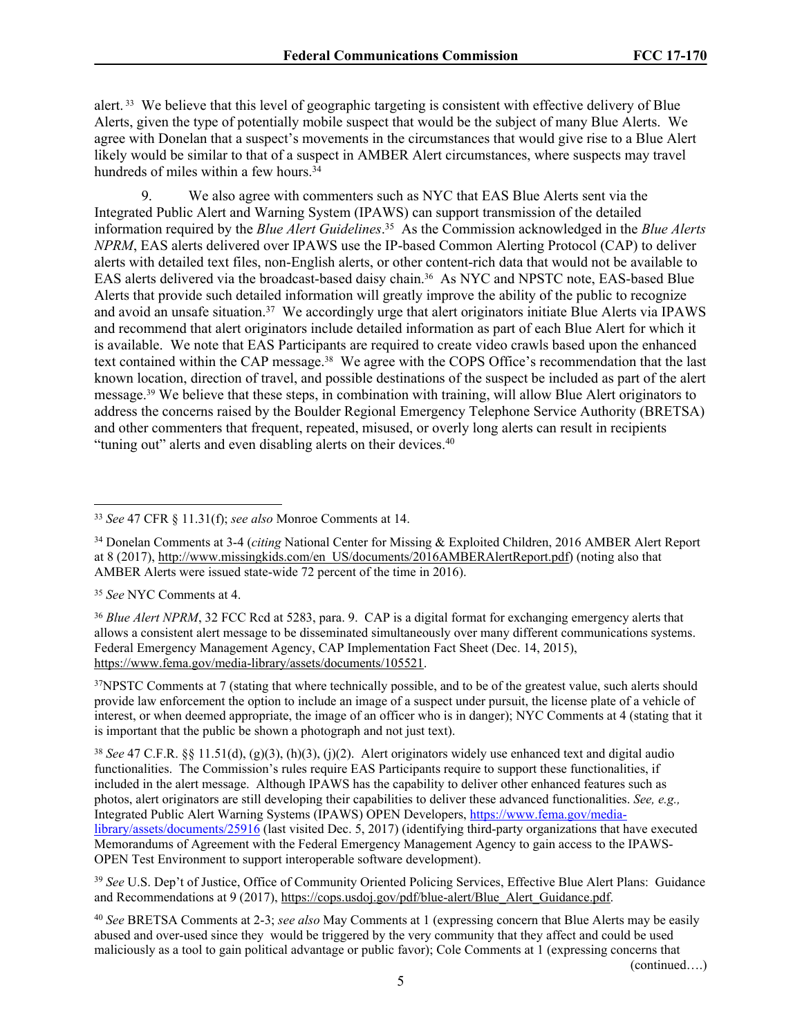alert. 33 We believe that this level of geographic targeting is consistent with effective delivery of Blue Alerts, given the type of potentially mobile suspect that would be the subject of many Blue Alerts. We agree with Donelan that a suspect's movements in the circumstances that would give rise to a Blue Alert likely would be similar to that of a suspect in AMBER Alert circumstances, where suspects may travel hundreds of miles within a few hours.<sup>34</sup>

9. We also agree with commenters such as NYC that EAS Blue Alerts sent via the Integrated Public Alert and Warning System (IPAWS) can support transmission of the detailed information required by the *Blue Alert Guidelines*. <sup>35</sup> As the Commission acknowledged in the *Blue Alerts NPRM*, EAS alerts delivered over IPAWS use the IP-based Common Alerting Protocol (CAP) to deliver alerts with detailed text files, non-English alerts, or other content-rich data that would not be available to EAS alerts delivered via the broadcast-based daisy chain.36 As NYC and NPSTC note, EAS-based Blue Alerts that provide such detailed information will greatly improve the ability of the public to recognize and avoid an unsafe situation.<sup>37</sup> We accordingly urge that alert originators initiate Blue Alerts via IPAWS and recommend that alert originators include detailed information as part of each Blue Alert for which it is available. We note that EAS Participants are required to create video crawls based upon the enhanced text contained within the CAP message.38 We agree with the COPS Office's recommendation that the last known location, direction of travel, and possible destinations of the suspect be included as part of the alert message.39 We believe that these steps, in combination with training, will allow Blue Alert originators to address the concerns raised by the Boulder Regional Emergency Telephone Service Authority (BRETSA) and other commenters that frequent, repeated, misused, or overly long alerts can result in recipients "tuning out" alerts and even disabling alerts on their devices.<sup>40</sup>

(continued….)

<sup>33</sup> *See* 47 CFR § 11.31(f); *see also* Monroe Comments at 14.

<sup>34</sup> Donelan Comments at 3-4 (*citing* National Center for Missing & Exploited Children, 2016 AMBER Alert Report at 8 (2017), [http://www.missingkids.com/en\\_US/documents/2016AMBERAlertReport.pdf](http://www.missingkids.com/en_US/documents/2016AMBERAlertReport.pdf)) (noting also that AMBER Alerts were issued state-wide 72 percent of the time in 2016).

<sup>35</sup> *See* NYC Comments at 4.

<sup>&</sup>lt;sup>36</sup> *Blue Alert NPRM*, 32 FCC Rcd at 5283, para. 9. CAP is a digital format for exchanging emergency alerts that allows a consistent alert message to be disseminated simultaneously over many different communications systems. Federal Emergency Management Agency, CAP Implementation Fact Sheet (Dec. 14, 2015), [https://www.fema.gov/media-library/assets/documents/105521.](https://www.fema.gov/media-library/assets/documents/105521)

<sup>&</sup>lt;sup>37</sup>NPSTC Comments at 7 (stating that where technically possible, and to be of the greatest value, such alerts should provide law enforcement the option to include an image of a suspect under pursuit, the license plate of a vehicle of interest, or when deemed appropriate, the image of an officer who is in danger); NYC Comments at 4 (stating that it is important that the public be shown a photograph and not just text).

<sup>38</sup> *See* 47 C.F.R. §§ 11.51(d), (g)(3), (h)(3), (j)(2). Alert originators widely use enhanced text and digital audio functionalities. The Commission's rules require EAS Participants require to support these functionalities, if included in the alert message. Although IPAWS has the capability to deliver other enhanced features such as photos, alert originators are still developing their capabilities to deliver these advanced functionalities. *See, e.g.,* Integrated Public Alert Warning Systems (IPAWS) OPEN Developers, [https://www.fema.gov/media](https://www.fema.gov/media-library/assets/documents/25916)[library/assets/documents/25916](https://www.fema.gov/media-library/assets/documents/25916) (last visited Dec. 5, 2017) (identifying third-party organizations that have executed Memorandums of Agreement with the Federal Emergency Management Agency to gain access to the IPAWS-OPEN Test Environment to support interoperable software development).

<sup>39</sup> *See* U.S. Dep't of Justice, Office of Community Oriented Policing Services, Effective Blue Alert Plans: Guidance and Recommendations at 9 (2017), [https://cops.usdoj.gov/pdf/blue-alert/Blue\\_Alert\\_Guidance.pdf](https://cops.usdoj.gov/pdf/blue-alert/Blue_Alert_Guidance.pdf).

<sup>40</sup> *See* BRETSA Comments at 2-3; *see also* May Comments at 1 (expressing concern that Blue Alerts may be easily abused and over-used since they would be triggered by the very community that they affect and could be used maliciously as a tool to gain political advantage or public favor); Cole Comments at 1 (expressing concerns that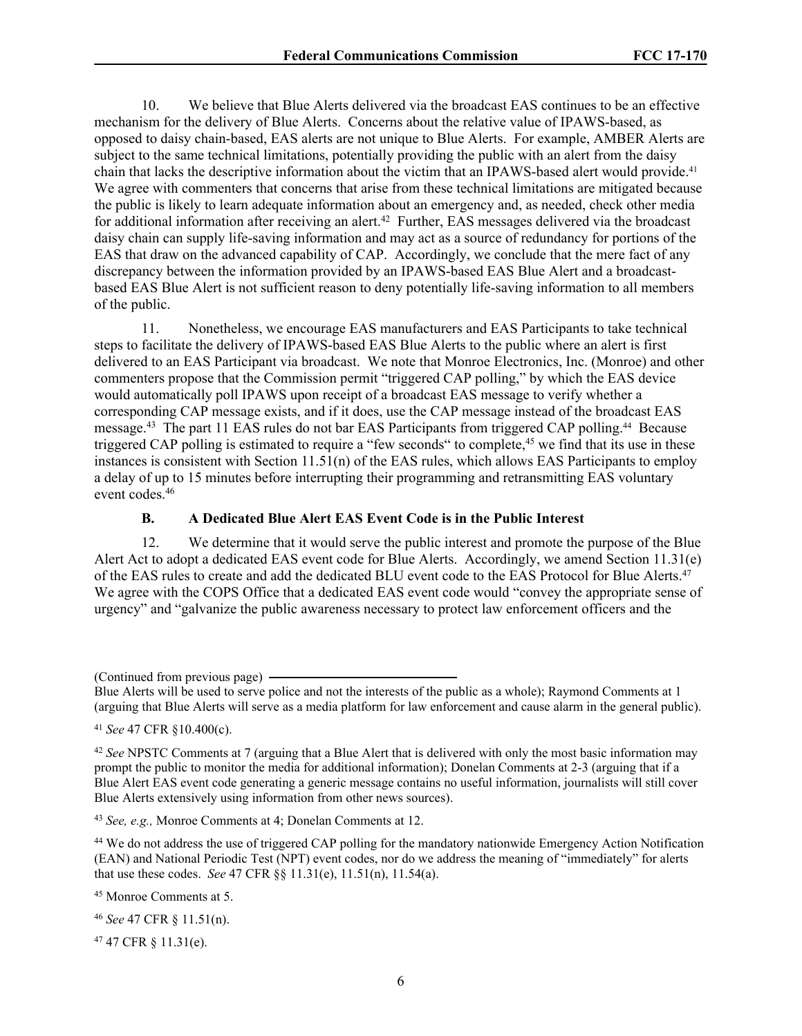10. We believe that Blue Alerts delivered via the broadcast EAS continues to be an effective mechanism for the delivery of Blue Alerts. Concerns about the relative value of IPAWS-based, as opposed to daisy chain-based, EAS alerts are not unique to Blue Alerts. For example, AMBER Alerts are subject to the same technical limitations, potentially providing the public with an alert from the daisy chain that lacks the descriptive information about the victim that an IPAWS-based alert would provide.<sup>41</sup> We agree with commenters that concerns that arise from these technical limitations are mitigated because the public is likely to learn adequate information about an emergency and, as needed, check other media for additional information after receiving an alert.<sup>42</sup> Further, EAS messages delivered via the broadcast daisy chain can supply life-saving information and may act as a source of redundancy for portions of the EAS that draw on the advanced capability of CAP. Accordingly, we conclude that the mere fact of any discrepancy between the information provided by an IPAWS-based EAS Blue Alert and a broadcastbased EAS Blue Alert is not sufficient reason to deny potentially life-saving information to all members of the public.

11. Nonetheless, we encourage EAS manufacturers and EAS Participants to take technical steps to facilitate the delivery of IPAWS-based EAS Blue Alerts to the public where an alert is first delivered to an EAS Participant via broadcast. We note that Monroe Electronics, Inc. (Monroe) and other commenters propose that the Commission permit "triggered CAP polling," by which the EAS device would automatically poll IPAWS upon receipt of a broadcast EAS message to verify whether a corresponding CAP message exists, and if it does, use the CAP message instead of the broadcast EAS message.<sup>43</sup> The part 11 EAS rules do not bar EAS Participants from triggered CAP polling.44 Because triggered CAP polling is estimated to require a "few seconds" to complete,<sup>45</sup> we find that its use in these instances is consistent with Section 11.51(n) of the EAS rules, which allows EAS Participants to employ a delay of up to 15 minutes before interrupting their programming and retransmitting EAS voluntary event codes.<sup>46</sup>

#### **B. A Dedicated Blue Alert EAS Event Code is in the Public Interest**

12. We determine that it would serve the public interest and promote the purpose of the Blue Alert Act to adopt a dedicated EAS event code for Blue Alerts. Accordingly, we amend Section 11.31(e) of the EAS rules to create and add the dedicated BLU event code to the EAS Protocol for Blue Alerts.<sup>47</sup> We agree with the COPS Office that a dedicated EAS event code would "convey the appropriate sense of urgency" and "galvanize the public awareness necessary to protect law enforcement officers and the

(Continued from previous page)

Blue Alerts will be used to serve police and not the interests of the public as a whole); Raymond Comments at 1 (arguing that Blue Alerts will serve as a media platform for law enforcement and cause alarm in the general public).

<sup>41</sup> *See* 47 CFR §10.400(c).

<sup>42</sup> *See* NPSTC Comments at 7 (arguing that a Blue Alert that is delivered with only the most basic information may prompt the public to monitor the media for additional information); Donelan Comments at 2-3 (arguing that if a Blue Alert EAS event code generating a generic message contains no useful information, journalists will still cover Blue Alerts extensively using information from other news sources).

<sup>43</sup> *See, e.g.,* Monroe Comments at 4; Donelan Comments at 12.

<sup>44</sup> We do not address the use of triggered CAP polling for the mandatory nationwide Emergency Action Notification (EAN) and National Periodic Test (NPT) event codes, nor do we address the meaning of "immediately" for alerts that use these codes. *See* 47 CFR §§ 11.31(e), 11.51(n), 11.54(a).

<sup>45</sup> Monroe Comments at 5.

<sup>46</sup> *See* 47 CFR § 11.51(n).

47 47 CFR § 11.31(e).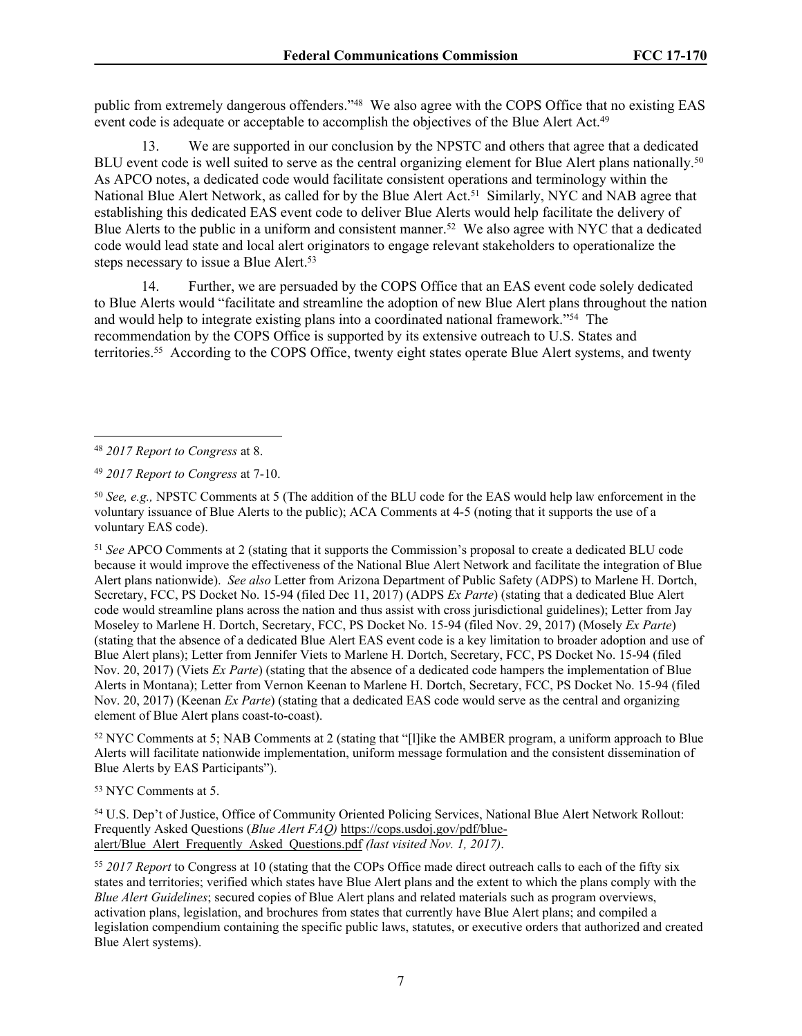public from extremely dangerous offenders."<sup>48</sup> We also agree with the COPS Office that no existing EAS event code is adequate or acceptable to accomplish the objectives of the Blue Alert Act.<sup>49</sup>

13. We are supported in our conclusion by the NPSTC and others that agree that a dedicated BLU event code is well suited to serve as the central organizing element for Blue Alert plans nationally.<sup>50</sup> As APCO notes, a dedicated code would facilitate consistent operations and terminology within the National Blue Alert Network, as called for by the Blue Alert Act.<sup>51</sup> Similarly, NYC and NAB agree that establishing this dedicated EAS event code to deliver Blue Alerts would help facilitate the delivery of Blue Alerts to the public in a uniform and consistent manner.<sup>52</sup> We also agree with NYC that a dedicated code would lead state and local alert originators to engage relevant stakeholders to operationalize the steps necessary to issue a Blue Alert.<sup>53</sup>

14. Further, we are persuaded by the COPS Office that an EAS event code solely dedicated to Blue Alerts would "facilitate and streamline the adoption of new Blue Alert plans throughout the nation and would help to integrate existing plans into a coordinated national framework."<sup>54</sup> The recommendation by the COPS Office is supported by its extensive outreach to U.S. States and territories.<sup>55</sup> According to the COPS Office, twenty eight states operate Blue Alert systems, and twenty

<sup>51</sup> *See* APCO Comments at 2 (stating that it supports the Commission's proposal to create a dedicated BLU code because it would improve the effectiveness of the National Blue Alert Network and facilitate the integration of Blue Alert plans nationwide). *See also* Letter from Arizona Department of Public Safety (ADPS) to Marlene H. Dortch, Secretary, FCC, PS Docket No. 15-94 (filed Dec 11, 2017) (ADPS *Ex Parte*) (stating that a dedicated Blue Alert code would streamline plans across the nation and thus assist with cross jurisdictional guidelines); Letter from Jay Moseley to Marlene H. Dortch, Secretary, FCC, PS Docket No. 15-94 (filed Nov. 29, 2017) (Mosely *Ex Parte*) (stating that the absence of a dedicated Blue Alert EAS event code is a key limitation to broader adoption and use of Blue Alert plans); Letter from Jennifer Viets to Marlene H. Dortch, Secretary, FCC, PS Docket No. 15-94 (filed Nov. 20, 2017) (Viets *Ex Parte*) (stating that the absence of a dedicated code hampers the implementation of Blue Alerts in Montana); Letter from Vernon Keenan to Marlene H. Dortch, Secretary, FCC, PS Docket No. 15-94 (filed Nov. 20, 2017) (Keenan *Ex Parte*) (stating that a dedicated EAS code would serve as the central and organizing element of Blue Alert plans coast-to-coast).

<sup>52</sup> NYC Comments at 5; NAB Comments at 2 (stating that "[l]ike the AMBER program, a uniform approach to Blue Alerts will facilitate nationwide implementation, uniform message formulation and the consistent dissemination of Blue Alerts by EAS Participants").

<sup>53</sup> NYC Comments at 5.

<sup>54</sup> U.S. Dep't of Justice, Office of Community Oriented Policing Services, National Blue Alert Network Rollout: Frequently Asked Questions (*Blue Alert FAQ)* [https://cops.usdoj.gov/pdf/blue](https://cops.usdoj.gov/pdf/blue-alert/Blue_Alert_Frequently_Asked_Questions.pdf)[alert/Blue\\_Alert\\_Frequently\\_Asked\\_Questions.pdf](https://cops.usdoj.gov/pdf/blue-alert/Blue_Alert_Frequently_Asked_Questions.pdf) *(last visited Nov. 1, 2017)*.

<sup>55</sup> *2017 Report* to Congress at 10 (stating that the COPs Office made direct outreach calls to each of the fifty six states and territories; verified which states have Blue Alert plans and the extent to which the plans comply with the *Blue Alert Guidelines*; secured copies of Blue Alert plans and related materials such as program overviews, activation plans, legislation, and brochures from states that currently have Blue Alert plans; and compiled a legislation compendium containing the specific public laws, statutes, or executive orders that authorized and created Blue Alert systems).

<sup>48</sup> *2017 Report to Congress* at 8.

<sup>49</sup> *2017 Report to Congress* at 7-10.

<sup>50</sup> *See, e.g.,* NPSTC Comments at 5 (The addition of the BLU code for the EAS would help law enforcement in the voluntary issuance of Blue Alerts to the public); ACA Comments at 4-5 (noting that it supports the use of a voluntary EAS code).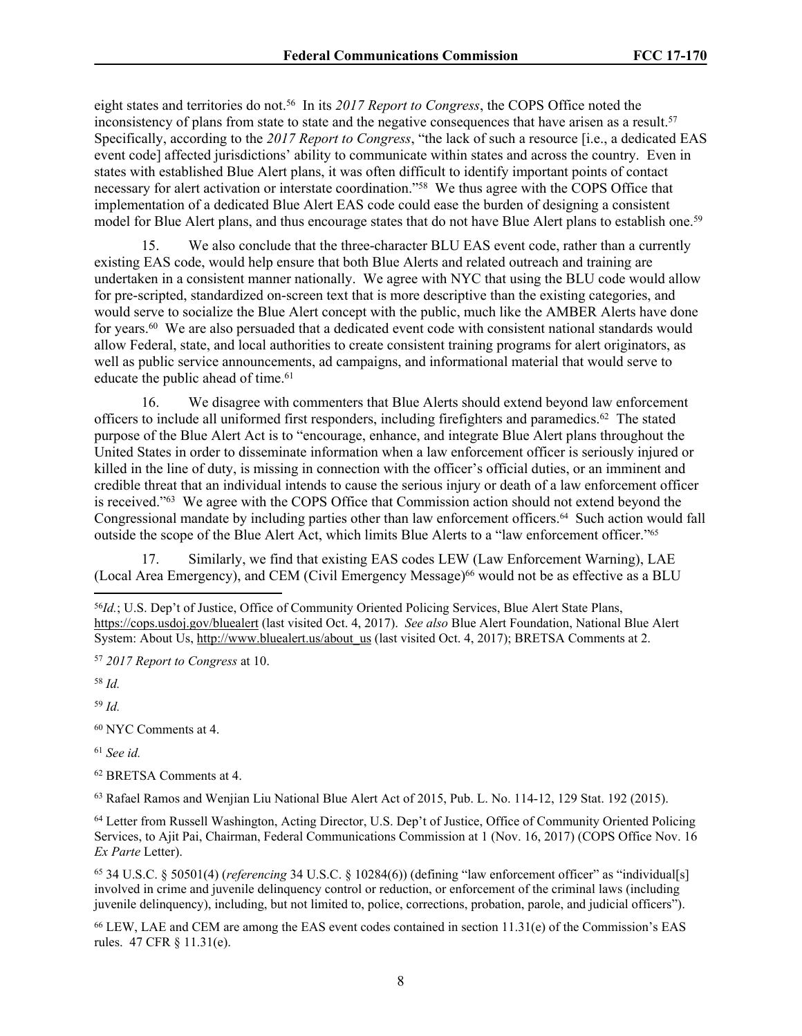eight states and territories do not.<sup>56</sup> In its *2017 Report to Congress*, the COPS Office noted the inconsistency of plans from state to state and the negative consequences that have arisen as a result.<sup>57</sup> Specifically, according to the *2017 Report to Congress*, "the lack of such a resource [i.e., a dedicated EAS event code] affected jurisdictions' ability to communicate within states and across the country. Even in states with established Blue Alert plans, it was often difficult to identify important points of contact necessary for alert activation or interstate coordination."<sup>58</sup> We thus agree with the COPS Office that implementation of a dedicated Blue Alert EAS code could ease the burden of designing a consistent model for Blue Alert plans, and thus encourage states that do not have Blue Alert plans to establish one.<sup>59</sup>

We also conclude that the three-character BLU EAS event code, rather than a currently existing EAS code, would help ensure that both Blue Alerts and related outreach and training are undertaken in a consistent manner nationally. We agree with NYC that using the BLU code would allow for pre-scripted, standardized on-screen text that is more descriptive than the existing categories, and would serve to socialize the Blue Alert concept with the public, much like the AMBER Alerts have done for years.<sup>60</sup> We are also persuaded that a dedicated event code with consistent national standards would allow Federal, state, and local authorities to create consistent training programs for alert originators, as well as public service announcements, ad campaigns, and informational material that would serve to educate the public ahead of time.<sup>61</sup>

16. We disagree with commenters that Blue Alerts should extend beyond law enforcement officers to include all uniformed first responders, including firefighters and paramedics.<sup>62</sup> The stated purpose of the Blue Alert Act is to "encourage, enhance, and integrate Blue Alert plans throughout the United States in order to disseminate information when a law enforcement officer is seriously injured or killed in the line of duty, is missing in connection with the officer's official duties, or an imminent and credible threat that an individual intends to cause the serious injury or death of a law enforcement officer is received."<sup>63</sup> We agree with the COPS Office that Commission action should not extend beyond the Congressional mandate by including parties other than law enforcement officers.64 Such action would fall outside the scope of the Blue Alert Act, which limits Blue Alerts to a "law enforcement officer."<sup>65</sup>

17. Similarly, we find that existing EAS codes LEW (Law Enforcement Warning), LAE (Local Area Emergency), and CEM (Civil Emergency Message)<sup>66</sup> would not be as effective as a BLU

<sup>58</sup> *Id.*

<sup>59</sup> *Id.*

<sup>60</sup> NYC Comments at 4.

<sup>61</sup> *See id.*

<sup>62</sup> BRETSA Comments at 4.

<sup>63</sup> Rafael Ramos and Wenjian Liu National Blue Alert Act of 2015, Pub. L. No. 114-12, 129 Stat. 192 (2015).

<sup>65</sup> 34 U.S.C. § 50501(4) (*referencing* 34 U.S.C. § 10284(6)) (defining "law enforcement officer" as "individual[s] involved in crime and juvenile delinquency control or reduction, or enforcement of the criminal laws (including juvenile delinquency), including, but not limited to, police, corrections, probation, parole, and judicial officers").

<sup>66</sup> LEW, LAE and CEM are among the EAS event codes contained in section 11.31(e) of the Commission's EAS rules. 47 CFR § 11.31(e).

<sup>56</sup>*Id.*; U.S. Dep't of Justice, Office of Community Oriented Policing Services, Blue Alert State Plans, <https://cops.usdoj.gov/bluealert>(last visited Oct. 4, 2017). *See also* Blue Alert Foundation, National Blue Alert System: About Us, [http://www.bluealert.us/about\\_us](http://www.bluealert.us/about_us) (last visited Oct. 4, 2017); BRETSA Comments at 2.

<sup>57</sup> *2017 Report to Congress* at 10.

<sup>64</sup> Letter from Russell Washington, Acting Director, U.S. Dep't of Justice, Office of Community Oriented Policing Services, to Ajit Pai, Chairman, Federal Communications Commission at 1 (Nov. 16, 2017) (COPS Office Nov. 16 *Ex Parte* Letter).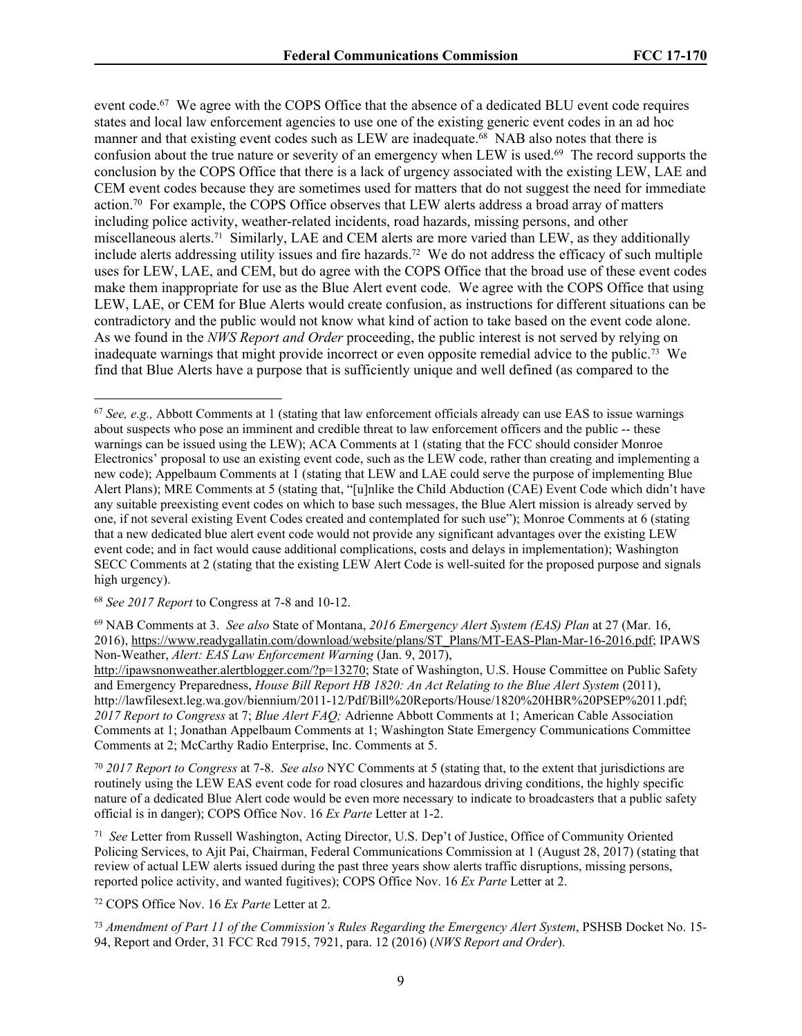event code.<sup>67</sup> We agree with the COPS Office that the absence of a dedicated BLU event code requires states and local law enforcement agencies to use one of the existing generic event codes in an ad hoc manner and that existing event codes such as LEW are inadequate.<sup>68</sup> NAB also notes that there is confusion about the true nature or severity of an emergency when LEW is used.<sup>69</sup> The record supports the conclusion by the COPS Office that there is a lack of urgency associated with the existing LEW, LAE and CEM event codes because they are sometimes used for matters that do not suggest the need for immediate action.<sup>70</sup> For example, the COPS Office observes that LEW alerts address a broad array of matters including police activity, weather-related incidents, road hazards, missing persons, and other miscellaneous alerts.71 Similarly, LAE and CEM alerts are more varied than LEW, as they additionally include alerts addressing utility issues and fire hazards.72 We do not address the efficacy of such multiple uses for LEW, LAE, and CEM, but do agree with the COPS Office that the broad use of these event codes make them inappropriate for use as the Blue Alert event code. We agree with the COPS Office that using LEW, LAE, or CEM for Blue Alerts would create confusion, as instructions for different situations can be contradictory and the public would not know what kind of action to take based on the event code alone. As we found in the *NWS Report and Order* proceeding, the public interest is not served by relying on inadequate warnings that might provide incorrect or even opposite remedial advice to the public.73 We find that Blue Alerts have a purpose that is sufficiently unique and well defined (as compared to the

<sup>68</sup> *See 2017 Report* to Congress at 7-8 and 10-12.

<sup>69</sup> NAB Comments at 3. *See also* State of Montana, *2016 Emergency Alert System (EAS) Plan* at 27 (Mar. 16, 2016), [https://www.readygallatin.com/download/website/plans/ST\\_Plans/MT-EAS-Plan-Mar-16-2016.pdf](https://www.readygallatin.com/download/website/plans/ST_Plans/MT-EAS-Plan-Mar-16-2016.pdf); IPAWS Non-Weather, *Alert: EAS Law Enforcement Warning* (Jan. 9, 2017),

<http://ipawsnonweather.alertblogger.com/?p=13270>; State of Washington, U.S. House Committee on Public Safety and Emergency Preparedness, *House Bill Report HB 1820: An Act Relating to the Blue Alert System* (2011), http://lawfilesext.leg.wa.gov/biennium/2011-12/Pdf/Bill%20Reports/House/1820%20HBR%20PSEP%2011.pdf; *2017 Report to Congress* at 7; *Blue Alert FAQ;* Adrienne Abbott Comments at 1; American Cable Association Comments at 1; Jonathan Appelbaum Comments at 1; Washington State Emergency Communications Committee Comments at 2; McCarthy Radio Enterprise, Inc. Comments at 5.

<sup>70</sup> *2017 Report to Congress* at 7-8. *See also* NYC Comments at 5 (stating that, to the extent that jurisdictions are routinely using the LEW EAS event code for road closures and hazardous driving conditions, the highly specific nature of a dedicated Blue Alert code would be even more necessary to indicate to broadcasters that a public safety official is in danger); COPS Office Nov. 16 *Ex Parte* Letter at 1-2.

71 *See* Letter from Russell Washington, Acting Director, U.S. Dep't of Justice, Office of Community Oriented Policing Services, to Ajit Pai, Chairman, Federal Communications Commission at 1 (August 28, 2017) (stating that review of actual LEW alerts issued during the past three years show alerts traffic disruptions, missing persons, reported police activity, and wanted fugitives); COPS Office Nov. 16 *Ex Parte* Letter at 2.

<sup>72</sup> COPS Office Nov. 16 *Ex Parte* Letter at 2.

<sup>73</sup> *Amendment of Part 11 of the Commission's Rules Regarding the Emergency Alert System*, PSHSB Docket No. 15- 94, Report and Order, 31 FCC Rcd 7915, 7921, para. 12 (2016) (*NWS Report and Order*).

<sup>67</sup> *See, e.g.,* Abbott Comments at 1 (stating that law enforcement officials already can use EAS to issue warnings about suspects who pose an imminent and credible threat to law enforcement officers and the public -- these warnings can be issued using the LEW); ACA Comments at 1 (stating that the FCC should consider Monroe Electronics' proposal to use an existing event code, such as the LEW code, rather than creating and implementing a new code); Appelbaum Comments at 1 (stating that LEW and LAE could serve the purpose of implementing Blue Alert Plans); MRE Comments at 5 (stating that, "[u]nlike the Child Abduction (CAE) Event Code which didn't have any suitable preexisting event codes on which to base such messages, the Blue Alert mission is already served by one, if not several existing Event Codes created and contemplated for such use"); Monroe Comments at 6 (stating that a new dedicated blue alert event code would not provide any significant advantages over the existing LEW event code; and in fact would cause additional complications, costs and delays in implementation); Washington SECC Comments at 2 (stating that the existing LEW Alert Code is well-suited for the proposed purpose and signals high urgency).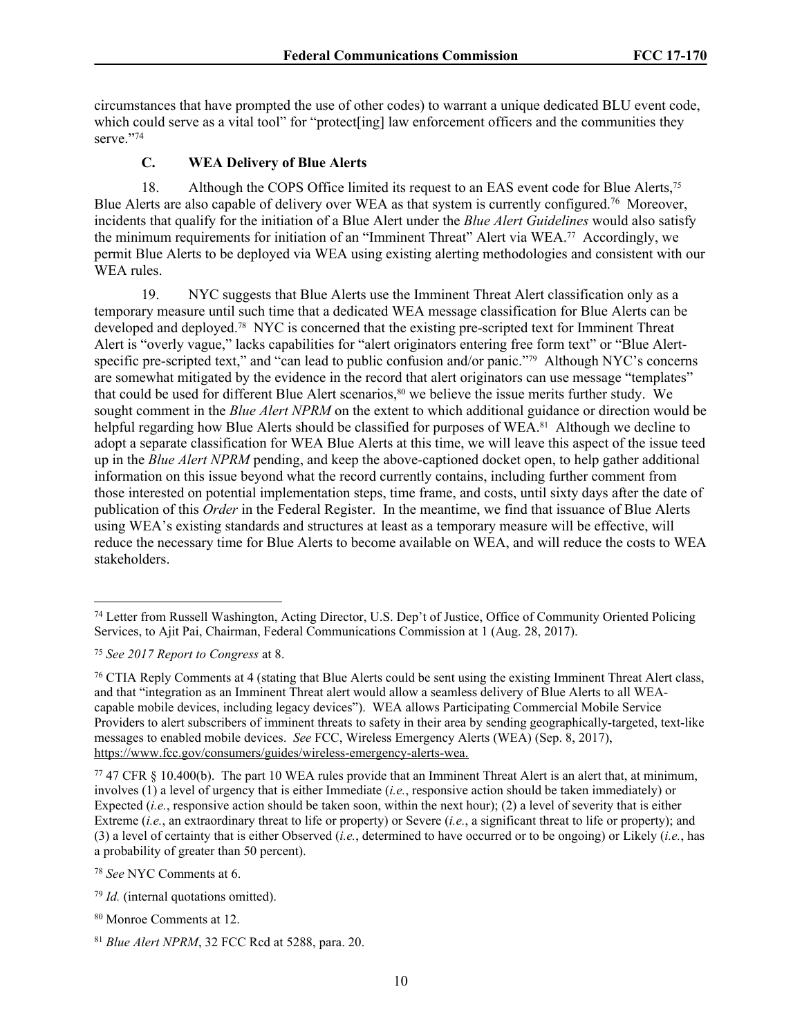circumstances that have prompted the use of other codes) to warrant a unique dedicated BLU event code, which could serve as a vital tool" for "protect [ing] law enforcement officers and the communities they serve."74

#### **C. WEA Delivery of Blue Alerts**

18. Although the COPS Office limited its request to an EAS event code for Blue Alerts,<sup>75</sup> Blue Alerts are also capable of delivery over WEA as that system is currently configured.<sup>76</sup> Moreover, incidents that qualify for the initiation of a Blue Alert under the *Blue Alert Guidelines* would also satisfy the minimum requirements for initiation of an "Imminent Threat" Alert via WEA.77 Accordingly, we permit Blue Alerts to be deployed via WEA using existing alerting methodologies and consistent with our WEA rules.

19. NYC suggests that Blue Alerts use the Imminent Threat Alert classification only as a temporary measure until such time that a dedicated WEA message classification for Blue Alerts can be developed and deployed.78 NYC is concerned that the existing pre-scripted text for Imminent Threat Alert is "overly vague," lacks capabilities for "alert originators entering free form text" or "Blue Alertspecific pre-scripted text," and "can lead to public confusion and/or panic."<sup>79</sup> Although NYC's concerns are somewhat mitigated by the evidence in the record that alert originators can use message "templates" that could be used for different Blue Alert scenarios,<sup>80</sup> we believe the issue merits further study. We sought comment in the *Blue Alert NPRM* on the extent to which additional guidance or direction would be helpful regarding how Blue Alerts should be classified for purposes of WEA.<sup>81</sup> Although we decline to adopt a separate classification for WEA Blue Alerts at this time, we will leave this aspect of the issue teed up in the *Blue Alert NPRM* pending, and keep the above-captioned docket open, to help gather additional information on this issue beyond what the record currently contains, including further comment from those interested on potential implementation steps, time frame, and costs, until sixty days after the date of publication of this *Order* in the Federal Register. In the meantime, we find that issuance of Blue Alerts using WEA's existing standards and structures at least as a temporary measure will be effective, will reduce the necessary time for Blue Alerts to become available on WEA, and will reduce the costs to WEA stakeholders.

<sup>74</sup> Letter from Russell Washington, Acting Director, U.S. Dep't of Justice, Office of Community Oriented Policing Services, to Ajit Pai, Chairman, Federal Communications Commission at 1 (Aug. 28, 2017).

<sup>75</sup> *See 2017 Report to Congress* at 8.

<sup>76</sup> CTIA Reply Comments at 4 (stating that Blue Alerts could be sent using the existing Imminent Threat Alert class, and that "integration as an Imminent Threat alert would allow a seamless delivery of Blue Alerts to all WEAcapable mobile devices, including legacy devices"). WEA allows Participating Commercial Mobile Service Providers to alert subscribers of imminent threats to safety in their area by sending geographically-targeted, text-like messages to enabled mobile devices. *See* FCC, Wireless Emergency Alerts (WEA) (Sep. 8, 2017), <https://www.fcc.gov/consumers/guides/wireless-emergency-alerts-wea>.

<sup>77</sup> 47 CFR § 10.400(b). The part 10 WEA rules provide that an Imminent Threat Alert is an alert that, at minimum, involves (1) a level of urgency that is either Immediate (*i.e.*, responsive action should be taken immediately) or Expected *(i.e.*, responsive action should be taken soon, within the next hour); (2) a level of severity that is either Extreme (*i.e.*, an extraordinary threat to life or property) or Severe (*i.e.*, a significant threat to life or property); and (3) a level of certainty that is either Observed (*i.e.*, determined to have occurred or to be ongoing) or Likely (*i.e.*, has a probability of greater than 50 percent).

<sup>78</sup> *See* NYC Comments at 6.

<sup>79</sup> *Id.* (internal quotations omitted).

<sup>80</sup> Monroe Comments at 12.

<sup>81</sup> *Blue Alert NPRM*, 32 FCC Rcd at 5288, para. 20.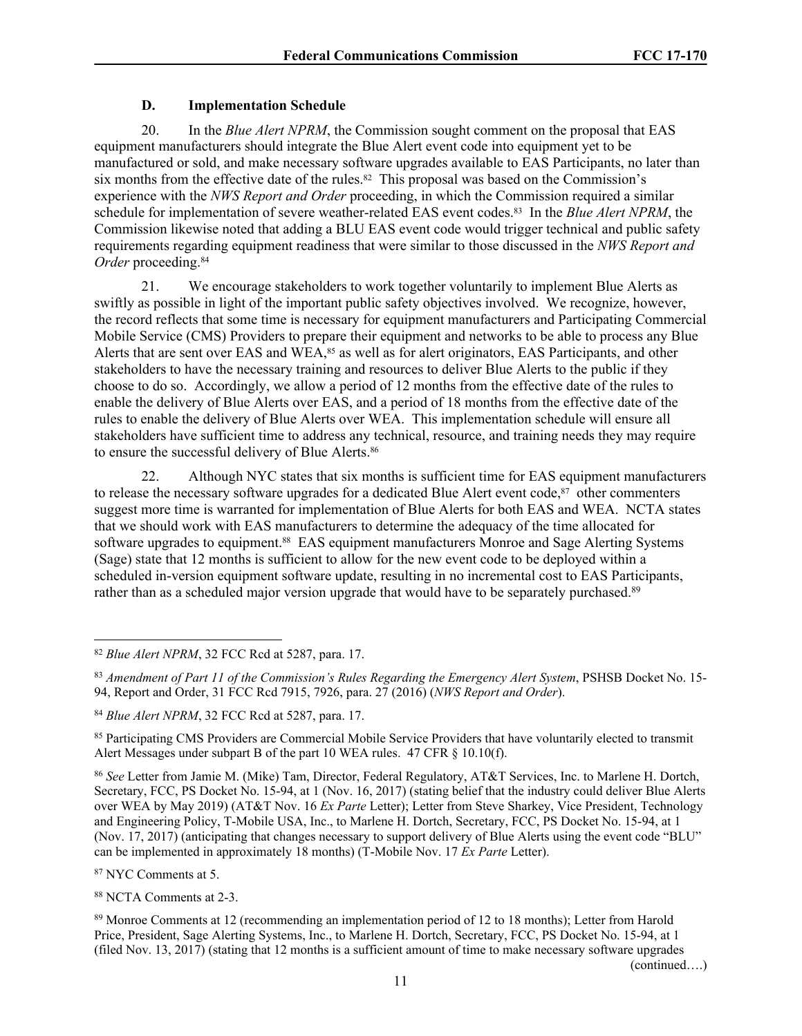## **D. Implementation Schedule**

20. In the *Blue Alert NPRM*, the Commission sought comment on the proposal that EAS equipment manufacturers should integrate the Blue Alert event code into equipment yet to be manufactured or sold, and make necessary software upgrades available to EAS Participants, no later than six months from the effective date of the rules.<sup>82</sup> This proposal was based on the Commission's experience with the *NWS Report and Order* proceeding, in which the Commission required a similar schedule for implementation of severe weather-related EAS event codes.83 In the *Blue Alert NPRM*, the Commission likewise noted that adding a BLU EAS event code would trigger technical and public safety requirements regarding equipment readiness that were similar to those discussed in the *NWS Report and Order* proceeding.<sup>84</sup>

21. We encourage stakeholders to work together voluntarily to implement Blue Alerts as swiftly as possible in light of the important public safety objectives involved. We recognize, however, the record reflects that some time is necessary for equipment manufacturers and Participating Commercial Mobile Service (CMS) Providers to prepare their equipment and networks to be able to process any Blue Alerts that are sent over EAS and WEA,<sup>85</sup> as well as for alert originators, EAS Participants, and other stakeholders to have the necessary training and resources to deliver Blue Alerts to the public if they choose to do so. Accordingly, we allow a period of 12 months from the effective date of the rules to enable the delivery of Blue Alerts over EAS, and a period of 18 months from the effective date of the rules to enable the delivery of Blue Alerts over WEA. This implementation schedule will ensure all stakeholders have sufficient time to address any technical, resource, and training needs they may require to ensure the successful delivery of Blue Alerts.<sup>86</sup>

22. Although NYC states that six months is sufficient time for EAS equipment manufacturers to release the necessary software upgrades for a dedicated Blue Alert event code,<sup>87</sup> other commenters suggest more time is warranted for implementation of Blue Alerts for both EAS and WEA. NCTA states that we should work with EAS manufacturers to determine the adequacy of the time allocated for software upgrades to equipment.<sup>88</sup> EAS equipment manufacturers Monroe and Sage Alerting Systems (Sage) state that 12 months is sufficient to allow for the new event code to be deployed within a scheduled in-version equipment software update, resulting in no incremental cost to EAS Participants, rather than as a scheduled major version upgrade that would have to be separately purchased.<sup>89</sup>

<sup>87</sup> NYC Comments at 5.

<sup>88</sup> NCTA Comments at 2-3.

(continued….)

<sup>82</sup> *Blue Alert NPRM*, 32 FCC Rcd at 5287, para. 17.

<sup>83</sup> *Amendment of Part 11 of the Commission's Rules Regarding the Emergency Alert System*, PSHSB Docket No. 15- 94, Report and Order, 31 FCC Rcd 7915, 7926, para. 27 (2016) (*NWS Report and Order*).

<sup>84</sup> *Blue Alert NPRM*, 32 FCC Rcd at 5287, para. 17.

<sup>&</sup>lt;sup>85</sup> Participating CMS Providers are Commercial Mobile Service Providers that have voluntarily elected to transmit Alert Messages under subpart B of the part 10 WEA rules. 47 CFR § 10.10(f).

<sup>86</sup> *See* Letter from Jamie M. (Mike) Tam, Director, Federal Regulatory, AT&T Services, Inc. to Marlene H. Dortch, Secretary, FCC, PS Docket No. 15-94, at 1 (Nov. 16, 2017) (stating belief that the industry could deliver Blue Alerts over WEA by May 2019) (AT&T Nov. 16 *Ex Parte* Letter); Letter from Steve Sharkey, Vice President, Technology and Engineering Policy, T-Mobile USA, Inc., to Marlene H. Dortch, Secretary, FCC, PS Docket No. 15-94, at 1 (Nov. 17, 2017) (anticipating that changes necessary to support delivery of Blue Alerts using the event code "BLU" can be implemented in approximately 18 months) (T-Mobile Nov. 17 *Ex Parte* Letter).

<sup>89</sup> Monroe Comments at 12 (recommending an implementation period of 12 to 18 months); Letter from Harold Price, President, Sage Alerting Systems, Inc., to Marlene H. Dortch, Secretary, FCC, PS Docket No. 15-94, at 1 (filed Nov. 13, 2017) (stating that 12 months is a sufficient amount of time to make necessary software upgrades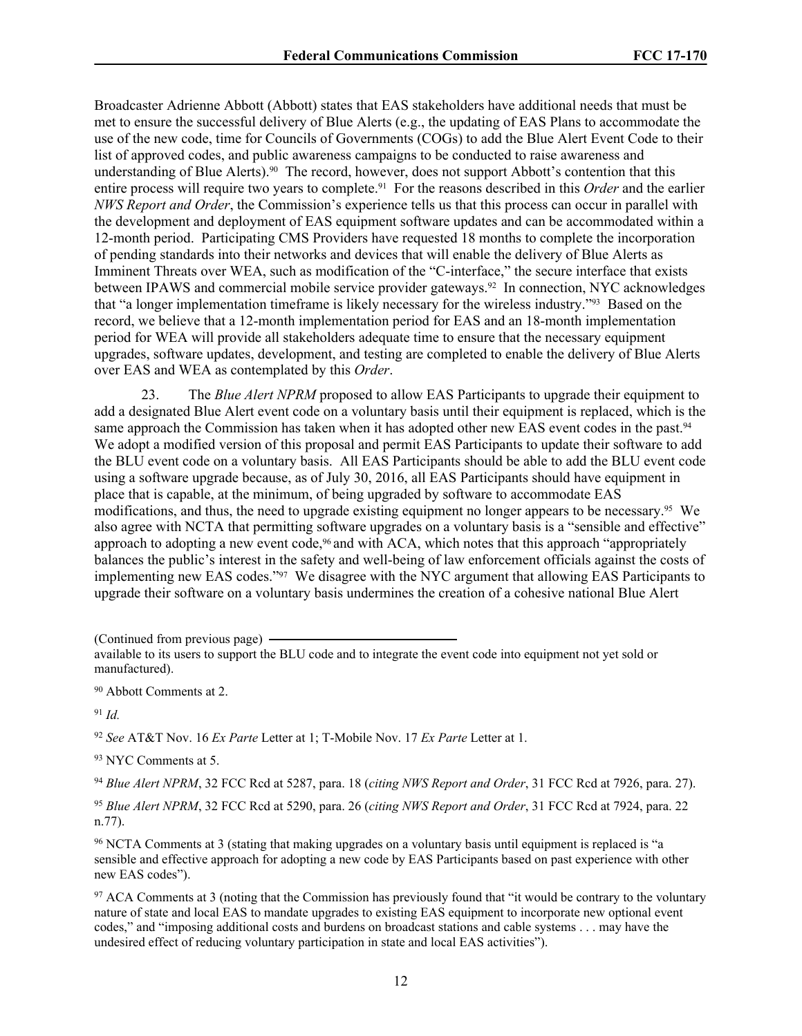Broadcaster Adrienne Abbott (Abbott) states that EAS stakeholders have additional needs that must be met to ensure the successful delivery of Blue Alerts (e.g., the updating of EAS Plans to accommodate the use of the new code, time for Councils of Governments (COGs) to add the Blue Alert Event Code to their list of approved codes, and public awareness campaigns to be conducted to raise awareness and understanding of Blue Alerts).<sup>90</sup> The record, however, does not support Abbott's contention that this entire process will require two years to complete.91 For the reasons described in this *Order* and the earlier *NWS Report and Order*, the Commission's experience tells us that this process can occur in parallel with the development and deployment of EAS equipment software updates and can be accommodated within a 12-month period. Participating CMS Providers have requested 18 months to complete the incorporation of pending standards into their networks and devices that will enable the delivery of Blue Alerts as Imminent Threats over WEA, such as modification of the "C-interface," the secure interface that exists between IPAWS and commercial mobile service provider gateways.<sup>92</sup> In connection, NYC acknowledges that "a longer implementation timeframe is likely necessary for the wireless industry."93 Based on the record, we believe that a 12-month implementation period for EAS and an 18-month implementation period for WEA will provide all stakeholders adequate time to ensure that the necessary equipment upgrades, software updates, development, and testing are completed to enable the delivery of Blue Alerts over EAS and WEA as contemplated by this *Order*.

23. The *Blue Alert NPRM* proposed to allow EAS Participants to upgrade their equipment to add a designated Blue Alert event code on a voluntary basis until their equipment is replaced, which is the same approach the Commission has taken when it has adopted other new EAS event codes in the past.<sup>94</sup> We adopt a modified version of this proposal and permit EAS Participants to update their software to add the BLU event code on a voluntary basis. All EAS Participants should be able to add the BLU event code using a software upgrade because, as of July 30, 2016, all EAS Participants should have equipment in place that is capable, at the minimum, of being upgraded by software to accommodate EAS modifications, and thus, the need to upgrade existing equipment no longer appears to be necessary.95 We also agree with NCTA that permitting software upgrades on a voluntary basis is a "sensible and effective" approach to adopting a new event code,<sup>96</sup> and with ACA, which notes that this approach "appropriately balances the public's interest in the safety and well-being of law enforcement officials against the costs of implementing new EAS codes."97 We disagree with the NYC argument that allowing EAS Participants to upgrade their software on a voluntary basis undermines the creation of a cohesive national Blue Alert

(Continued from previous page)

<sup>90</sup> Abbott Comments at 2.

<sup>91</sup> *Id.*

<sup>92</sup> *See* AT&T Nov. 16 *Ex Parte* Letter at 1; T-Mobile Nov. 17 *Ex Parte* Letter at 1.

<sup>93</sup> NYC Comments at 5.

<sup>94</sup> *Blue Alert NPRM*, 32 FCC Rcd at 5287, para. 18 (*citing NWS Report and Order*, 31 FCC Rcd at 7926, para. 27).

<sup>95</sup> *Blue Alert NPRM*, 32 FCC Rcd at 5290, para. 26 (*citing NWS Report and Order*, 31 FCC Rcd at 7924, para. 22 n.77).

<sup>96</sup> NCTA Comments at 3 (stating that making upgrades on a voluntary basis until equipment is replaced is "a sensible and effective approach for adopting a new code by EAS Participants based on past experience with other new EAS codes").

<sup>97</sup> ACA Comments at 3 (noting that the Commission has previously found that "it would be contrary to the voluntary nature of state and local EAS to mandate upgrades to existing EAS equipment to incorporate new optional event codes," and "imposing additional costs and burdens on broadcast stations and cable systems . . . may have the undesired effect of reducing voluntary participation in state and local EAS activities").

available to its users to support the BLU code and to integrate the event code into equipment not yet sold or manufactured).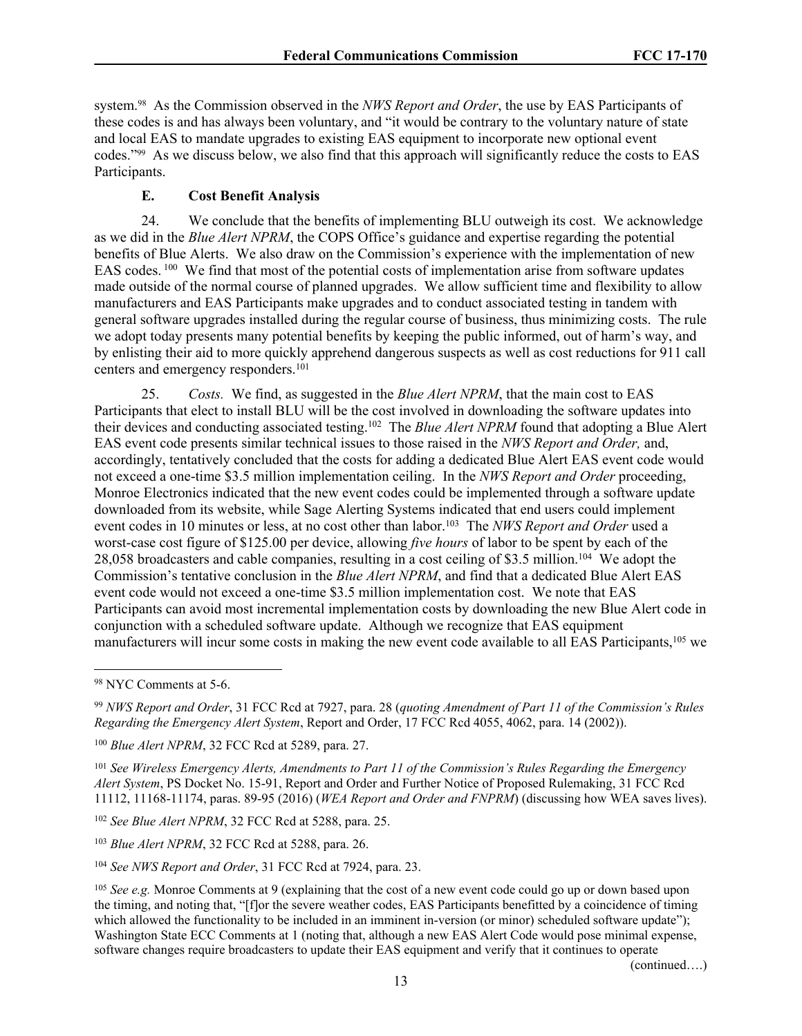system.98 As the Commission observed in the *NWS Report and Order*, the use by EAS Participants of these codes is and has always been voluntary, and "it would be contrary to the voluntary nature of state and local EAS to mandate upgrades to existing EAS equipment to incorporate new optional event codes."99 As we discuss below, we also find that this approach will significantly reduce the costs to EAS Participants.

#### **E. Cost Benefit Analysis**

24. We conclude that the benefits of implementing BLU outweigh its cost. We acknowledge as we did in the *Blue Alert NPRM*, the COPS Office's guidance and expertise regarding the potential benefits of Blue Alerts. We also draw on the Commission's experience with the implementation of new EAS codes.<sup>100</sup> We find that most of the potential costs of implementation arise from software updates made outside of the normal course of planned upgrades. We allow sufficient time and flexibility to allow manufacturers and EAS Participants make upgrades and to conduct associated testing in tandem with general software upgrades installed during the regular course of business, thus minimizing costs. The rule we adopt today presents many potential benefits by keeping the public informed, out of harm's way, and by enlisting their aid to more quickly apprehend dangerous suspects as well as cost reductions for 911 call centers and emergency responders.<sup>101</sup>

25. *Costs.* We find, as suggested in the *Blue Alert NPRM*, that the main cost to EAS Participants that elect to install BLU will be the cost involved in downloading the software updates into their devices and conducting associated testing.<sup>102</sup> The *Blue Alert NPRM* found that adopting a Blue Alert EAS event code presents similar technical issues to those raised in the *NWS Report and Order,* and, accordingly, tentatively concluded that the costs for adding a dedicated Blue Alert EAS event code would not exceed a one-time \$3.5 million implementation ceiling. In the *NWS Report and Order* proceeding, Monroe Electronics indicated that the new event codes could be implemented through a software update downloaded from its website, while Sage Alerting Systems indicated that end users could implement event codes in 10 minutes or less, at no cost other than labor.<sup>103</sup> The *NWS Report and Order* used a worst-case cost figure of \$125.00 per device, allowing *five hours* of labor to be spent by each of the 28,058 broadcasters and cable companies, resulting in a cost ceiling of \$3.5 million.<sup>104</sup> We adopt the Commission's tentative conclusion in the *Blue Alert NPRM*, and find that a dedicated Blue Alert EAS event code would not exceed a one-time \$3.5 million implementation cost. We note that EAS Participants can avoid most incremental implementation costs by downloading the new Blue Alert code in conjunction with a scheduled software update. Although we recognize that EAS equipment manufacturers will incur some costs in making the new event code available to all EAS Participants,<sup>105</sup> we

<sup>101</sup> *See Wireless Emergency Alerts, Amendments to Part 11 of the Commission's Rules Regarding the Emergency Alert System*, PS Docket No. 15-91, Report and Order and Further Notice of Proposed Rulemaking, 31 FCC Rcd 11112, 11168-11174, paras. 89-95 (2016) (*WEA Report and Order and FNPRM*) (discussing how WEA saves lives).

<sup>102</sup> *See Blue Alert NPRM*, 32 FCC Rcd at 5288, para. 25.

<sup>103</sup> *Blue Alert NPRM*, 32 FCC Rcd at 5288, para. 26.

<sup>104</sup> *See NWS Report and Order*, 31 FCC Rcd at 7924, para. 23.

(continued….)

<sup>98</sup> NYC Comments at 5-6.

<sup>99</sup> *NWS Report and Order*, 31 FCC Rcd at 7927, para. 28 (*quoting Amendment of Part 11 of the Commission's Rules Regarding the Emergency Alert System*, Report and Order, 17 FCC Rcd 4055, 4062, para. 14 (2002)).

<sup>100</sup> *Blue Alert NPRM*, 32 FCC Rcd at 5289, para. 27.

<sup>&</sup>lt;sup>105</sup> *See e.g.* Monroe Comments at 9 (explaining that the cost of a new event code could go up or down based upon the timing, and noting that, "[f]or the severe weather codes, EAS Participants benefitted by a coincidence of timing which allowed the functionality to be included in an imminent in-version (or minor) scheduled software update"); Washington State ECC Comments at 1 (noting that, although a new EAS Alert Code would pose minimal expense, software changes require broadcasters to update their EAS equipment and verify that it continues to operate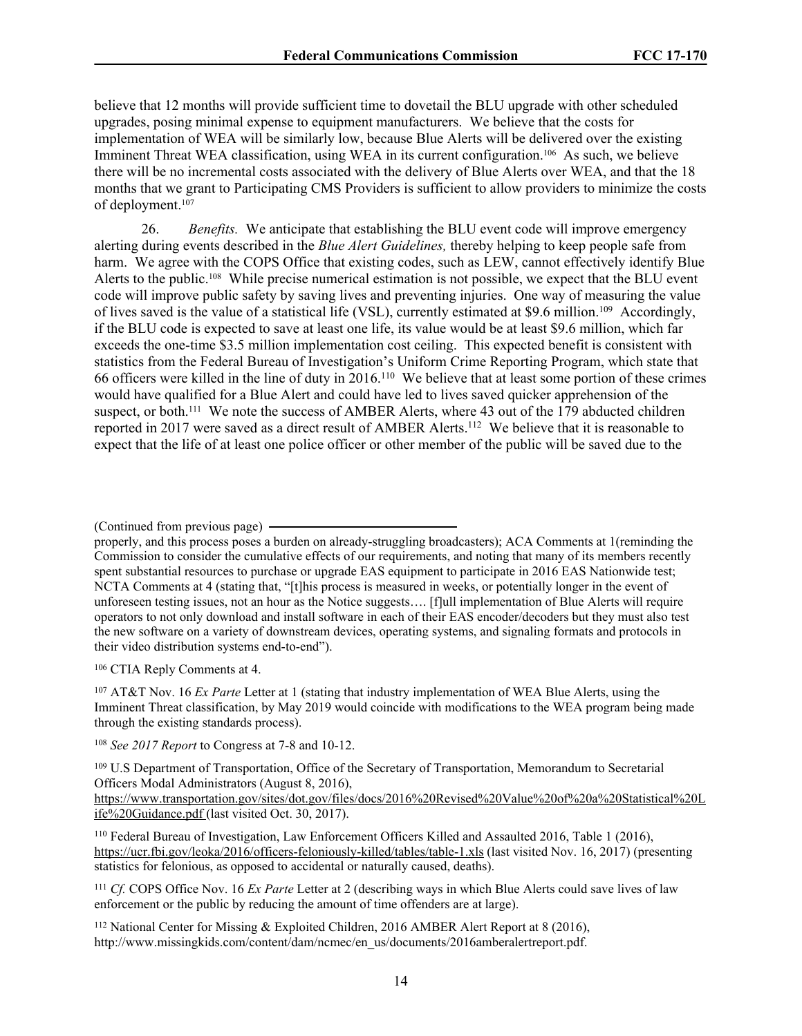believe that 12 months will provide sufficient time to dovetail the BLU upgrade with other scheduled upgrades, posing minimal expense to equipment manufacturers. We believe that the costs for implementation of WEA will be similarly low, because Blue Alerts will be delivered over the existing Imminent Threat WEA classification, using WEA in its current configuration.<sup>106</sup> As such, we believe there will be no incremental costs associated with the delivery of Blue Alerts over WEA, and that the 18 months that we grant to Participating CMS Providers is sufficient to allow providers to minimize the costs of deployment.<sup>107</sup>

26. *Benefits.* We anticipate that establishing the BLU event code will improve emergency alerting during events described in the *Blue Alert Guidelines,* thereby helping to keep people safe from harm. We agree with the COPS Office that existing codes, such as LEW, cannot effectively identify Blue Alerts to the public.108 While precise numerical estimation is not possible, we expect that the BLU event code will improve public safety by saving lives and preventing injuries. One way of measuring the value of lives saved is the value of a statistical life (VSL), currently estimated at \$9.6 million.<sup>109</sup> Accordingly, if the BLU code is expected to save at least one life, its value would be at least \$9.6 million, which far exceeds the one-time \$3.5 million implementation cost ceiling. This expected benefit is consistent with statistics from the Federal Bureau of Investigation's Uniform Crime Reporting Program, which state that 66 officers were killed in the line of duty in 2016.<sup>110</sup> We believe that at least some portion of these crimes would have qualified for a Blue Alert and could have led to lives saved quicker apprehension of the suspect, or both.<sup>111</sup> We note the success of AMBER Alerts, where 43 out of the 179 abducted children reported in 2017 were saved as a direct result of AMBER Alerts.<sup>112</sup> We believe that it is reasonable to expect that the life of at least one police officer or other member of the public will be saved due to the

<sup>106</sup> CTIA Reply Comments at 4.

<sup>107</sup> AT&T Nov. 16 *Ex Parte* Letter at 1 (stating that industry implementation of WEA Blue Alerts, using the Imminent Threat classification, by May 2019 would coincide with modifications to the WEA program being made through the existing standards process).

<sup>109</sup> U.S Department of Transportation, Office of the Secretary of Transportation, Memorandum to Secretarial Officers Modal Administrators (August 8, 2016),

[https://www.transportation.gov/sites/dot.gov/files/docs/2016%20Revised%20Value%20of%20a%20Statistical%20L](https://www.transportation.gov/sites/dot.gov/files/docs/2016%20Revised%20Value%20of%20a%20Statistical%20Life%20Guidance.pdf) [ife%20Guidance.pdf](https://www.transportation.gov/sites/dot.gov/files/docs/2016%20Revised%20Value%20of%20a%20Statistical%20Life%20Guidance.pdf) (last visited Oct. 30, 2017).

<sup>110</sup> Federal Bureau of Investigation, Law Enforcement Officers Killed and Assaulted 2016, Table 1 (2016), <https://ucr.fbi.gov/leoka/2016/officers-feloniously-killed/tables/table-1.xls> (last visited Nov. 16, 2017) (presenting statistics for felonious, as opposed to accidental or naturally caused, deaths).

<sup>111</sup> *Cf.* COPS Office Nov. 16 *Ex Parte* Letter at 2 (describing ways in which Blue Alerts could save lives of law enforcement or the public by reducing the amount of time offenders are at large).

<sup>112</sup> National Center for Missing & Exploited Children, 2016 AMBER Alert Report at 8 (2016), http://www.missingkids.com/content/dam/ncmec/en\_us/documents/2016amberalertreport.pdf.

<sup>(</sup>Continued from previous page)

properly, and this process poses a burden on already-struggling broadcasters); ACA Comments at 1(reminding the Commission to consider the cumulative effects of our requirements, and noting that many of its members recently spent substantial resources to purchase or upgrade EAS equipment to participate in 2016 EAS Nationwide test; NCTA Comments at 4 (stating that, "[t]his process is measured in weeks, or potentially longer in the event of unforeseen testing issues, not an hour as the Notice suggests…. [f]ull implementation of Blue Alerts will require operators to not only download and install software in each of their EAS encoder/decoders but they must also test the new software on a variety of downstream devices, operating systems, and signaling formats and protocols in their video distribution systems end-to-end").

<sup>108</sup> *See 2017 Report* to Congress at 7-8 and 10-12.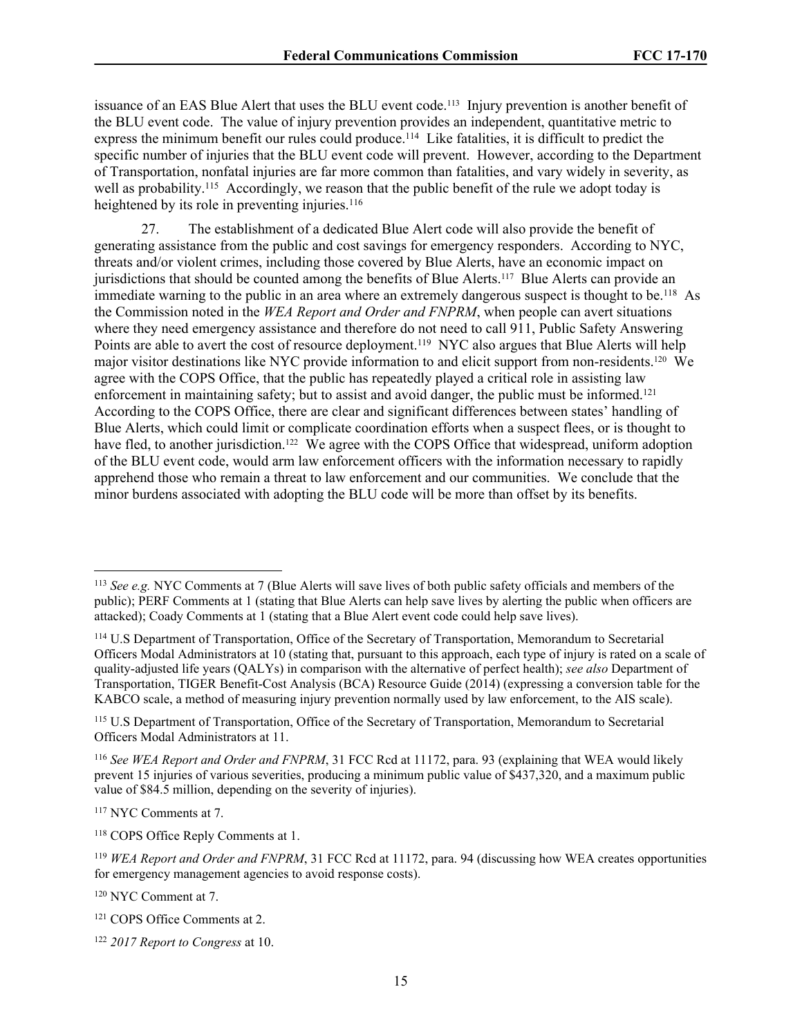issuance of an EAS Blue Alert that uses the BLU event code.113 Injury prevention is another benefit of the BLU event code. The value of injury prevention provides an independent, quantitative metric to express the minimum benefit our rules could produce.<sup>114</sup> Like fatalities, it is difficult to predict the specific number of injuries that the BLU event code will prevent. However, according to the Department of Transportation, nonfatal injuries are far more common than fatalities, and vary widely in severity, as well as probability.<sup>115</sup> Accordingly, we reason that the public benefit of the rule we adopt today is heightened by its role in preventing injuries.<sup>116</sup>

27. The establishment of a dedicated Blue Alert code will also provide the benefit of generating assistance from the public and cost savings for emergency responders. According to NYC, threats and/or violent crimes, including those covered by Blue Alerts, have an economic impact on jurisdictions that should be counted among the benefits of Blue Alerts.117 Blue Alerts can provide an immediate warning to the public in an area where an extremely dangerous suspect is thought to be.<sup>118</sup> As the Commission noted in the *WEA Report and Order and FNPRM*, when people can avert situations where they need emergency assistance and therefore do not need to call 911, Public Safety Answering Points are able to avert the cost of resource deployment.<sup>119</sup> NYC also argues that Blue Alerts will help major visitor destinations like NYC provide information to and elicit support from non-residents.<sup>120</sup> We agree with the COPS Office, that the public has repeatedly played a critical role in assisting law enforcement in maintaining safety; but to assist and avoid danger, the public must be informed.<sup>121</sup> According to the COPS Office, there are clear and significant differences between states' handling of Blue Alerts, which could limit or complicate coordination efforts when a suspect flees, or is thought to have fled, to another jurisdiction.<sup>122</sup> We agree with the COPS Office that widespread, uniform adoption of the BLU event code, would arm law enforcement officers with the information necessary to rapidly apprehend those who remain a threat to law enforcement and our communities. We conclude that the minor burdens associated with adopting the BLU code will be more than offset by its benefits.

<sup>117</sup> NYC Comments at 7.

<sup>120</sup> NYC Comment at 7.

<sup>113</sup> *See e.g.* NYC Comments at 7 (Blue Alerts will save lives of both public safety officials and members of the public); PERF Comments at 1 (stating that Blue Alerts can help save lives by alerting the public when officers are attacked); Coady Comments at 1 (stating that a Blue Alert event code could help save lives).

<sup>114</sup> U.S Department of Transportation, Office of the Secretary of Transportation, Memorandum to Secretarial Officers Modal Administrators at 10 (stating that, pursuant to this approach, each type of injury is rated on a scale of quality-adjusted life years (QALYs) in comparison with the alternative of perfect health); *see also* Department of Transportation, TIGER Benefit-Cost Analysis (BCA) Resource Guide (2014) (expressing a conversion table for the KABCO scale, a method of measuring injury prevention normally used by law enforcement, to the AIS scale).

<sup>115</sup> U.S Department of Transportation, Office of the Secretary of Transportation, Memorandum to Secretarial Officers Modal Administrators at 11.

<sup>116</sup> *See WEA Report and Order and FNPRM*, 31 FCC Rcd at 11172, para. 93 (explaining that WEA would likely prevent 15 injuries of various severities, producing a minimum public value of \$437,320, and a maximum public value of \$84.5 million, depending on the severity of injuries).

<sup>118</sup> COPS Office Reply Comments at 1.

<sup>119</sup> *WEA Report and Order and FNPRM*, 31 FCC Rcd at 11172, para. 94 (discussing how WEA creates opportunities for emergency management agencies to avoid response costs).

<sup>121</sup> COPS Office Comments at 2.

<sup>122</sup> *2017 Report to Congress* at 10.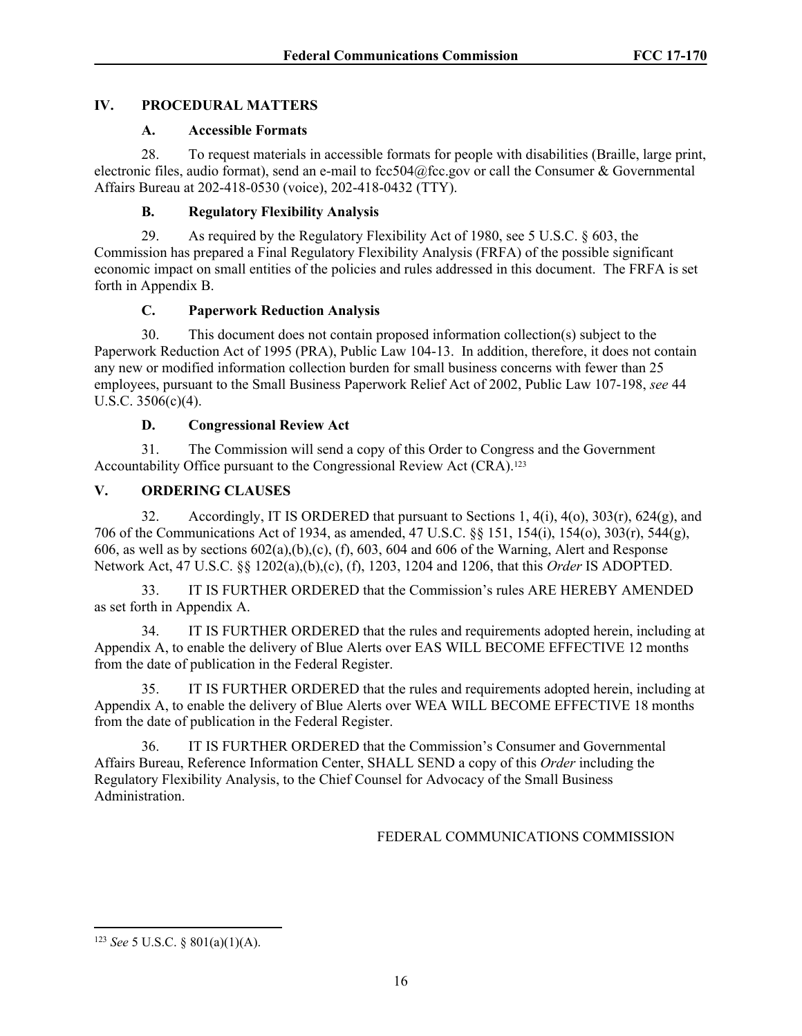## **IV. PROCEDURAL MATTERS**

## **A. Accessible Formats**

28. To request materials in accessible formats for people with disabilities (Braille, large print, electronic files, audio format), send an e-mail to fcc504@fcc.gov or call the Consumer & Governmental Affairs Bureau at 202-418-0530 (voice), 202-418-0432 (TTY).

## **B. Regulatory Flexibility Analysis**

29. As required by the Regulatory Flexibility Act of 1980, see 5 U.S.C. § 603, the Commission has prepared a Final Regulatory Flexibility Analysis (FRFA) of the possible significant economic impact on small entities of the policies and rules addressed in this document. The FRFA is set forth in Appendix B.

## **C. Paperwork Reduction Analysis**

30. This document does not contain proposed information collection(s) subject to the Paperwork Reduction Act of 1995 (PRA), Public Law 104-13. In addition, therefore, it does not contain any new or modified information collection burden for small business concerns with fewer than 25 employees, pursuant to the Small Business Paperwork Relief Act of 2002, Public Law 107-198, *see* 44 U.S.C. 3506(c)(4).

# **D. Congressional Review Act**

31. The Commission will send a copy of this Order to Congress and the Government Accountability Office pursuant to the Congressional Review Act (CRA).<sup>123</sup>

## **V. ORDERING CLAUSES**

32. Accordingly, IT IS ORDERED that pursuant to Sections 1, 4(i), 4(o), 303(r), 624(g), and 706 of the Communications Act of 1934, as amended, 47 U.S.C. §§ 151, 154(i), 154(o), 303(r), 544(g), 606, as well as by sections  $602(a)$ ,(b),(c), (f), 603, 604 and 606 of the Warning, Alert and Response Network Act, 47 U.S.C. §§ 1202(a),(b),(c), (f), 1203, 1204 and 1206, that this *Order* IS ADOPTED.

33. IT IS FURTHER ORDERED that the Commission's rules ARE HEREBY AMENDED as set forth in Appendix A.

34. IT IS FURTHER ORDERED that the rules and requirements adopted herein, including at Appendix A, to enable the delivery of Blue Alerts over EAS WILL BECOME EFFECTIVE 12 months from the date of publication in the Federal Register.

35. IT IS FURTHER ORDERED that the rules and requirements adopted herein, including at Appendix A, to enable the delivery of Blue Alerts over WEA WILL BECOME EFFECTIVE 18 months from the date of publication in the Federal Register.

36. IT IS FURTHER ORDERED that the Commission's Consumer and Governmental Affairs Bureau, Reference Information Center, SHALL SEND a copy of this *Order* including the Regulatory Flexibility Analysis, to the Chief Counsel for Advocacy of the Small Business Administration.

## FEDERAL COMMUNICATIONS COMMISSION

<sup>123</sup> *See* 5 U.S.C. § 801(a)(1)(A).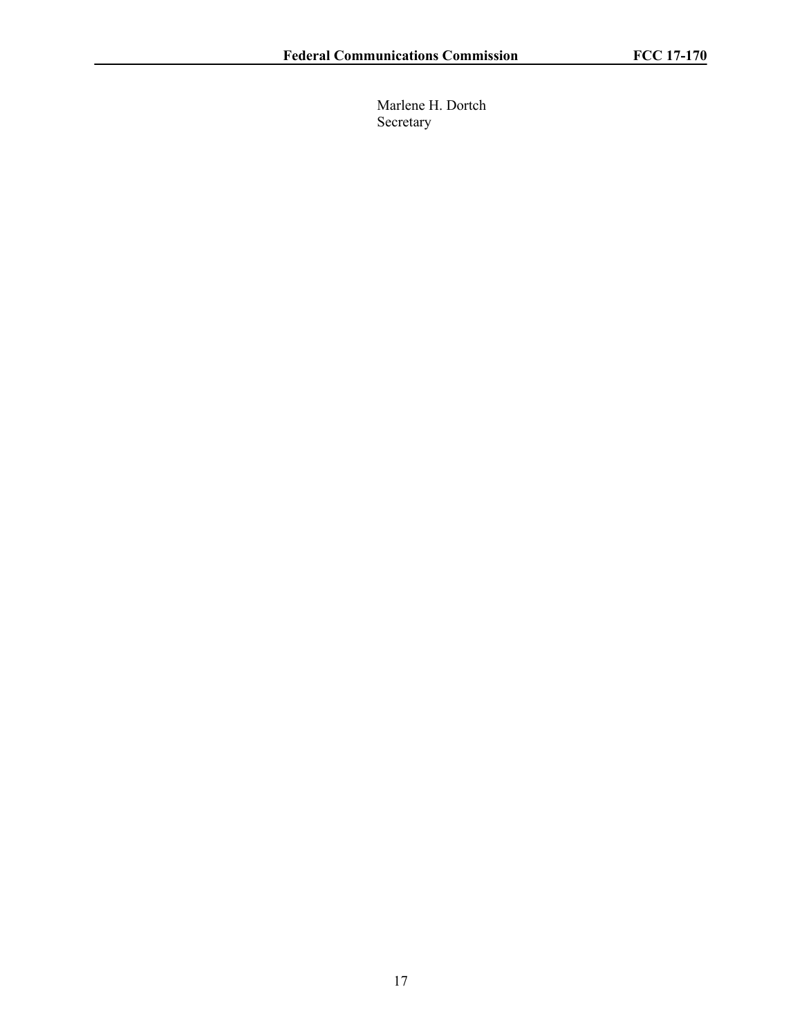Marlene H. Dortch Secretary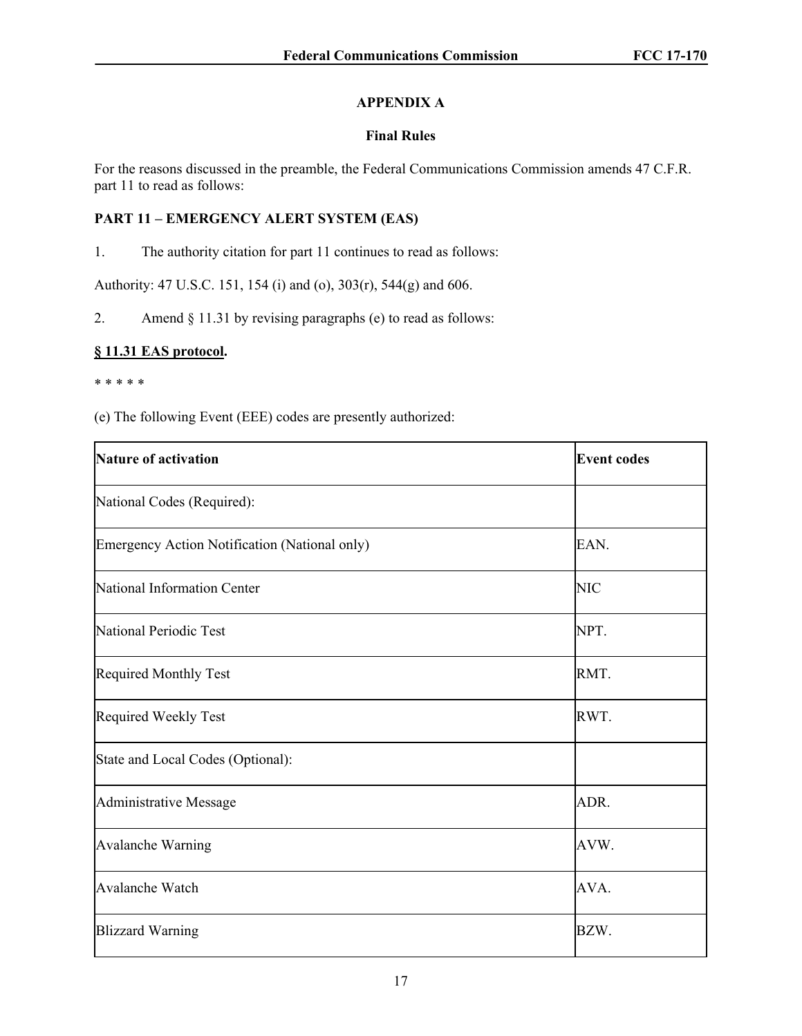# **APPENDIX A**

# **Final Rules**

For the reasons discussed in the preamble, the Federal Communications Commission amends 47 C.F.R. part 11 to read as follows:

# **PART 11 – EMERGENCY ALERT SYSTEM (EAS)**

1. The authority citation for part 11 continues to read as follows:

Authority: 47 U.S.C. 151, 154 (i) and (o), 303(r), 544(g) and 606.

2. Amend § 11.31 by revising paragraphs (e) to read as follows:

# **§ 11.31 EAS protocol.**

#### \* \* \* \* \*

(e) The following Event (EEE) codes are presently authorized:

| <b>Nature of activation</b>                   | <b>Event codes</b> |
|-----------------------------------------------|--------------------|
| National Codes (Required):                    |                    |
| Emergency Action Notification (National only) | EAN.               |
| National Information Center                   | NIC                |
| National Periodic Test                        | NPT.               |
| <b>Required Monthly Test</b>                  | RMT.               |
| Required Weekly Test                          | RWT.               |
| State and Local Codes (Optional):             |                    |
| Administrative Message                        | ADR.               |
| <b>Avalanche Warning</b>                      | AVW.               |
| Avalanche Watch                               | AVA.               |
| <b>Blizzard Warning</b>                       | BZW.               |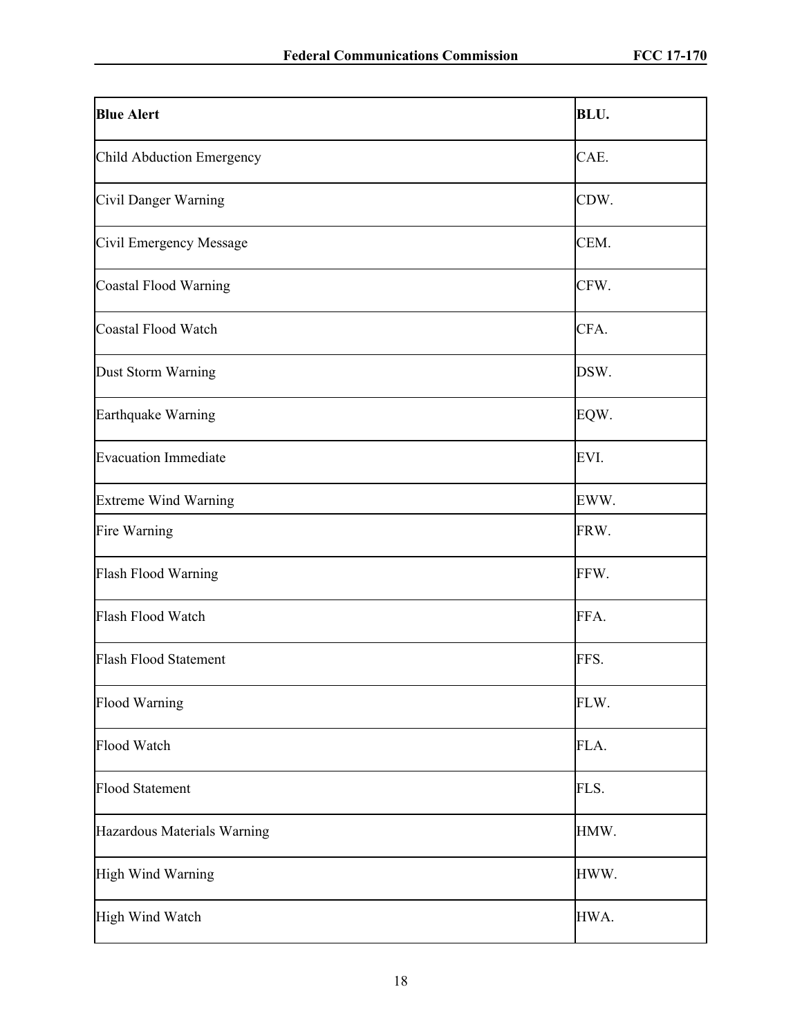| <b>Blue Alert</b>           | BLU. |
|-----------------------------|------|
| Child Abduction Emergency   | CAE. |
| Civil Danger Warning        | CDW. |
| Civil Emergency Message     | CEM. |
| Coastal Flood Warning       | CFW. |
| Coastal Flood Watch         | CFA. |
| Dust Storm Warning          | DSW. |
| Earthquake Warning          | EQW. |
| <b>Evacuation Immediate</b> | EVI. |
| <b>Extreme Wind Warning</b> | EWW. |
| Fire Warning                | FRW. |
| Flash Flood Warning         | FFW. |
| Flash Flood Watch           | FFA. |
| Flash Flood Statement       | FFS. |
| <b>Flood Warning</b>        | FLW. |
| Flood Watch                 | FLA. |
| <b>Flood Statement</b>      | FLS. |
| Hazardous Materials Warning | HMW. |
| High Wind Warning           | HWW. |
| High Wind Watch             | HWA. |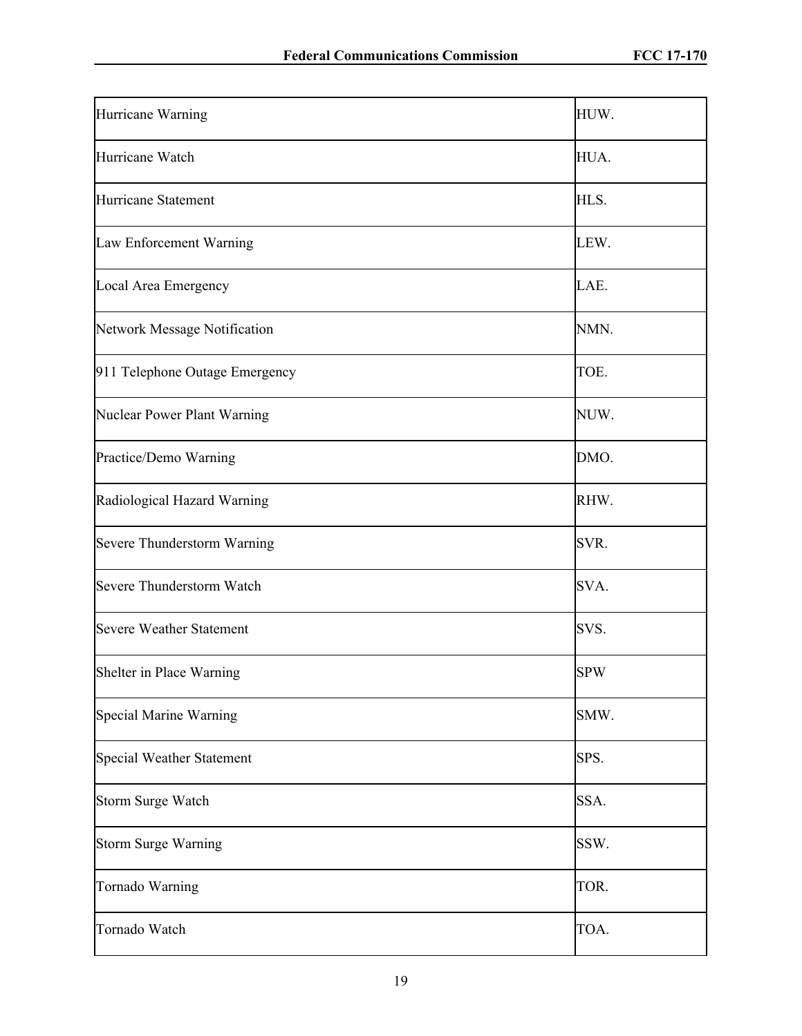| Hurricane Warning               | HUW.       |
|---------------------------------|------------|
| Hurricane Watch                 | HUA.       |
| Hurricane Statement             | HLS.       |
| Law Enforcement Warning         | LEW.       |
| Local Area Emergency            | LAE.       |
| Network Message Notification    | NMN.       |
| 911 Telephone Outage Emergency  | TOE.       |
| Nuclear Power Plant Warning     | NUW.       |
| Practice/Demo Warning           | DMO.       |
| Radiological Hazard Warning     | RHW.       |
| Severe Thunderstorm Warning     | SVR.       |
| Severe Thunderstorm Watch       | SVA.       |
| <b>Severe Weather Statement</b> | SVS.       |
| Shelter in Place Warning        | <b>SPW</b> |
| Special Marine Warning          | SMW.       |
| Special Weather Statement       | SPS.       |
| Storm Surge Watch               | SSA.       |
| <b>Storm Surge Warning</b>      | SSW.       |
| Tornado Warning                 | TOR.       |
| Tornado Watch                   | TOA.       |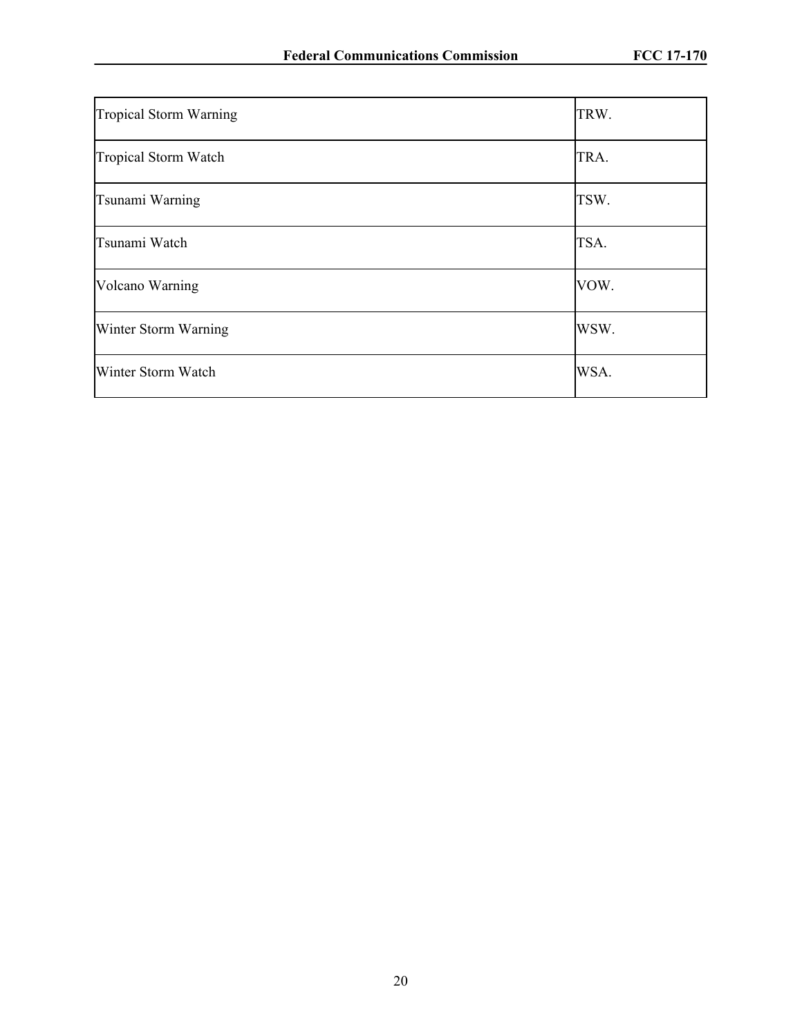| Tropical Storm Warning | TRW. |
|------------------------|------|
| Tropical Storm Watch   | TRA. |
| Tsunami Warning        | TSW. |
| Tsunami Watch          | TSA. |
| Volcano Warning        | VOW. |
| Winter Storm Warning   | WSW. |
| Winter Storm Watch     | WSA. |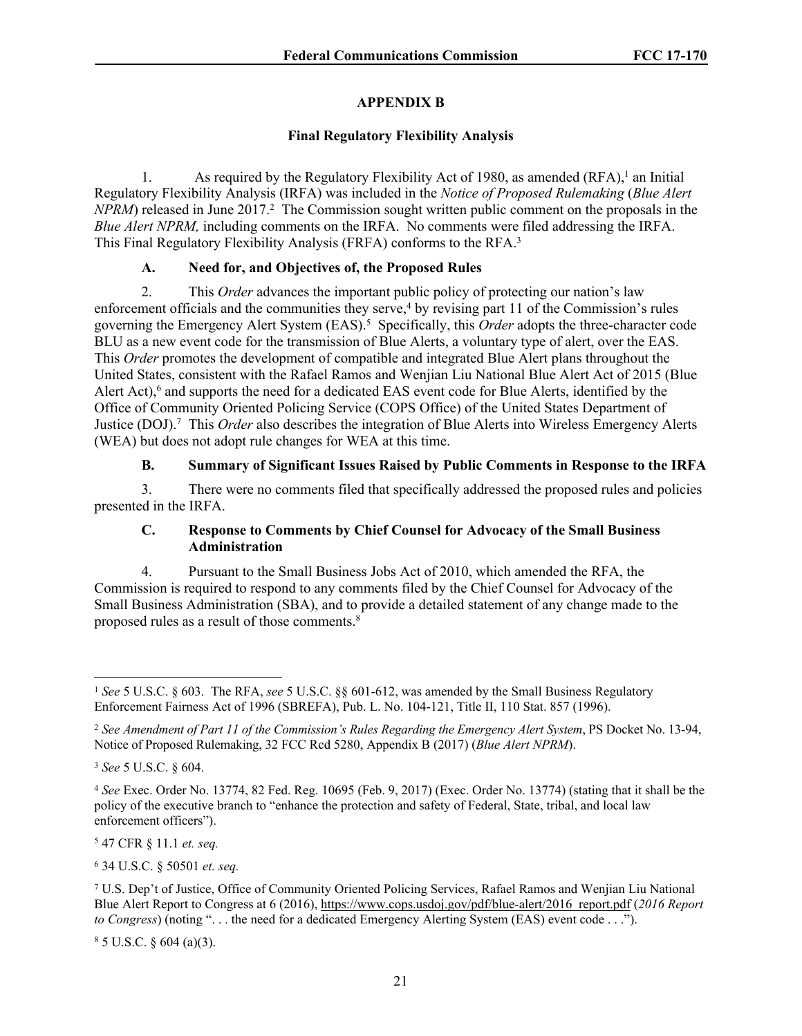# **APPENDIX B**

## **Final Regulatory Flexibility Analysis**

1. As required by the Regulatory Flexibility Act of 1980, as amended (RFA),<sup>1</sup> an Initial Regulatory Flexibility Analysis (IRFA) was included in the *Notice of Proposed Rulemaking* (*Blue Alert NPRM*) released in June 2017.<sup>2</sup> The Commission sought written public comment on the proposals in the *Blue Alert NPRM,* including comments on the IRFA. No comments were filed addressing the IRFA. This Final Regulatory Flexibility Analysis (FRFA) conforms to the RFA.<sup>3</sup>

## **A. Need for, and Objectives of, the Proposed Rules**

2. This *Order* advances the important public policy of protecting our nation's law enforcement officials and the communities they serve,<sup>4</sup> by revising part 11 of the Commission's rules governing the Emergency Alert System (EAS).<sup>5</sup> Specifically, this *Order* adopts the three-character code BLU as a new event code for the transmission of Blue Alerts, a voluntary type of alert, over the EAS. This *Order* promotes the development of compatible and integrated Blue Alert plans throughout the United States, consistent with the Rafael Ramos and Wenjian Liu National Blue Alert Act of 2015 (Blue Alert Act),<sup>6</sup> and supports the need for a dedicated EAS event code for Blue Alerts, identified by the Office of Community Oriented Policing Service (COPS Office) of the United States Department of Justice (DOJ).<sup>7</sup> This *Order* also describes the integration of Blue Alerts into Wireless Emergency Alerts (WEA) but does not adopt rule changes for WEA at this time.

# **B. Summary of Significant Issues Raised by Public Comments in Response to the IRFA**

3. There were no comments filed that specifically addressed the proposed rules and policies presented in the IRFA.

### **C. Response to Comments by Chief Counsel for Advocacy of the Small Business Administration**

4. Pursuant to the Small Business Jobs Act of 2010, which amended the RFA, the Commission is required to respond to any comments filed by the Chief Counsel for Advocacy of the Small Business Administration (SBA), and to provide a detailed statement of any change made to the proposed rules as a result of those comments.<sup>8</sup>

5 47 CFR § 11.1 *et. seq.*

6 34 U.S.C. § 50501 *et. seq.*

 $8$  5 U.S.C. § 604 (a)(3).

<sup>1</sup> *See* 5 U.S.C. § 603. The RFA, *see* 5 U.S.C. §§ 601-612, was amended by the Small Business Regulatory Enforcement Fairness Act of 1996 (SBREFA), Pub. L. No. 104-121, Title II, 110 Stat. 857 (1996).

<sup>2</sup> *See Amendment of Part 11 of the Commission's Rules Regarding the Emergency Alert System*, PS Docket No. 13-94, Notice of Proposed Rulemaking, 32 FCC Rcd 5280, Appendix B (2017) (*Blue Alert NPRM*).

<sup>3</sup>  *See* 5 U.S.C. § 604.

<sup>4</sup> *See* Exec. Order No. 13774, 82 Fed. Reg. 10695 (Feb. 9, 2017) (Exec. Order No. 13774) (stating that it shall be the policy of the executive branch to "enhance the protection and safety of Federal, State, tribal, and local law enforcement officers").

<sup>7</sup> U.S. Dep't of Justice, Office of Community Oriented Policing Services, Rafael Ramos and Wenjian Liu National Blue Alert Report to Congress at 6 (2016), [https://www.cops.usdoj.gov/pdf/blue-alert/2016\\_report.pdf](https://www.cops.usdoj.gov/pdf/blue-alert/2016_report.pdf) (*2016 Report to Congress*) (noting ". . . the need for a dedicated Emergency Alerting System (EAS) event code . . .").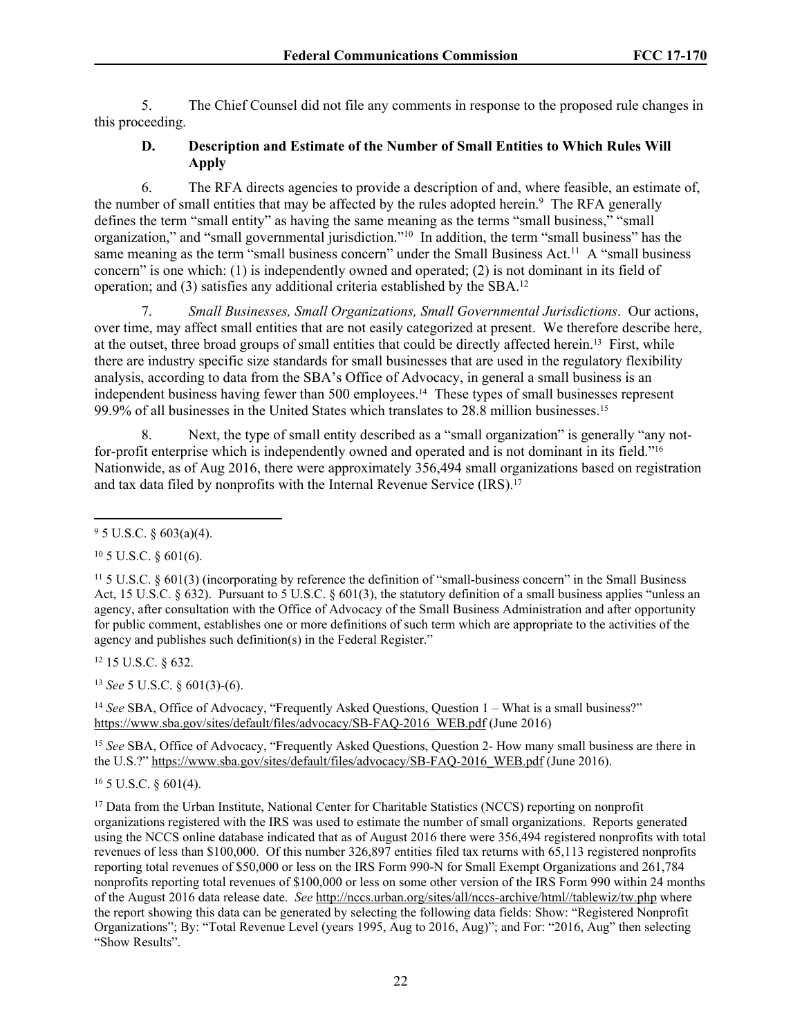5. The Chief Counsel did not file any comments in response to the proposed rule changes in this proceeding.

### **D. Description and Estimate of the Number of Small Entities to Which Rules Will Apply**

6. The RFA directs agencies to provide a description of and, where feasible, an estimate of, the number of small entities that may be affected by the rules adopted herein.<sup>9</sup> The RFA generally defines the term "small entity" as having the same meaning as the terms "small business," "small organization," and "small governmental jurisdiction."<sup>10</sup> In addition, the term "small business" has the same meaning as the term "small business concern" under the Small Business Act.<sup>11</sup> A "small business" concern" is one which: (1) is independently owned and operated; (2) is not dominant in its field of operation; and (3) satisfies any additional criteria established by the SBA.<sup>12</sup>

7. *Small Businesses, Small Organizations, Small Governmental Jurisdictions*. Our actions, over time, may affect small entities that are not easily categorized at present. We therefore describe here, at the outset, three broad groups of small entities that could be directly affected herein.13 First, while there are industry specific size standards for small businesses that are used in the regulatory flexibility analysis, according to data from the SBA's Office of Advocacy, in general a small business is an independent business having fewer than 500 employees.14 These types of small businesses represent 99.9% of all businesses in the United States which translates to 28.8 million businesses.<sup>15</sup>

Next, the type of small entity described as a "small organization" is generally "any notfor-profit enterprise which is independently owned and operated and is not dominant in its field."<sup>16</sup> Nationwide, as of Aug 2016, there were approximately 356,494 small organizations based on registration and tax data filed by nonprofits with the Internal Revenue Service (IRS).<sup>17</sup>

 $10\,5$  U.S.C. § 601(6).

<sup>12</sup> 15 U.S.C. § 632.

<sup>13</sup> *See* 5 U.S.C. § 601(3)-(6).

<sup>14</sup> *See* SBA, Office of Advocacy, "Frequently Asked Questions, Question 1 – What is a small business?" [https://www.sba.gov/sites/default/files/advocacy/SB-FAQ-2016\\_WEB.pdf](https://www.sba.gov/sites/default/files/advocacy/SB-FAQ-2016_WEB.pdf) (June 2016)

<sup>15</sup> *See* SBA, Office of Advocacy, "Frequently Asked Questions, Question 2- How many small business are there in the U.S.?" [https://www.sba.gov/sites/default/files/advocacy/SB-FAQ-2016\\_WEB.pdf](https://www.sba.gov/sites/default/files/advocacy/SB-FAQ-2016_WEB.pdf) (June 2016).

<sup>16</sup> 5 U.S.C. § 601(4).

<sup>17</sup> Data from the Urban Institute, National Center for Charitable Statistics (NCCS) reporting on nonprofit organizations registered with the IRS was used to estimate the number of small organizations. Reports generated using the NCCS online database indicated that as of August 2016 there were 356,494 registered nonprofits with total revenues of less than \$100,000. Of this number 326,897 entities filed tax returns with 65,113 registered nonprofits reporting total revenues of \$50,000 or less on the IRS Form 990-N for Small Exempt Organizations and 261,784 nonprofits reporting total revenues of \$100,000 or less on some other version of the IRS Form 990 within 24 months of the August 2016 data release date. *See* [http://nccs.urban.org/sites/all/nccs-archive/html//tablewiz/tw.php](http://nccs.urban.org/sites/all/nccs-archive/html/tablewiz/tw.php) where the report showing this data can be generated by selecting the following data fields: Show: "Registered Nonprofit Organizations"; By: "Total Revenue Level (years 1995, Aug to 2016, Aug)"; and For: "2016, Aug" then selecting "Show Results".

 $9^9$  5 U.S.C. § 603(a)(4).

<sup>11</sup> 5 U.S.C. § 601(3) (incorporating by reference the definition of "small-business concern" in the Small Business Act, 15 U.S.C.  $\S 632$ ). Pursuant to 5 U.S.C.  $\S 601(3)$ , the statutory definition of a small business applies "unless an agency, after consultation with the Office of Advocacy of the Small Business Administration and after opportunity for public comment, establishes one or more definitions of such term which are appropriate to the activities of the agency and publishes such definition(s) in the Federal Register."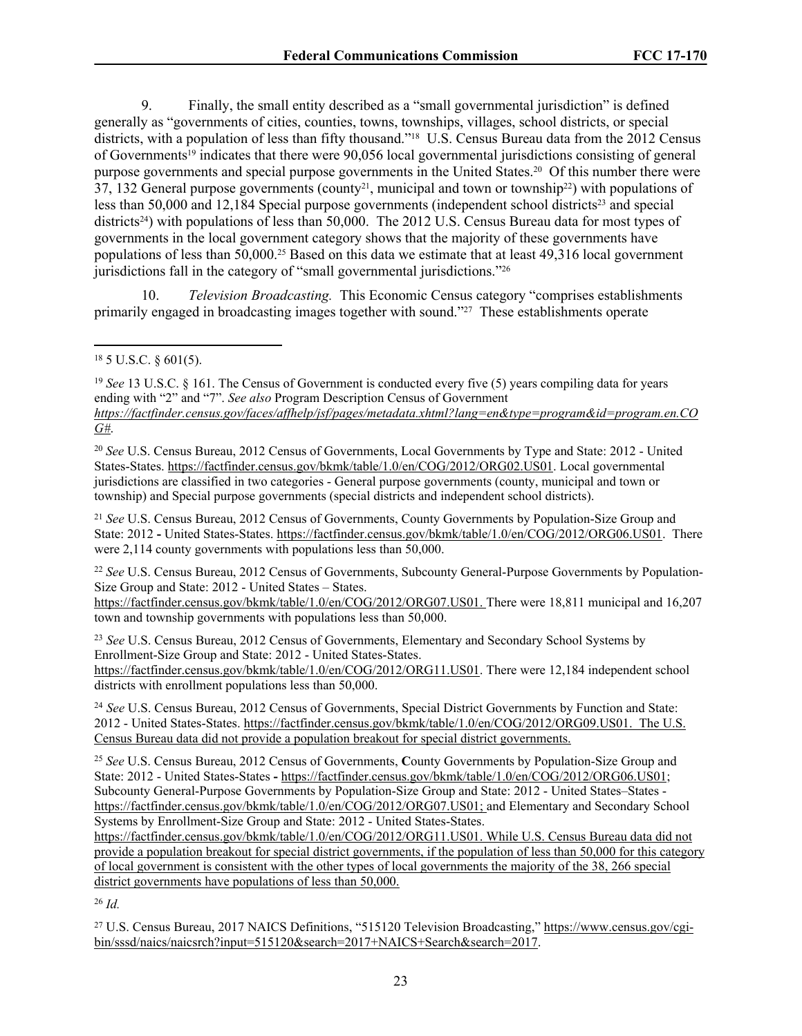9. Finally, the small entity described as a "small governmental jurisdiction" is defined generally as "governments of cities, counties, towns, townships, villages, school districts, or special districts, with a population of less than fifty thousand."18 U.S. Census Bureau data from the 2012 Census of Governments19 indicates that there were 90,056 local governmental jurisdictions consisting of general purpose governments and special purpose governments in the United States.20 Of this number there were  $37, 132$  General purpose governments (county<sup>21</sup>, municipal and town or township<sup>22</sup>) with populations of less than 50,000 and 12,184 Special purpose governments (independent school districts<sup>23</sup> and special districts<sup>24</sup>) with populations of less than 50,000. The 2012 U.S. Census Bureau data for most types of governments in the local government category shows that the majority of these governments have populations of less than 50,000.25 Based on this data we estimate that at least 49,316 local government jurisdictions fall in the category of "small governmental jurisdictions."<sup>26</sup>

10. *Television Broadcasting.* This Economic Census category "comprises establishments primarily engaged in broadcasting images together with sound."27 These establishments operate

<sup>19</sup> *See* 13 U.S.C. § 161. The Census of Government is conducted every five (5) years compiling data for years ending with "2" and "7". *See also* Program Description Census of Government *[https://factfinder.census.gov/faces/affhelp/jsf/pages/metadata.xhtml?lang=en&type=program&id=program.en.CO](https://factfinder.census.gov/faces/affhelp/jsf/pages/metadata.xhtml?lang=en&type=program&id=program.en.COG) [G#](https://factfinder.census.gov/faces/affhelp/jsf/pages/metadata.xhtml?lang=en&type=program&id=program.en.COG)*.

<sup>20</sup> *See* U.S. Census Bureau, 2012 Census of Governments, Local Governments by Type and State: 2012 - United States-States. [https://factfinder.census.gov/bkmk/table/1.0/en/COG/2012/ORG02.US01.](https://factfinder.census.gov/bkmk/table/1.0/en/COG/2012/ORG02.US01) Local governmental jurisdictions are classified in two categories - General purpose governments (county, municipal and town or township) and Special purpose governments (special districts and independent school districts).

<sup>21</sup> *See* U.S. Census Bureau, 2012 Census of Governments, County Governments by Population-Size Group and State: 2012 **-** United States-States. [https://factfinder.census.gov/bkmk/table/1.0/en/COG/2012/ORG06.US01.](https://factfinder.census.gov/bkmk/table/1.0/en/COG/2012/ORG06.US01) There were 2,114 county governments with populations less than 50,000.

<sup>22</sup> *See* U.S. Census Bureau, 2012 Census of Governments, Subcounty General-Purpose Governments by Population-Size Group and State: 2012 - United States – States.

<https://factfinder.census.gov/bkmk/table/1.0/en/COG/2012/ORG07.US01>. There were 18,811 municipal and 16,207 town and township governments with populations less than 50,000.

<sup>23</sup> *See* U.S. Census Bureau, 2012 Census of Governments, Elementary and Secondary School Systems by Enrollment-Size Group and State: 2012 - United States-States. <https://factfinder.census.gov/bkmk/table/1.0/en/COG/2012/ORG11.US01>. There were 12,184 independent school districts with enrollment populations less than 50,000.

<sup>24</sup> *See* U.S. Census Bureau, 2012 Census of Governments, Special District Governments by Function and State: 2012 - United States-States. [https://factfinder.census.gov/bkmk/table/1.0/en/COG/2012/ORG09.US01.](https://factfinder.census.gov/bkmk/table/1.0/en/COG/2012/ORG09.US01) The U.S. Census Bureau data did not provide a population breakout for special district governments.

<sup>25</sup> *See* U.S. Census Bureau, 2012 Census of Governments, **C**ounty Governments by Population-Size Group and State: 2012 - United States-States **-** <https://factfinder.census.gov/bkmk/table/1.0/en/COG/2012/ORG06.US01>; Subcounty General-Purpose Governments by Population-Size Group and State: 2012 - United States–States <https://factfinder.census.gov/bkmk/table/1.0/en/COG/2012/ORG07.US01>; and Elementary and Secondary School Systems by Enrollment-Size Group and State: 2012 - United States-States.

<https://factfinder.census.gov/bkmk/table/1.0/en/COG/2012/ORG11.US01>. While U.S. Census Bureau data did not provide a population breakout for special district governments, if the population of less than 50,000 for this category of local government is consistent with the other types of local governments the majority of the 38, 266 special district governments have populations of less than 50,000.

<sup>26</sup> *Id.*

27 U.S. Census Bureau, 2017 NAICS Definitions, "515120 Television Broadcasting," [https://www.census.gov/cgi](https://www.census.gov/cgi-bin/sssd/naics/naicsrch?input=515120&search=2017+NAICS+Search&search=2017)[bin/sssd/naics/naicsrch?input=515120&search=2017+NAICS+Search&search=2017.](https://www.census.gov/cgi-bin/sssd/naics/naicsrch?input=515120&search=2017+NAICS+Search&search=2017)

<sup>18</sup> 5 U.S.C. § 601(5).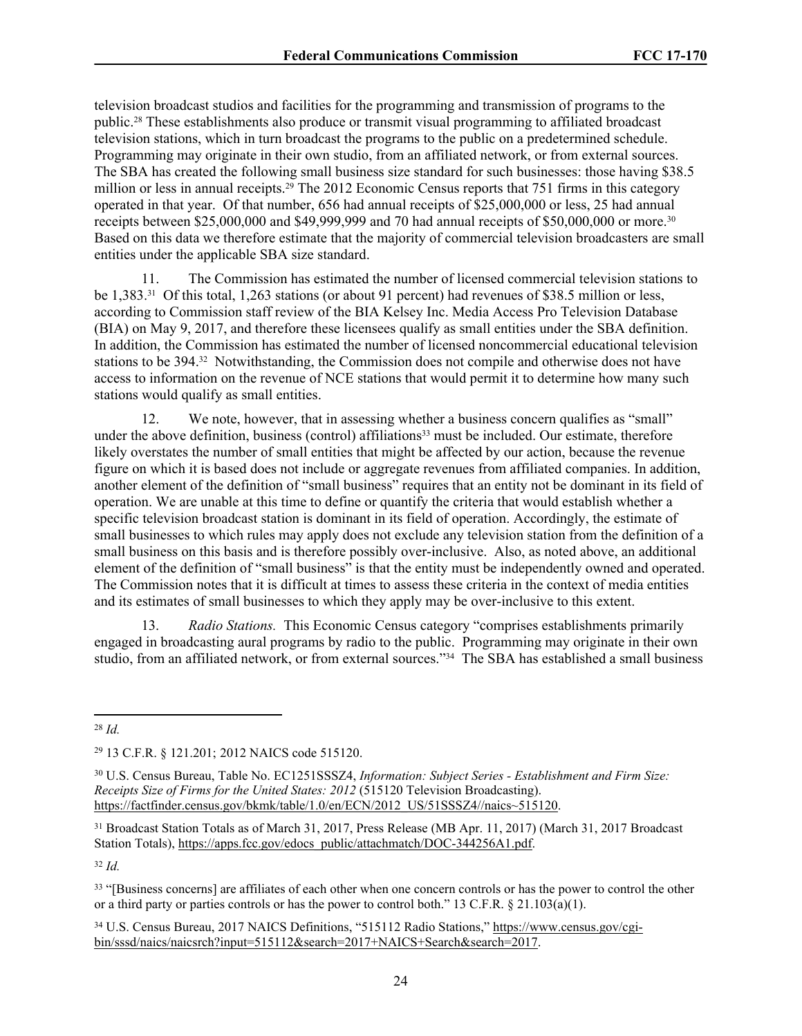television broadcast studios and facilities for the programming and transmission of programs to the public.28 These establishments also produce or transmit visual programming to affiliated broadcast television stations, which in turn broadcast the programs to the public on a predetermined schedule. Programming may originate in their own studio, from an affiliated network, or from external sources. The SBA has created the following small business size standard for such businesses: those having \$38.5 million or less in annual receipts.<sup>29</sup> The 2012 Economic Census reports that 751 firms in this category operated in that year. Of that number, 656 had annual receipts of \$25,000,000 or less, 25 had annual receipts between \$25,000,000 and \$49,999,999 and 70 had annual receipts of \$50,000,000 or more.<sup>30</sup> Based on this data we therefore estimate that the majority of commercial television broadcasters are small entities under the applicable SBA size standard.

11. The Commission has estimated the number of licensed commercial television stations to be 1,383.31 Of this total, 1,263 stations (or about 91 percent) had revenues of \$38.5 million or less, according to Commission staff review of the BIA Kelsey Inc. Media Access Pro Television Database (BIA) on May 9, 2017, and therefore these licensees qualify as small entities under the SBA definition. In addition, the Commission has estimated the number of licensed noncommercial educational television stations to be 394.32 Notwithstanding, the Commission does not compile and otherwise does not have access to information on the revenue of NCE stations that would permit it to determine how many such stations would qualify as small entities.

12. We note, however, that in assessing whether a business concern qualifies as "small" under the above definition, business (control) affiliations<sup>33</sup> must be included. Our estimate, therefore likely overstates the number of small entities that might be affected by our action, because the revenue figure on which it is based does not include or aggregate revenues from affiliated companies. In addition, another element of the definition of "small business" requires that an entity not be dominant in its field of operation. We are unable at this time to define or quantify the criteria that would establish whether a specific television broadcast station is dominant in its field of operation. Accordingly, the estimate of small businesses to which rules may apply does not exclude any television station from the definition of a small business on this basis and is therefore possibly over-inclusive. Also, as noted above, an additional element of the definition of "small business" is that the entity must be independently owned and operated. The Commission notes that it is difficult at times to assess these criteria in the context of media entities and its estimates of small businesses to which they apply may be over-inclusive to this extent.

13. *Radio Stations.* This Economic Census category "comprises establishments primarily engaged in broadcasting aural programs by radio to the public. Programming may originate in their own studio, from an affiliated network, or from external sources."34 The SBA has established a small business

<sup>32</sup> *Id.*

<sup>33</sup> "[Business concerns] are affiliates of each other when one concern controls or has the power to control the other or a third party or parties controls or has the power to control both." 13 C.F.R.  $\S$  21.103(a)(1).

34 U.S. Census Bureau, 2017 NAICS Definitions, "515112 Radio Stations," [https://www.census.gov/cgi](https://www.census.gov/cgi-bin/sssd/naics/naicsrch?input=515112&search=2017+NAICS+Search&search=2017)[bin/sssd/naics/naicsrch?input=515112&search=2017+NAICS+Search&search=2017.](https://www.census.gov/cgi-bin/sssd/naics/naicsrch?input=515112&search=2017+NAICS+Search&search=2017)

<sup>28</sup> *Id.*

<sup>29</sup> 13 C.F.R. § 121.201; 2012 NAICS code 515120.

<sup>30</sup> U.S. Census Bureau, Table No. EC1251SSSZ4, *Information: Subject Series - Establishment and Firm Size: Receipts Size of Firms for the United States: 2012* (515120 Television Broadcasting). [https://factfinder.census.gov/bkmk/table/1.0/en/ECN/2012\\_US/51SSSZ4//naics~515120.](https://factfinder.census.gov/bkmk/table/1.0/en/ECN/2012_US/51SSSZ4//naics~515120)

<sup>31</sup> Broadcast Station Totals as of March 31, 2017, Press Release (MB Apr. 11, 2017) (March 31, 2017 Broadcast Station Totals), [https://apps.fcc.gov/edocs\\_public/attachmatch/DOC-344256A1.pdf](https://apps.fcc.gov/edocs_public/attachmatch/DOC-344256A1.pdf).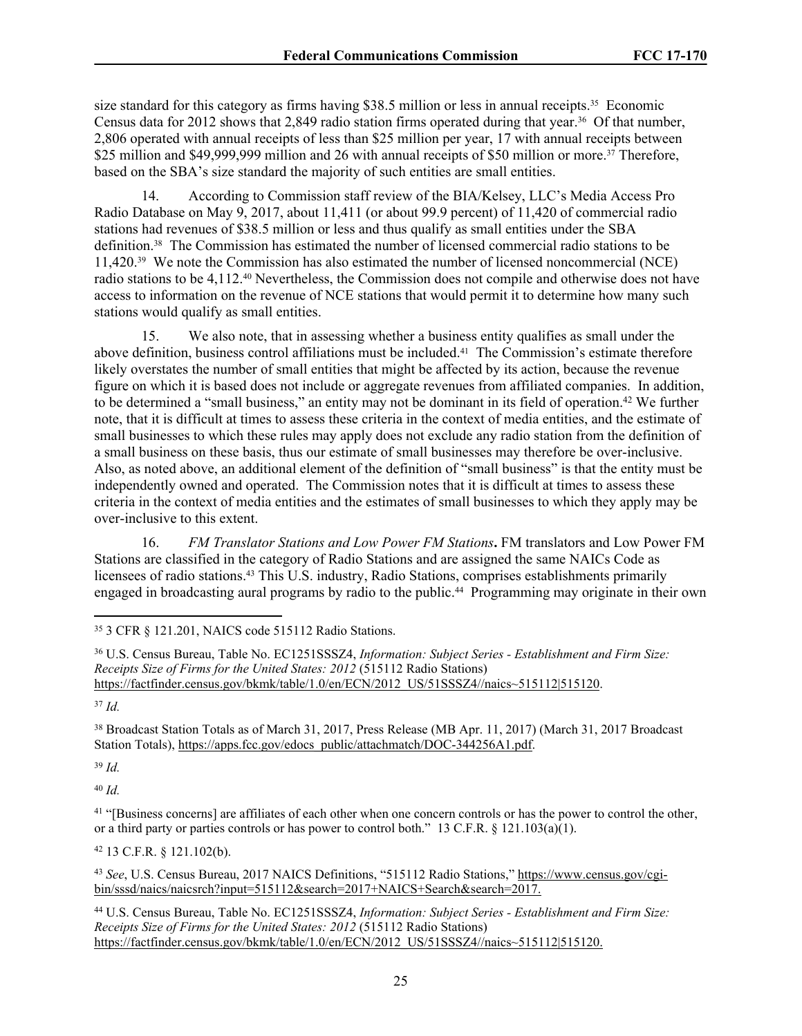size standard for this category as firms having \$38.5 million or less in annual receipts.<sup>35</sup> Economic Census data for 2012 shows that 2,849 radio station firms operated during that year.36 Of that number, 2,806 operated with annual receipts of less than \$25 million per year, 17 with annual receipts between \$25 million and \$49,999,999 million and 26 with annual receipts of \$50 million or more.<sup>37</sup> Therefore, based on the SBA's size standard the majority of such entities are small entities.

14. According to Commission staff review of the BIA/Kelsey, LLC's Media Access Pro Radio Database on May 9, 2017, about 11,411 (or about 99.9 percent) of 11,420 of commercial radio stations had revenues of \$38.5 million or less and thus qualify as small entities under the SBA definition.38 The Commission has estimated the number of licensed commercial radio stations to be 11,420.39 We note the Commission has also estimated the number of licensed noncommercial (NCE) radio stations to be 4,112.40 Nevertheless, the Commission does not compile and otherwise does not have access to information on the revenue of NCE stations that would permit it to determine how many such stations would qualify as small entities.

15. We also note, that in assessing whether a business entity qualifies as small under the above definition, business control affiliations must be included.41 The Commission's estimate therefore likely overstates the number of small entities that might be affected by its action, because the revenue figure on which it is based does not include or aggregate revenues from affiliated companies. In addition, to be determined a "small business," an entity may not be dominant in its field of operation.<sup>42</sup> We further note, that it is difficult at times to assess these criteria in the context of media entities, and the estimate of small businesses to which these rules may apply does not exclude any radio station from the definition of a small business on these basis, thus our estimate of small businesses may therefore be over-inclusive. Also, as noted above, an additional element of the definition of "small business" is that the entity must be independently owned and operated. The Commission notes that it is difficult at times to assess these criteria in the context of media entities and the estimates of small businesses to which they apply may be over-inclusive to this extent.

16. *FM Translator Stations and Low Power FM Stations***.** FM translators and Low Power FM Stations are classified in the category of Radio Stations and are assigned the same NAICs Code as licensees of radio stations.43 This U.S. industry, Radio Stations, comprises establishments primarily engaged in broadcasting aural programs by radio to the public.44 Programming may originate in their own

<sup>37</sup> *Id.*

<sup>38</sup> Broadcast Station Totals as of March 31, 2017, Press Release (MB Apr. 11, 2017) (March 31, 2017 Broadcast Station Totals), [https://apps.fcc.gov/edocs\\_public/attachmatch/DOC-344256A1.pdf](https://apps.fcc.gov/edocs_public/attachmatch/DOC-344256A1.pdf).

<sup>39</sup> *Id.*

<sup>40</sup> *Id.*

<sup>41</sup> "[Business concerns] are affiliates of each other when one concern controls or has the power to control the other, or a third party or parties controls or has power to control both." 13 C.F.R.  $\S$  121.103(a)(1).

<sup>42</sup> 13 C.F.R. § 121.102(b).

<sup>43</sup> *See*, U.S. Census Bureau, 2017 NAICS Definitions, "515112 Radio Stations," [https://www.census.gov/cgi](https://www.census.gov/cgi-bin/sssd/naics/naicsrch?input=515112&search=2017+NAICS+Search&search=2017)[bin/sssd/naics/naicsrch?input=515112&search=2017+NAICS+Search&search=2017.](https://www.census.gov/cgi-bin/sssd/naics/naicsrch?input=515112&search=2017+NAICS+Search&search=2017)

<sup>44</sup> U.S. Census Bureau, Table No. EC1251SSSZ4, *Information: Subject Series - Establishment and Firm Size: Receipts Size of Firms for the United States: 2012* (515112 Radio Stations) [https://factfinder.census.gov/bkmk/table/1.0/en/ECN/2012\\_US/51SSSZ4//naics~515112|515120](https://factfinder.census.gov/bkmk/table/1.0/en/ECN/2012_US/51SSSZ4//naics~515112%7C515120).

<sup>35</sup> 3 CFR § 121.201, NAICS code 515112 Radio Stations.

<sup>36</sup> U.S. Census Bureau, Table No. EC1251SSSZ4, *Information: Subject Series - Establishment and Firm Size: Receipts Size of Firms for the United States: 2012* (515112 Radio Stations) [https://factfinder.census.gov/bkmk/table/1.0/en/ECN/2012\\_US/51SSSZ4//naics~515112|515120](https://factfinder.census.gov/bkmk/table/1.0/en/ECN/2012_US/51SSSZ4//naics~515112%7C515120).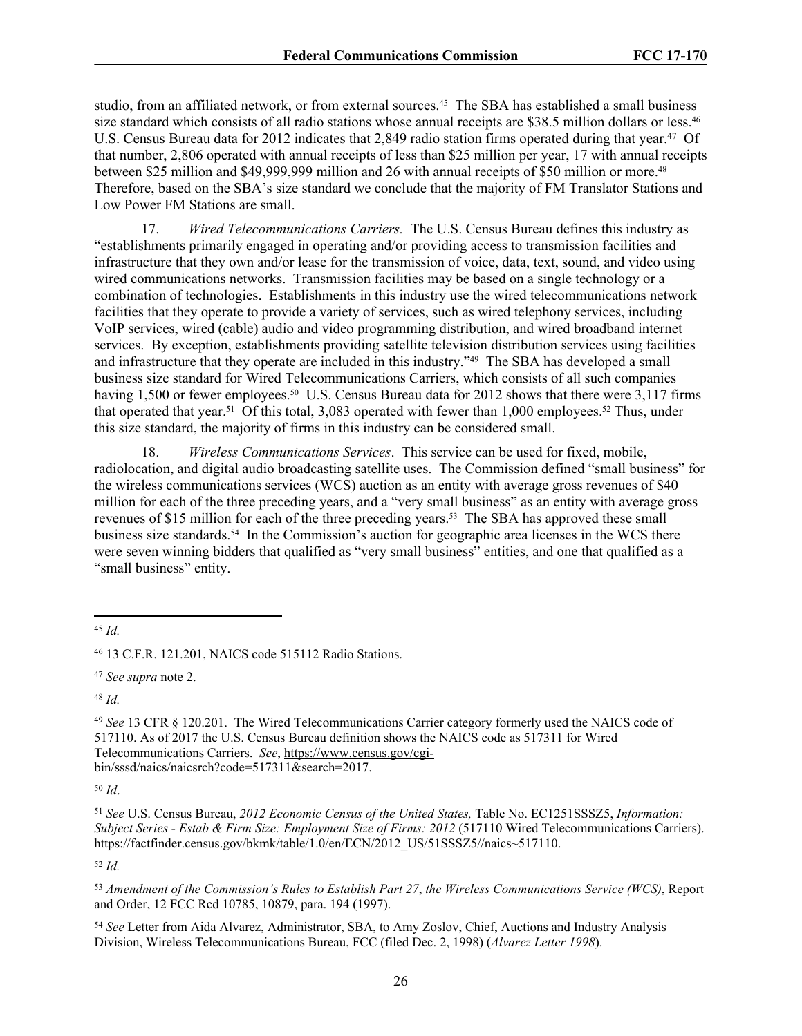studio, from an affiliated network, or from external sources.45 The SBA has established a small business size standard which consists of all radio stations whose annual receipts are \$38.5 million dollars or less.<sup>46</sup> U.S. Census Bureau data for 2012 indicates that 2,849 radio station firms operated during that year.<sup>47</sup> Of that number, 2,806 operated with annual receipts of less than \$25 million per year, 17 with annual receipts between \$25 million and \$49,999,999 million and 26 with annual receipts of \$50 million or more.<sup>48</sup> Therefore, based on the SBA's size standard we conclude that the majority of FM Translator Stations and Low Power FM Stations are small.

17. *Wired Telecommunications Carriers.* The U.S. Census Bureau defines this industry as "establishments primarily engaged in operating and/or providing access to transmission facilities and infrastructure that they own and/or lease for the transmission of voice, data, text, sound, and video using wired communications networks. Transmission facilities may be based on a single technology or a combination of technologies. Establishments in this industry use the wired telecommunications network facilities that they operate to provide a variety of services, such as wired telephony services, including VoIP services, wired (cable) audio and video programming distribution, and wired broadband internet services. By exception, establishments providing satellite television distribution services using facilities and infrastructure that they operate are included in this industry.<sup>249</sup> The SBA has developed a small business size standard for Wired Telecommunications Carriers, which consists of all such companies having 1,500 or fewer employees.<sup>50</sup> U.S. Census Bureau data for 2012 shows that there were 3,117 firms that operated that year.<sup>51</sup> Of this total, 3,083 operated with fewer than 1,000 employees.<sup>52</sup> Thus, under this size standard, the majority of firms in this industry can be considered small.

18. *Wireless Communications Services*. This service can be used for fixed, mobile, radiolocation, and digital audio broadcasting satellite uses. The Commission defined "small business" for the wireless communications services (WCS) auction as an entity with average gross revenues of \$40 million for each of the three preceding years, and a "very small business" as an entity with average gross revenues of \$15 million for each of the three preceding years.<sup>53</sup> The SBA has approved these small business size standards.54 In the Commission's auction for geographic area licenses in the WCS there were seven winning bidders that qualified as "very small business" entities, and one that qualified as a "small business" entity.

<sup>48</sup> *Id.*

<sup>50</sup> *Id*.

<sup>51</sup> *See* U.S. Census Bureau, *2012 Economic Census of the United States,* Table No. EC1251SSSZ5, *Information: Subject Series - Estab & Firm Size: Employment Size of Firms: 2012* (517110 Wired Telecommunications Carriers). [https://factfinder.census.gov/bkmk/table/1.0/en/ECN/2012\\_US/51SSSZ5//naics~517110.](https://factfinder.census.gov/bkmk/table/1.0/en/ECN/2012_US/51SSSZ5//naics~517110)

<sup>52</sup> *Id.*

<sup>53</sup> *Amendment of the Commission's Rules to Establish Part 27*, *the Wireless Communications Service (WCS)*, Report and Order, 12 FCC Rcd 10785, 10879, para. 194 (1997).

<sup>54</sup> *See* Letter from Aida Alvarez, Administrator, SBA, to Amy Zoslov, Chief, Auctions and Industry Analysis Division, Wireless Telecommunications Bureau, FCC (filed Dec. 2, 1998) (*Alvarez Letter 1998*).

<sup>45</sup> *Id.*

<sup>46</sup> 13 C.F.R. 121.201, NAICS code 515112 Radio Stations.

<sup>47</sup> *See supra* note 2.

<sup>49</sup> *See* 13 CFR § 120.201. The Wired Telecommunications Carrier category formerly used the NAICS code of 517110. As of 2017 the U.S. Census Bureau definition shows the NAICS code as 517311 for Wired Telecommunications Carriers. *See*, [https://www.census.gov/cgi](https://www.census.gov/cgi-bin/sssd/naics/naicsrch?code=517311&search=2017)[bin/sssd/naics/naicsrch?code=517311&search=2017.](https://www.census.gov/cgi-bin/sssd/naics/naicsrch?code=517311&search=2017)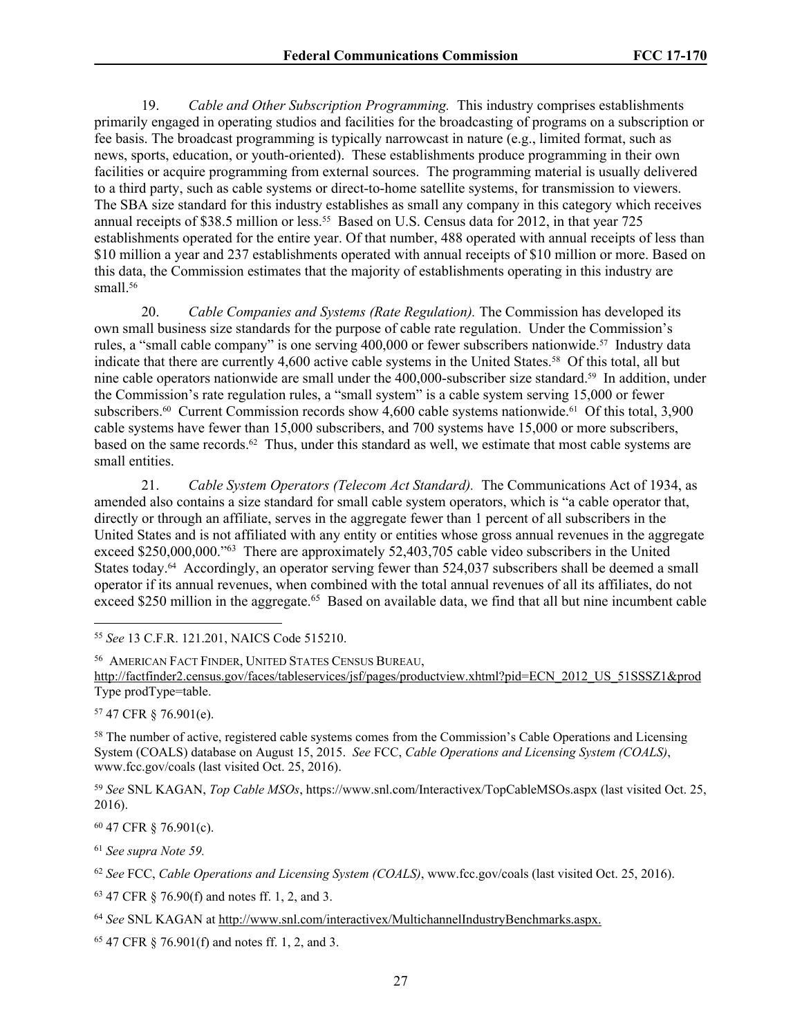19. *Cable and Other Subscription Programming.* This industry comprises establishments primarily engaged in operating studios and facilities for the broadcasting of programs on a subscription or fee basis. The broadcast programming is typically narrowcast in nature (e.g., limited format, such as news, sports, education, or youth-oriented). These establishments produce programming in their own facilities or acquire programming from external sources. The programming material is usually delivered to a third party, such as cable systems or direct-to-home satellite systems, for transmission to viewers. The SBA size standard for this industry establishes as small any company in this category which receives annual receipts of \$38.5 million or less.<sup>55</sup> Based on U.S. Census data for 2012, in that year 725 establishments operated for the entire year. Of that number, 488 operated with annual receipts of less than \$10 million a year and 237 establishments operated with annual receipts of \$10 million or more. Based on this data, the Commission estimates that the majority of establishments operating in this industry are small.<sup>56</sup>

20. *Cable Companies and Systems (Rate Regulation).* The Commission has developed its own small business size standards for the purpose of cable rate regulation. Under the Commission's rules, a "small cable company" is one serving 400,000 or fewer subscribers nationwide.<sup>57</sup> Industry data indicate that there are currently 4,600 active cable systems in the United States.58 Of this total, all but nine cable operators nationwide are small under the 400,000-subscriber size standard.59 In addition, under the Commission's rate regulation rules, a "small system" is a cable system serving 15,000 or fewer subscribers.<sup>60</sup> Current Commission records show 4,600 cable systems nationwide.<sup>61</sup> Of this total, 3,900 cable systems have fewer than 15,000 subscribers, and 700 systems have 15,000 or more subscribers, based on the same records.62 Thus, under this standard as well, we estimate that most cable systems are small entities.

21. *Cable System Operators (Telecom Act Standard).* The Communications Act of 1934, as amended also contains a size standard for small cable system operators, which is "a cable operator that, directly or through an affiliate, serves in the aggregate fewer than 1 percent of all subscribers in the United States and is not affiliated with any entity or entities whose gross annual revenues in the aggregate exceed \$250,000,000."<sup>63</sup> There are approximately 52,403,705 cable video subscribers in the United States today.<sup>64</sup> Accordingly, an operator serving fewer than 524,037 subscribers shall be deemed a small operator if its annual revenues, when combined with the total annual revenues of all its affiliates, do not exceed \$250 million in the aggregate.<sup>65</sup> Based on available data, we find that all but nine incumbent cable

<sup>56</sup> AMERICAN FACT FINDER, UNITED STATES CENSUS BUREAU, [http://factfinder2.census.gov/faces/tableservices/jsf/pages/productview.xhtml?pid=ECN\\_2012\\_US\\_51SSSZ1&prod](http://factfinder2.census.gov/faces/tableservices/jsf/pages/productview.xhtml?pid=ECN_2012_US_51SSSZ1&prod)  Type prodType=table.

<sup>57</sup> 47 CFR § 76.901(e).

<sup>58</sup> The number of active, registered cable systems comes from the Commission's Cable Operations and Licensing System (COALS) database on August 15, 2015. *See* FCC, *Cable Operations and Licensing System (COALS)*, www.fcc.gov/coals (last visited Oct. 25, 2016).

<sup>59</sup> *See* SNL KAGAN, *Top Cable MSOs*, https://www.snl.com/Interactivex/TopCableMSOs.aspx (last visited Oct. 25, 2016).

<sup>60</sup> 47 CFR § 76.901(c).

<sup>61</sup> *See supra Note 59.*

<sup>62</sup> *See* FCC, *Cable Operations and Licensing System (COALS)*, www.fcc.gov/coals (last visited Oct. 25, 2016).

<sup>63</sup> 47 CFR § 76.90(f) and notes ff. 1, 2, and 3.

<sup>64</sup> *See* SNL KAGAN at http://www.snl.com/interactivex/MultichannelIndustryBenchmarks.aspx.

65 47 CFR § 76.901(f) and notes ff. 1, 2, and 3.

<sup>55</sup> *See* 13 C.F.R. 121.201, NAICS Code 515210.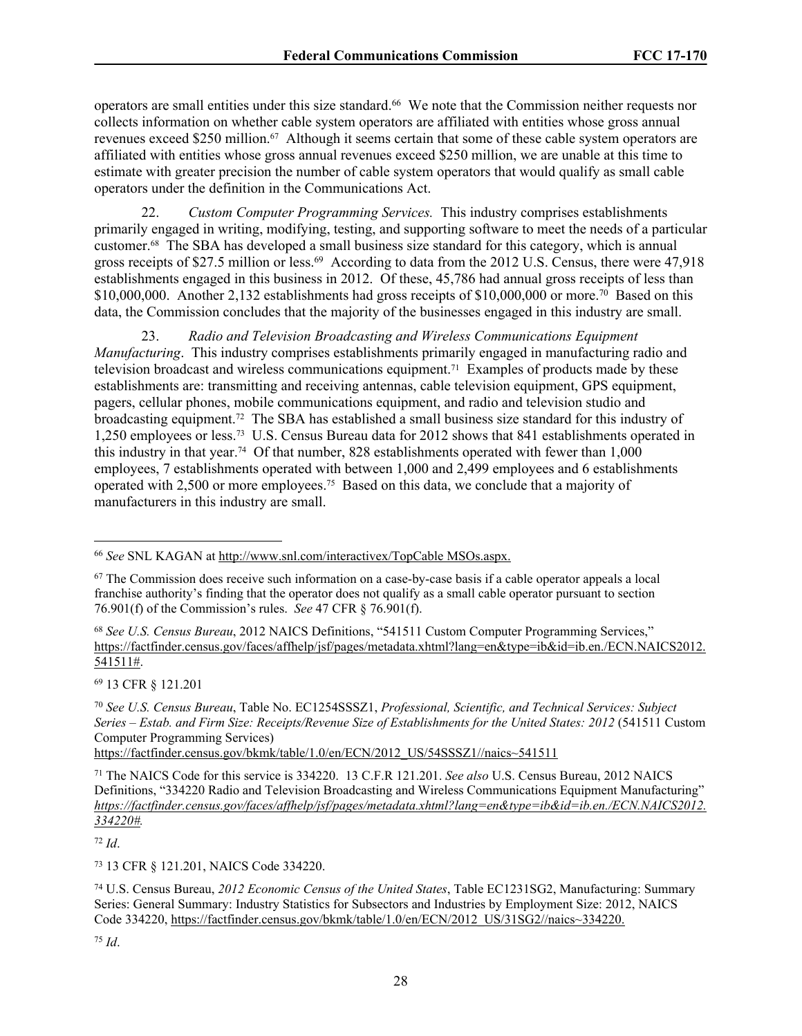operators are small entities under this size standard.<sup>66</sup> We note that the Commission neither requests nor collects information on whether cable system operators are affiliated with entities whose gross annual revenues exceed \$250 million.<sup>67</sup> Although it seems certain that some of these cable system operators are affiliated with entities whose gross annual revenues exceed \$250 million, we are unable at this time to estimate with greater precision the number of cable system operators that would qualify as small cable operators under the definition in the Communications Act.

22. *Custom Computer Programming Services.*This industry comprises establishments primarily engaged in writing, modifying, testing, and supporting software to meet the needs of a particular customer.68 The SBA has developed a small business size standard for this category, which is annual gross receipts of \$27.5 million or less.<sup>69</sup> According to data from the 2012 U.S. Census, there were 47,918 establishments engaged in this business in 2012. Of these, 45,786 had annual gross receipts of less than \$10,000,000. Another 2,132 establishments had gross receipts of  $$10,000,000$  or more.<sup>70</sup> Based on this data, the Commission concludes that the majority of the businesses engaged in this industry are small.

23. *Radio and Television Broadcasting and Wireless Communications Equipment Manufacturing*. This industry comprises establishments primarily engaged in manufacturing radio and television broadcast and wireless communications equipment.71 Examples of products made by these establishments are: transmitting and receiving antennas, cable television equipment, GPS equipment, pagers, cellular phones, mobile communications equipment, and radio and television studio and broadcasting equipment.72 The SBA has established a small business size standard for this industry of 1,250 employees or less.73 U.S. Census Bureau data for 2012 shows that 841 establishments operated in this industry in that year.74 Of that number, 828 establishments operated with fewer than 1,000 employees, 7 establishments operated with between 1,000 and 2,499 employees and 6 establishments operated with 2,500 or more employees.75 Based on this data, we conclude that a majority of manufacturers in this industry are small.

<sup>69</sup> 13 CFR § 121.201

[https://factfinder.census.gov/bkmk/table/1.0/en/ECN/2012\\_US/54SSSZ1//naics~541511](https://factfinder.census.gov/bkmk/table/1.0/en/ECN/2012_US/54SSSZ1//naics~541511)

<sup>72</sup> *Id*.

<sup>73</sup> 13 CFR § 121.201, NAICS Code 334220.

<sup>66</sup> *See* SNL KAGAN at http://[www.snl.com/interactivex/TopCable](http://www.snl.com/interactivex/TopCable) MSOs.aspx.

 $67$  The Commission does receive such information on a case-by-case basis if a cable operator appeals a local franchise authority's finding that the operator does not qualify as a small cable operator pursuant to section 76.901(f) of the Commission's rules. *See* 47 CFR § 76.901(f).

<sup>68</sup> *See U.S. Census Bureau*, 2012 NAICS Definitions, "541511 Custom Computer Programming Services," [https://factfinder.census.gov/faces/affhelp/jsf/pages/metadata.xhtml?lang=en&type=ib&id=ib.en./ECN.NAICS2012.](https://factfinder.census.gov/faces/affhelp/jsf/pages/metadata.xhtml?lang=en&type=ib&id=ib.en./ECN.NAICS2012.541511) [541511#](https://factfinder.census.gov/faces/affhelp/jsf/pages/metadata.xhtml?lang=en&type=ib&id=ib.en./ECN.NAICS2012.541511).

<sup>70</sup> *See U.S. Census Bureau*, Table No. EC1254SSSZ1, *Professional, Scientific, and Technical Services: Subject Series – Estab. and Firm Size: Receipts/Revenue Size of Establishments for the United States: 2012* (541511 Custom Computer Programming Services)

<sup>71</sup> The NAICS Code for this service is 334220. 13 C.F.R 121.201. *See also* U.S. Census Bureau, 2012 NAICS Definitions, "334220 Radio and Television Broadcasting and Wireless Communications Equipment Manufacturing" *[https://factfinder.census.gov/faces/affhelp/jsf/pages/metadata.xhtml?lang=en&type=ib&id=ib.en./ECN.NAICS2012.](https://factfinder.census.gov/faces/affhelp/jsf/pages/metadata.xhtml?lang=en&type=ib&id=ib.en./ECN.NAICS2012.334220) [334220#](https://factfinder.census.gov/faces/affhelp/jsf/pages/metadata.xhtml?lang=en&type=ib&id=ib.en./ECN.NAICS2012.334220).* 

<sup>74</sup> U.S. Census Bureau, *2012 Economic Census of the United States*, Table EC1231SG2, Manufacturing: Summary Series: General Summary: Industry Statistics for Subsectors and Industries by Employment Size: 2012, NAICS Code 334220, [https://factfinder.census.gov/bkmk/table/1.0/en/ECN/2012\\_US/31SG2//naics~334220.](https://factfinder.census.gov/bkmk/table/1.0/en/ECN/2012_US/31SG2//naics~334220)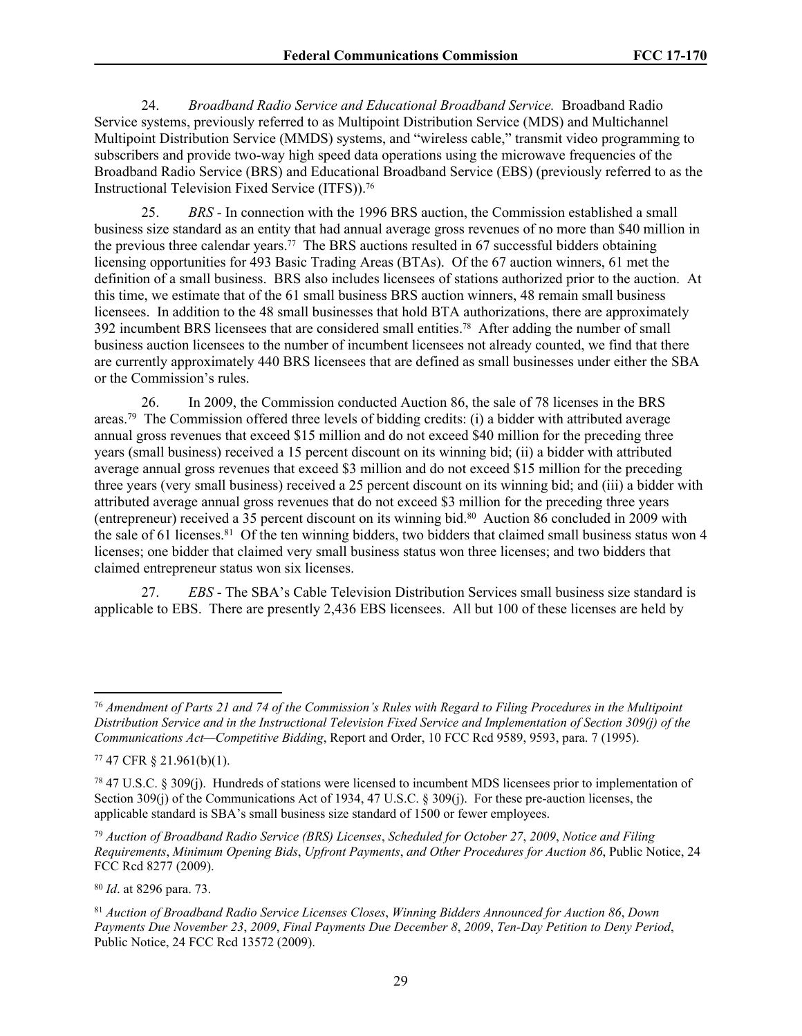24. *Broadband Radio Service and Educational Broadband Service.* Broadband Radio Service systems, previously referred to as Multipoint Distribution Service (MDS) and Multichannel Multipoint Distribution Service (MMDS) systems, and "wireless cable," transmit video programming to subscribers and provide two-way high speed data operations using the microwave frequencies of the Broadband Radio Service (BRS) and Educational Broadband Service (EBS) (previously referred to as the Instructional Television Fixed Service (ITFS)).<sup>76</sup>

25. *BRS -* In connection with the 1996 BRS auction, the Commission established a small business size standard as an entity that had annual average gross revenues of no more than \$40 million in the previous three calendar years.77 The BRS auctions resulted in 67 successful bidders obtaining licensing opportunities for 493 Basic Trading Areas (BTAs). Of the 67 auction winners, 61 met the definition of a small business. BRS also includes licensees of stations authorized prior to the auction. At this time, we estimate that of the 61 small business BRS auction winners, 48 remain small business licensees. In addition to the 48 small businesses that hold BTA authorizations, there are approximately 392 incumbent BRS licensees that are considered small entities.78 After adding the number of small business auction licensees to the number of incumbent licensees not already counted, we find that there are currently approximately 440 BRS licensees that are defined as small businesses under either the SBA or the Commission's rules.

26. In 2009, the Commission conducted Auction 86, the sale of 78 licenses in the BRS areas.<sup>79</sup> The Commission offered three levels of bidding credits: (i) a bidder with attributed average annual gross revenues that exceed \$15 million and do not exceed \$40 million for the preceding three years (small business) received a 15 percent discount on its winning bid; (ii) a bidder with attributed average annual gross revenues that exceed \$3 million and do not exceed \$15 million for the preceding three years (very small business) received a 25 percent discount on its winning bid; and (iii) a bidder with attributed average annual gross revenues that do not exceed \$3 million for the preceding three years (entrepreneur) received a 35 percent discount on its winning bid.<sup>80</sup> Auction 86 concluded in 2009 with the sale of 61 licenses.<sup>81</sup> Of the ten winning bidders, two bidders that claimed small business status won 4 licenses; one bidder that claimed very small business status won three licenses; and two bidders that claimed entrepreneur status won six licenses.

27. *EBS* - The SBA's Cable Television Distribution Services small business size standard is applicable to EBS. There are presently 2,436 EBS licensees. All but 100 of these licenses are held by

<sup>76</sup> *Amendment of Parts 21 and 74 of the Commission's Rules with Regard to Filing Procedures in the Multipoint Distribution Service and in the Instructional Television Fixed Service and Implementation of Section 309(j) of the Communications Act—Competitive Bidding*, Report and Order, 10 FCC Rcd 9589, 9593, para. 7 (1995).

<sup>77</sup> 47 CFR § 21.961(b)(1).

<sup>78</sup> 47 U.S.C. § 309(j). Hundreds of stations were licensed to incumbent MDS licensees prior to implementation of Section 309(j) of the Communications Act of 1934, 47 U.S.C. § 309(j). For these pre-auction licenses, the applicable standard is SBA's small business size standard of 1500 or fewer employees.

<sup>79</sup> *Auction of Broadband Radio Service (BRS) Licenses*, *Scheduled for October 27*, *2009*, *Notice and Filing Requirements*, *Minimum Opening Bids*, *Upfront Payments*, *and Other Procedures for Auction 86*, Public Notice, 24 FCC Rcd 8277 (2009).

<sup>80</sup> *Id*. at 8296 para. 73.

<sup>81</sup> *Auction of Broadband Radio Service Licenses Closes*, *Winning Bidders Announced for Auction 86*, *Down Payments Due November 23*, *2009*, *Final Payments Due December 8*, *2009*, *Ten-Day Petition to Deny Period*, Public Notice, 24 FCC Rcd 13572 (2009).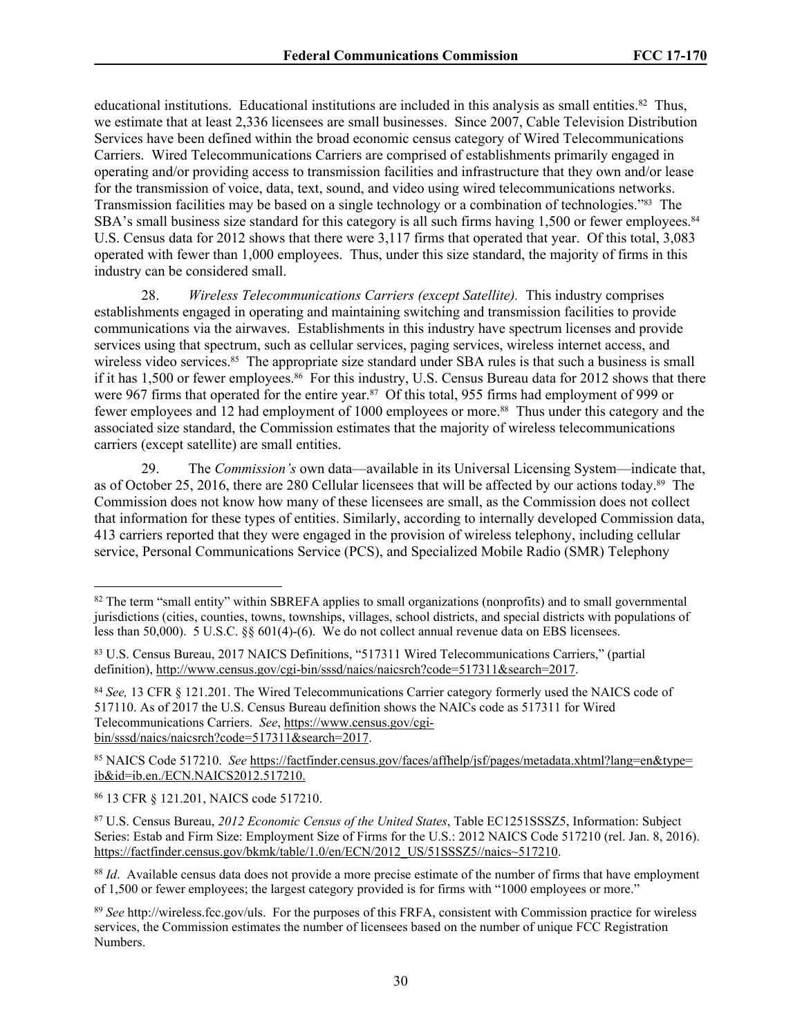educational institutions. Educational institutions are included in this analysis as small entities.<sup>82</sup> Thus, we estimate that at least 2,336 licensees are small businesses. Since 2007, Cable Television Distribution Services have been defined within the broad economic census category of Wired Telecommunications Carriers. Wired Telecommunications Carriers are comprised of establishments primarily engaged in operating and/or providing access to transmission facilities and infrastructure that they own and/or lease for the transmission of voice, data, text, sound, and video using wired telecommunications networks. Transmission facilities may be based on a single technology or a combination of technologies."83 The SBA's small business size standard for this category is all such firms having 1,500 or fewer employees.<sup>84</sup> U.S. Census data for 2012 shows that there were 3,117 firms that operated that year. Of this total, 3,083 operated with fewer than 1,000 employees. Thus, under this size standard, the majority of firms in this industry can be considered small.

28. *Wireless Telecommunications Carriers (except Satellite).* This industry comprises establishments engaged in operating and maintaining switching and transmission facilities to provide communications via the airwaves. Establishments in this industry have spectrum licenses and provide services using that spectrum, such as cellular services, paging services, wireless internet access, and wireless video services.<sup>85</sup> The appropriate size standard under SBA rules is that such a business is small if it has 1,500 or fewer employees.<sup>86</sup> For this industry, U.S. Census Bureau data for 2012 shows that there were 967 firms that operated for the entire year.<sup>87</sup> Of this total, 955 firms had employment of 999 or fewer employees and 12 had employment of 1000 employees or more.88 Thus under this category and the associated size standard, the Commission estimates that the majority of wireless telecommunications carriers (except satellite) are small entities.

29. The *Commission's* own data—available in its Universal Licensing System—indicate that, as of October 25, 2016, there are 280 Cellular licensees that will be affected by our actions today.89 The Commission does not know how many of these licensees are small, as the Commission does not collect that information for these types of entities. Similarly, according to internally developed Commission data, 413 carriers reported that they were engaged in the provision of wireless telephony, including cellular service, Personal Communications Service (PCS), and Specialized Mobile Radio (SMR) Telephony

85 NAICS Code 517210. *See* [https://factfinder.census.gov/faces/affhelp/jsf/pages/metadata.xhtml?lang=en&type=](https://factfinder.census.gov/faces/affhelp/jsf/pages/metadata.xhtml?lang=en&type=ib&id=ib.en./ECN.NAICS2012.517210) [ib&id=ib.en./ECN.NAICS2012.517210.](https://factfinder.census.gov/faces/affhelp/jsf/pages/metadata.xhtml?lang=en&type=ib&id=ib.en./ECN.NAICS2012.517210)

<sup>86</sup> 13 CFR § 121.201, NAICS code 517210.

<sup>82</sup> The term "small entity" within SBREFA applies to small organizations (nonprofits) and to small governmental jurisdictions (cities, counties, towns, townships, villages, school districts, and special districts with populations of less than 50,000). 5 U.S.C. §§ 601(4)-(6). We do not collect annual revenue data on EBS licensees.

<sup>83</sup> U.S. Census Bureau, 2017 NAICS Definitions, "517311 Wired Telecommunications Carriers," (partial definition),<http://www.census.gov/cgi-bin/sssd/naics/naicsrch?code=517311&search=201>7.

<sup>84</sup> *See,* 13 CFR § 121.201. The Wired Telecommunications Carrier category formerly used the NAICS code of 517110. As of 2017 the U.S. Census Bureau definition shows the NAICs code as 517311 for Wired Telecommunications Carriers. *See*, [https://www.census.gov/cgi](https://www.census.gov/cgi-bin/sssd/naics/naicsrch?code=517311&search=2017)[bin/sssd/naics/naicsrch?code=517311&search=2017.](https://www.census.gov/cgi-bin/sssd/naics/naicsrch?code=517311&search=2017)

<sup>87</sup> U.S. Census Bureau, *2012 Economic Census of the United States*, Table EC1251SSSZ5, Information: Subject Series: Estab and Firm Size: Employment Size of Firms for the U.S.: 2012 NAICS Code 517210 (rel. Jan. 8, 2016). [https://factfinder.census.gov/bkmk/table/1.0/en/ECN/2012\\_US/51SSSZ5//naics~517210.](https://factfinder.census.gov/bkmk/table/1.0/en/ECN/2012_US/51SSSZ5//naics~517210)

<sup>88</sup> *Id*. Available census data does not provide a more precise estimate of the number of firms that have employment of 1,500 or fewer employees; the largest category provided is for firms with "1000 employees or more."

<sup>89</sup> *See* http://wireless.fcc.gov/uls. For the purposes of this FRFA, consistent with Commission practice for wireless services, the Commission estimates the number of licensees based on the number of unique FCC Registration Numbers.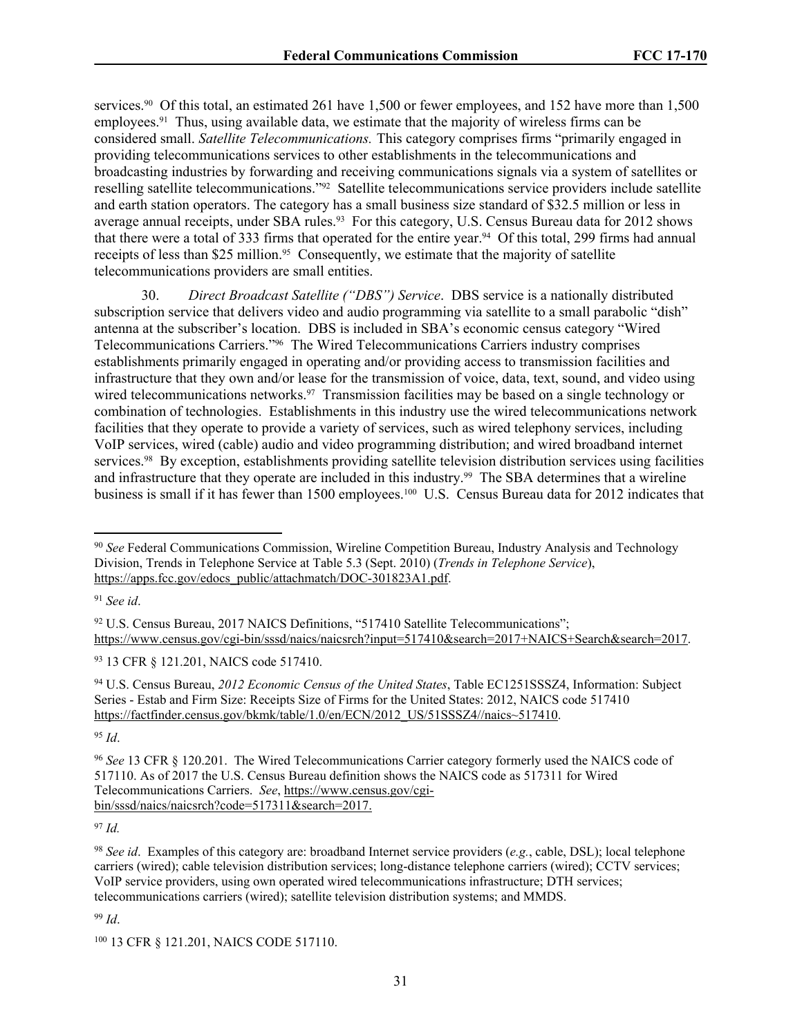services.<sup>90</sup> Of this total, an estimated 261 have 1,500 or fewer employees, and 152 have more than 1,500 employees.<sup>91</sup> Thus, using available data, we estimate that the majority of wireless firms can be considered small. *Satellite Telecommunications.* This category comprises firms "primarily engaged in providing telecommunications services to other establishments in the telecommunications and broadcasting industries by forwarding and receiving communications signals via a system of satellites or reselling satellite telecommunications."92 Satellite telecommunications service providers include satellite and earth station operators. The category has a small business size standard of \$32.5 million or less in average annual receipts, under SBA rules.<sup>93</sup> For this category, U.S. Census Bureau data for 2012 shows that there were a total of 333 firms that operated for the entire year.94 Of this total, 299 firms had annual receipts of less than \$25 million.<sup>95</sup> Consequently, we estimate that the majority of satellite telecommunications providers are small entities.

30. *Direct Broadcast Satellite ("DBS") Service*. DBS service is a nationally distributed subscription service that delivers video and audio programming via satellite to a small parabolic "dish" antenna at the subscriber's location. DBS is included in SBA's economic census category "Wired Telecommunications Carriers."96 The Wired Telecommunications Carriers industry comprises establishments primarily engaged in operating and/or providing access to transmission facilities and infrastructure that they own and/or lease for the transmission of voice, data, text, sound, and video using wired telecommunications networks.<sup>97</sup> Transmission facilities may be based on a single technology or combination of technologies. Establishments in this industry use the wired telecommunications network facilities that they operate to provide a variety of services, such as wired telephony services, including VoIP services, wired (cable) audio and video programming distribution; and wired broadband internet services.<sup>98</sup> By exception, establishments providing satellite television distribution services using facilities and infrastructure that they operate are included in this industry.<sup>99</sup> The SBA determines that a wireline business is small if it has fewer than 1500 employees.<sup>100</sup> U.S. Census Bureau data for 2012 indicates that

<sup>91</sup> *See id*.

<sup>93</sup> 13 CFR § 121.201, NAICS code 517410.

<sup>94</sup> U.S. Census Bureau, *2012 Economic Census of the United States*, Table EC1251SSSZ4, Information: Subject Series - Estab and Firm Size: Receipts Size of Firms for the United States: 2012, NAICS code 517410 [https://factfinder.census.gov/bkmk/table/1.0/en/ECN/2012\\_US/51SSSZ4//naics~517410.](https://factfinder.census.gov/bkmk/table/1.0/en/ECN/2012_US/51SSSZ4//naics~517410)

<sup>95</sup> *Id*.

<sup>97</sup> *Id.*

<sup>99</sup> *Id*.

<sup>90</sup> *See* Federal Communications Commission, Wireline Competition Bureau, Industry Analysis and Technology Division, Trends in Telephone Service at Table 5.3 (Sept. 2010) (*Trends in Telephone Service*), [https://apps.fcc.gov/edocs\\_public/attachmatch/DOC-301823A1.pdf](https://apps.fcc.gov/edocs_public/attachmatch/DOC-301823A1.pdf).

<sup>&</sup>lt;sup>92</sup> U.S. Census Bureau, 2017 NAICS Definitions, "517410 Satellite Telecommunications"; <https://www.census.gov/cgi-bin/sssd/naics/naicsrch?input=517410&search=2017+NAICS+Search&search=2017>.

<sup>96</sup> *See* 13 CFR § 120.201. The Wired Telecommunications Carrier category formerly used the NAICS code of 517110. As of 2017 the U.S. Census Bureau definition shows the NAICS code as 517311 for Wired Telecommunications Carriers. *See*, [https://www.census.gov/cgi](https://www.census.gov/cgi-bin/sssd/naics/naicsrch?code=517311&search=2017)[bin/sssd/naics/naicsrch?code=517311&search=2017.](https://www.census.gov/cgi-bin/sssd/naics/naicsrch?code=517311&search=2017)

<sup>98</sup> *See id*. Examples of this category are: broadband Internet service providers (*e.g.*, cable, DSL); local telephone carriers (wired); cable television distribution services; long-distance telephone carriers (wired); CCTV services; VoIP service providers, using own operated wired telecommunications infrastructure; DTH services; telecommunications carriers (wired); satellite television distribution systems; and MMDS.

<sup>100</sup> 13 CFR § 121.201, NAICS CODE 517110.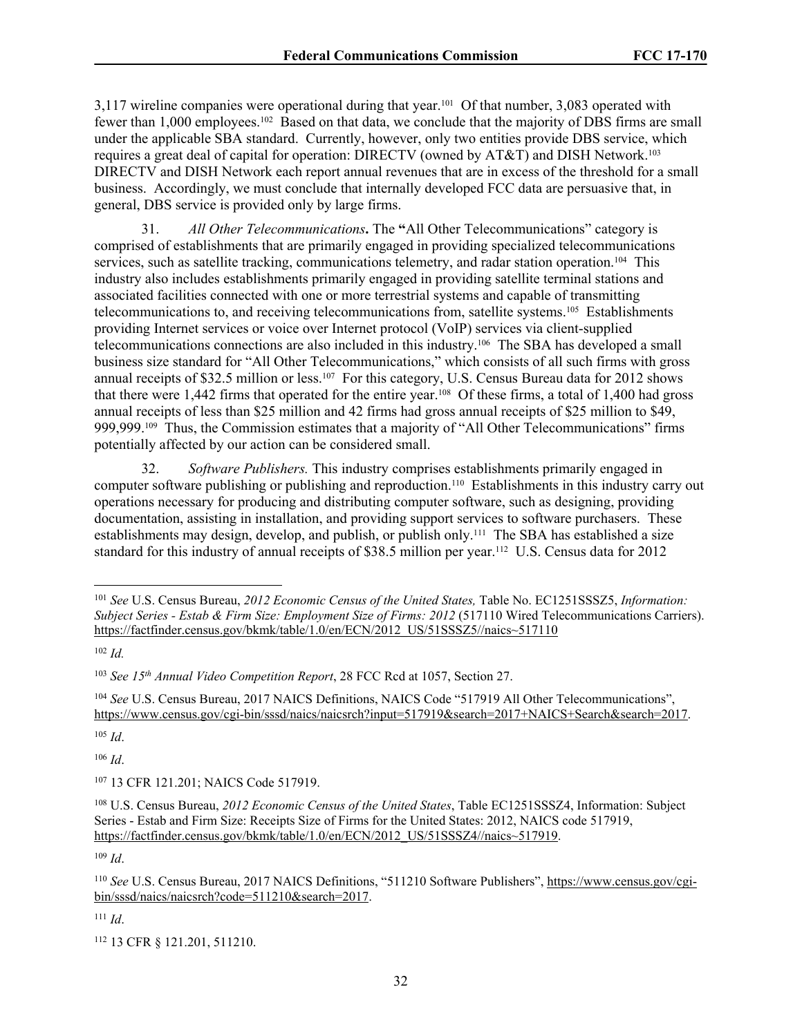3,117 wireline companies were operational during that year.101 Of that number, 3,083 operated with fewer than 1,000 employees.102 Based on that data, we conclude that the majority of DBS firms are small under the applicable SBA standard. Currently, however, only two entities provide DBS service, which requires a great deal of capital for operation: DIRECTV (owned by AT&T) and DISH Network.<sup>103</sup> DIRECTV and DISH Network each report annual revenues that are in excess of the threshold for a small business. Accordingly, we must conclude that internally developed FCC data are persuasive that, in general, DBS service is provided only by large firms.

31. *All Other Telecommunications***.** The **"**All Other Telecommunications" category is comprised of establishments that are primarily engaged in providing specialized telecommunications services, such as satellite tracking, communications telemetry, and radar station operation.<sup>104</sup> This industry also includes establishments primarily engaged in providing satellite terminal stations and associated facilities connected with one or more terrestrial systems and capable of transmitting telecommunications to, and receiving telecommunications from, satellite systems.105 Establishments providing Internet services or voice over Internet protocol (VoIP) services via client-supplied telecommunications connections are also included in this industry.106 The SBA has developed a small business size standard for "All Other Telecommunications," which consists of all such firms with gross annual receipts of \$32.5 million or less.107 For this category, U.S. Census Bureau data for 2012 shows that there were 1,442 firms that operated for the entire year.108 Of these firms, a total of 1,400 had gross annual receipts of less than \$25 million and 42 firms had gross annual receipts of \$25 million to \$49, 999,999.109 Thus, the Commission estimates that a majority of "All Other Telecommunications" firms potentially affected by our action can be considered small.

32. *Software Publishers.* This industry comprises establishments primarily engaged in computer software publishing or publishing and reproduction.110 Establishments in this industry carry out operations necessary for producing and distributing computer software, such as designing, providing documentation, assisting in installation, and providing support services to software purchasers. These establishments may design, develop, and publish, or publish only.111 The SBA has established a size standard for this industry of annual receipts of \$38.5 million per year.112 U.S. Census data for 2012

<sup>105</sup> *Id*.

<sup>106</sup> *Id*.

<sup>107</sup> 13 CFR 121.201; NAICS Code 517919.

<sup>109</sup> *Id*.

<sup>111</sup> *Id*.

<sup>101</sup> *See* U.S. Census Bureau, *2012 Economic Census of the United States,* Table No. EC1251SSSZ5, *Information: Subject Series - Estab & Firm Size: Employment Size of Firms: 2012* (517110 Wired Telecommunications Carriers). [https://factfinder.census.gov/bkmk/table/1.0/en/ECN/2012\\_US/51SSSZ5//naics~517110](https://factfinder.census.gov/bkmk/table/1.0/en/ECN/2012_US/51SSSZ5//naics~517110)

<sup>102</sup> *Id.*

<sup>103</sup> *See 15th Annual Video Competition Report*, 28 FCC Rcd at 1057, Section 27.

<sup>104</sup> *See* U.S. Census Bureau, 2017 NAICS Definitions, NAICS Code "517919 All Other Telecommunications", <https://www.census.gov/cgi-bin/sssd/naics/naicsrch?input=517919&search=2017+NAICS+Search&search=2017>.

<sup>108</sup> U.S. Census Bureau, *2012 Economic Census of the United States*, Table EC1251SSSZ4, Information: Subject Series - Estab and Firm Size: Receipts Size of Firms for the United States: 2012, NAICS code 517919, [https://factfinder.census.gov/bkmk/table/1.0/en/ECN/2012\\_US/51SSSZ4//naics~517919.](https://factfinder.census.gov/bkmk/table/1.0/en/ECN/2012_US/51SSSZ4//naics~517919)

<sup>110</sup> *See* U.S. Census Bureau, 2017 NAICS Definitions, "511210 Software Publishers", [https://www.census.gov/cgi](https://www.census.gov/cgi-bin/sssd/naics/naicsrch?code=511210&search=2017)[bin/sssd/naics/naicsrch?code=511210&search=2017.](https://www.census.gov/cgi-bin/sssd/naics/naicsrch?code=511210&search=2017)

<sup>112</sup> 13 CFR § 121.201, 511210.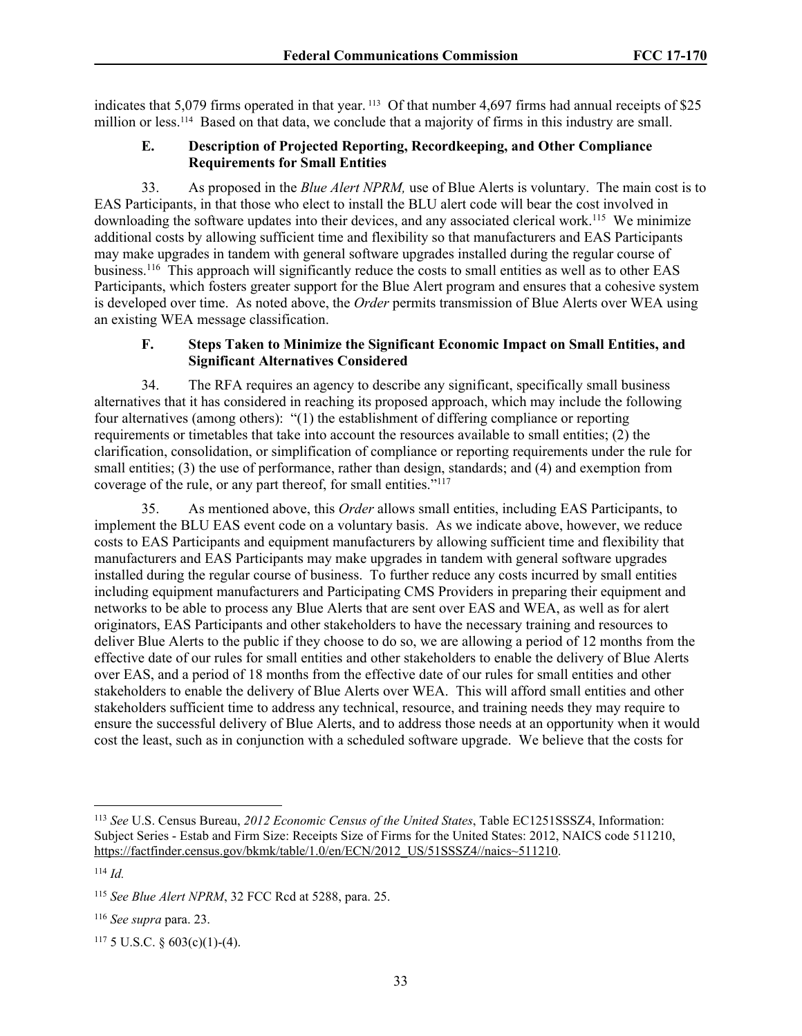indicates that 5,079 firms operated in that year. 113 Of that number 4,697 firms had annual receipts of \$25 million or less.114 Based on that data, we conclude that a majority of firms in this industry are small.

#### **E. Description of Projected Reporting, Recordkeeping, and Other Compliance Requirements for Small Entities**

33. As proposed in the *Blue Alert NPRM,* use of Blue Alerts is voluntary. The main cost is to EAS Participants, in that those who elect to install the BLU alert code will bear the cost involved in downloading the software updates into their devices, and any associated clerical work.<sup>115</sup> We minimize additional costs by allowing sufficient time and flexibility so that manufacturers and EAS Participants may make upgrades in tandem with general software upgrades installed during the regular course of business.<sup>116</sup> This approach will significantly reduce the costs to small entities as well as to other EAS Participants, which fosters greater support for the Blue Alert program and ensures that a cohesive system is developed over time. As noted above, the *Order* permits transmission of Blue Alerts over WEA using an existing WEA message classification.

#### **F. Steps Taken to Minimize the Significant Economic Impact on Small Entities, and Significant Alternatives Considered**

34. The RFA requires an agency to describe any significant, specifically small business alternatives that it has considered in reaching its proposed approach, which may include the following four alternatives (among others): "(1) the establishment of differing compliance or reporting requirements or timetables that take into account the resources available to small entities; (2) the clarification, consolidation, or simplification of compliance or reporting requirements under the rule for small entities; (3) the use of performance, rather than design, standards; and (4) and exemption from coverage of the rule, or any part thereof, for small entities."<sup>117</sup>

35. As mentioned above, this *Order* allows small entities, including EAS Participants, to implement the BLU EAS event code on a voluntary basis. As we indicate above, however, we reduce costs to EAS Participants and equipment manufacturers by allowing sufficient time and flexibility that manufacturers and EAS Participants may make upgrades in tandem with general software upgrades installed during the regular course of business. To further reduce any costs incurred by small entities including equipment manufacturers and Participating CMS Providers in preparing their equipment and networks to be able to process any Blue Alerts that are sent over EAS and WEA, as well as for alert originators, EAS Participants and other stakeholders to have the necessary training and resources to deliver Blue Alerts to the public if they choose to do so, we are allowing a period of 12 months from the effective date of our rules for small entities and other stakeholders to enable the delivery of Blue Alerts over EAS, and a period of 18 months from the effective date of our rules for small entities and other stakeholders to enable the delivery of Blue Alerts over WEA. This will afford small entities and other stakeholders sufficient time to address any technical, resource, and training needs they may require to ensure the successful delivery of Blue Alerts, and to address those needs at an opportunity when it would cost the least, such as in conjunction with a scheduled software upgrade. We believe that the costs for

<sup>113</sup> *See* U.S. Census Bureau, *2012 Economic Census of the United States*, Table EC1251SSSZ4, Information: Subject Series - Estab and Firm Size: Receipts Size of Firms for the United States: 2012, NAICS code 511210, [https://factfinder.census.gov/bkmk/table/1.0/en/ECN/2012\\_US/51SSSZ4//naics~511210.](https://factfinder.census.gov/bkmk/table/1.0/en/ECN/2012_US/51SSSZ4//naics~511210)

<sup>114</sup> *Id.*

<sup>115</sup> *See Blue Alert NPRM*, 32 FCC Rcd at 5288, para. 25.

<sup>116</sup> *See supra* para. 23.

 $1175$  U.S.C. § 603(c)(1)-(4).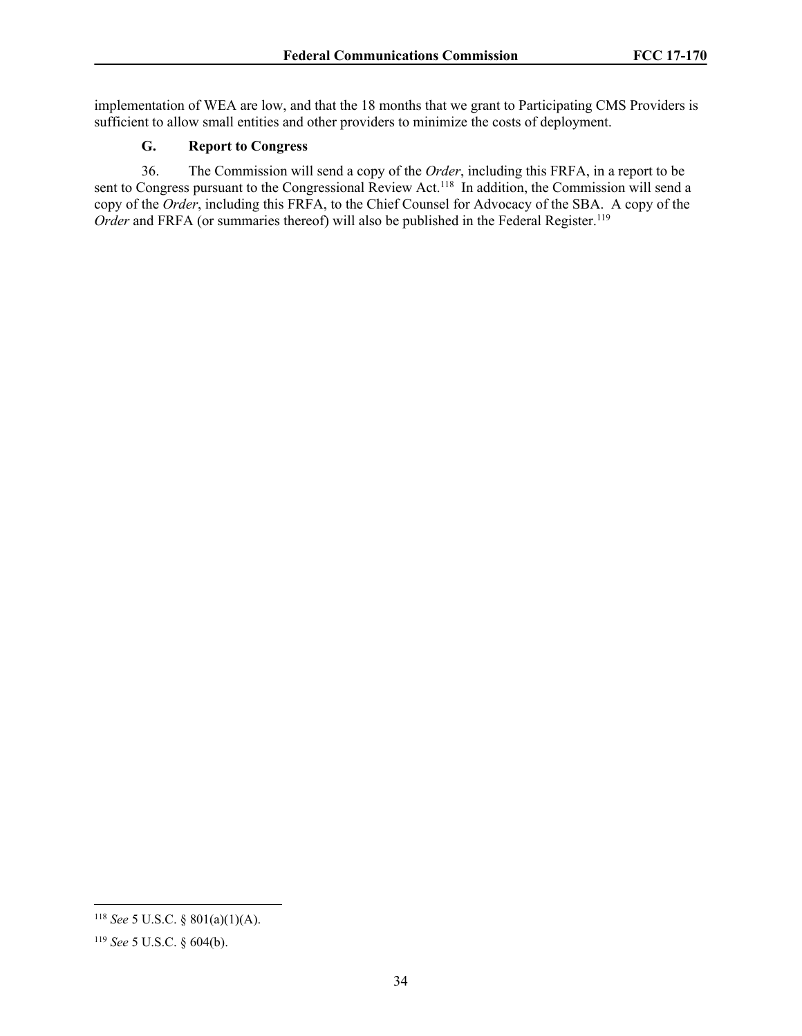implementation of WEA are low, and that the 18 months that we grant to Participating CMS Providers is sufficient to allow small entities and other providers to minimize the costs of deployment.

# **G. Report to Congress**

36. The Commission will send a copy of the *Order*, including this FRFA, in a report to be sent to Congress pursuant to the Congressional Review Act.<sup>118</sup> In addition, the Commission will send a copy of the *Order*, including this FRFA, to the Chief Counsel for Advocacy of the SBA. A copy of the *Order* and FRFA (or summaries thereof) will also be published in the Federal Register.<sup>119</sup>

<sup>118</sup> *See* 5 U.S.C. § 801(a)(1)(A).

<sup>119</sup> *See* 5 U.S.C. § 604(b).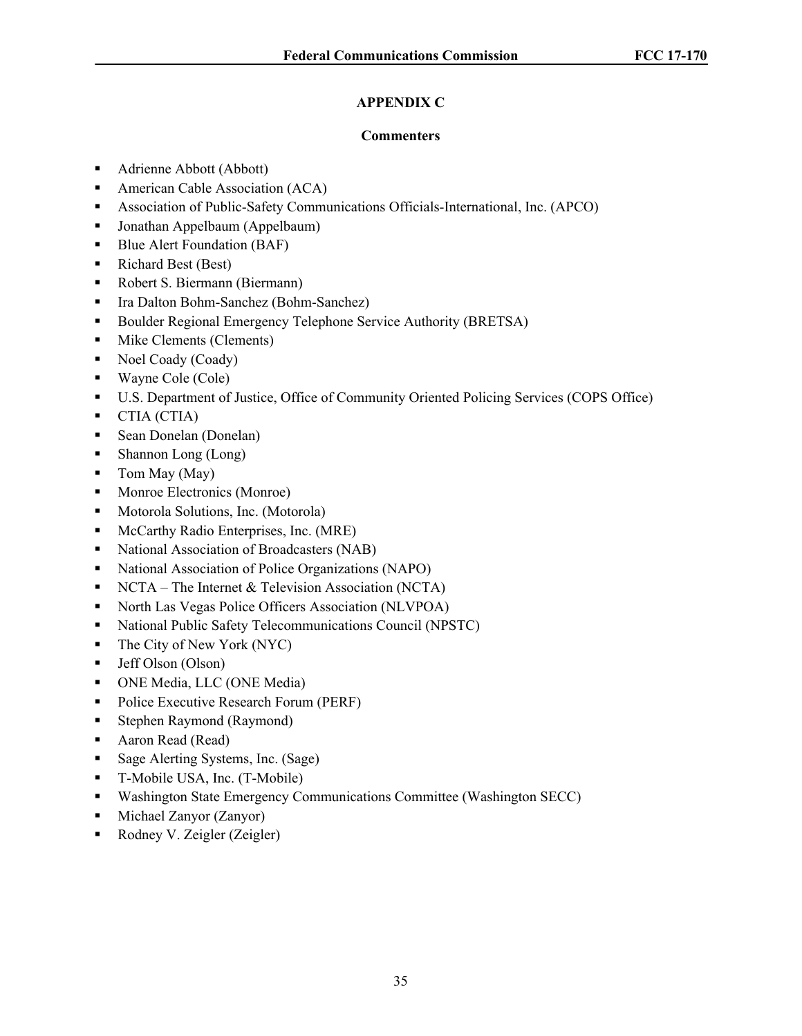# **APPENDIX C**

## **Commenters**

- Adrienne Abbott (Abbott)
- **American Cable Association (ACA)**
- Association of Public-Safety Communications Officials-International, Inc. (APCO)
- Jonathan Appelbaum (Appelbaum)
- Blue Alert Foundation (BAF)
- Richard Best (Best)
- Robert S. Biermann (Biermann)
- Ira Dalton Bohm-Sanchez (Bohm-Sanchez)
- Boulder Regional Emergency Telephone Service Authority (BRETSA)
- **Mike Clements (Clements)**
- Noel Coady (Coady)
- Wayne Cole (Cole)
- U.S. Department of Justice, Office of Community Oriented Policing Services (COPS Office)
- CTIA (CTIA)
- Sean Donelan (Donelan)
- Shannon Long (Long)
- $\blacksquare$  Tom May (May)
- Monroe Electronics (Monroe)
- **Motorola Solutions, Inc. (Motorola)**
- **McCarthy Radio Enterprises, Inc. (MRE)**
- National Association of Broadcasters (NAB)
- National Association of Police Organizations (NAPO)
- NCTA The Internet  $&$  Television Association (NCTA)
- North Las Vegas Police Officers Association (NLVPOA)
- National Public Safety Telecommunications Council (NPSTC)
- $\blacksquare$  The City of New York (NYC)
- Jeff Olson (Olson)
- ONE Media, LLC (ONE Media)
- Police Executive Research Forum (PERF)
- Stephen Raymond (Raymond)
- Aaron Read (Read)
- Sage Alerting Systems, Inc. (Sage)
- T-Mobile USA, Inc. (T-Mobile)
- Washington State Emergency Communications Committee (Washington SECC)
- Michael Zanyor (Zanyor)
- Rodney V. Zeigler (Zeigler)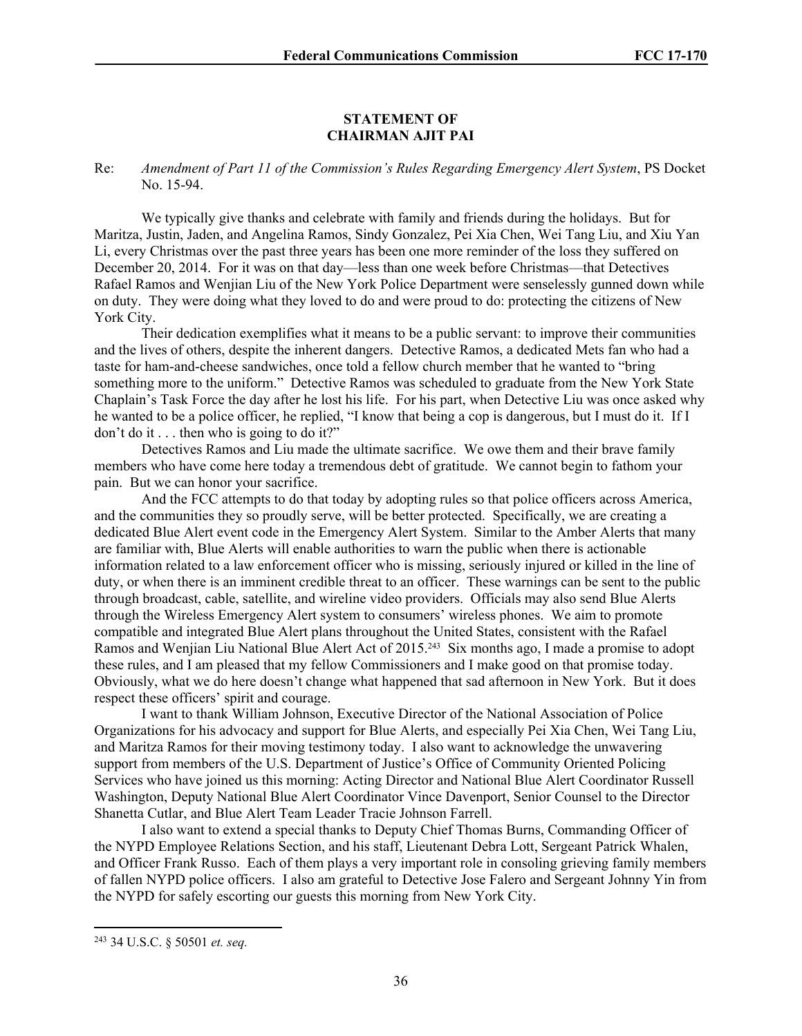#### **STATEMENT OF CHAIRMAN AJIT PAI**

Re: *Amendment of Part 11 of the Commission's Rules Regarding Emergency Alert System*, PS Docket No. 15-94.

We typically give thanks and celebrate with family and friends during the holidays. But for Maritza, Justin, Jaden, and Angelina Ramos, Sindy Gonzalez, Pei Xia Chen, Wei Tang Liu, and Xiu Yan Li, every Christmas over the past three years has been one more reminder of the loss they suffered on December 20, 2014. For it was on that day—less than one week before Christmas—that Detectives Rafael Ramos and Wenjian Liu of the New York Police Department were senselessly gunned down while on duty. They were doing what they loved to do and were proud to do: protecting the citizens of New York City.

Their dedication exemplifies what it means to be a public servant: to improve their communities and the lives of others, despite the inherent dangers. Detective Ramos, a dedicated Mets fan who had a taste for ham-and-cheese sandwiches, once told a fellow church member that he wanted to "bring something more to the uniform." Detective Ramos was scheduled to graduate from the New York State Chaplain's Task Force the day after he lost his life. For his part, when Detective Liu was once asked why he wanted to be a police officer, he replied, "I know that being a cop is dangerous, but I must do it. If I don't do it . . . then who is going to do it?"

Detectives Ramos and Liu made the ultimate sacrifice. We owe them and their brave family members who have come here today a tremendous debt of gratitude. We cannot begin to fathom your pain. But we can honor your sacrifice.

And the FCC attempts to do that today by adopting rules so that police officers across America, and the communities they so proudly serve, will be better protected. Specifically, we are creating a dedicated Blue Alert event code in the Emergency Alert System. Similar to the Amber Alerts that many are familiar with, Blue Alerts will enable authorities to warn the public when there is actionable information related to a law enforcement officer who is missing, seriously injured or killed in the line of duty, or when there is an imminent credible threat to an officer. These warnings can be sent to the public through broadcast, cable, satellite, and wireline video providers. Officials may also send Blue Alerts through the Wireless Emergency Alert system to consumers' wireless phones. We aim to promote compatible and integrated Blue Alert plans throughout the United States, consistent with the Rafael Ramos and Wenjian Liu National Blue Alert Act of 2015.243 Six months ago, I made a promise to adopt these rules, and I am pleased that my fellow Commissioners and I make good on that promise today. Obviously, what we do here doesn't change what happened that sad afternoon in New York. But it does respect these officers' spirit and courage.

I want to thank William Johnson, Executive Director of the National Association of Police Organizations for his advocacy and support for Blue Alerts, and especially Pei Xia Chen, Wei Tang Liu, and Maritza Ramos for their moving testimony today. I also want to acknowledge the unwavering support from members of the U.S. Department of Justice's Office of Community Oriented Policing Services who have joined us this morning: Acting Director and National Blue Alert Coordinator Russell Washington, Deputy National Blue Alert Coordinator Vince Davenport, Senior Counsel to the Director Shanetta Cutlar, and Blue Alert Team Leader Tracie Johnson Farrell.

I also want to extend a special thanks to Deputy Chief Thomas Burns, Commanding Officer of the NYPD Employee Relations Section, and his staff, Lieutenant Debra Lott, Sergeant Patrick Whalen, and Officer Frank Russo. Each of them plays a very important role in consoling grieving family members of fallen NYPD police officers. I also am grateful to Detective Jose Falero and Sergeant Johnny Yin from the NYPD for safely escorting our guests this morning from New York City.

<sup>243</sup> 34 U.S.C. § 50501 *et. seq.*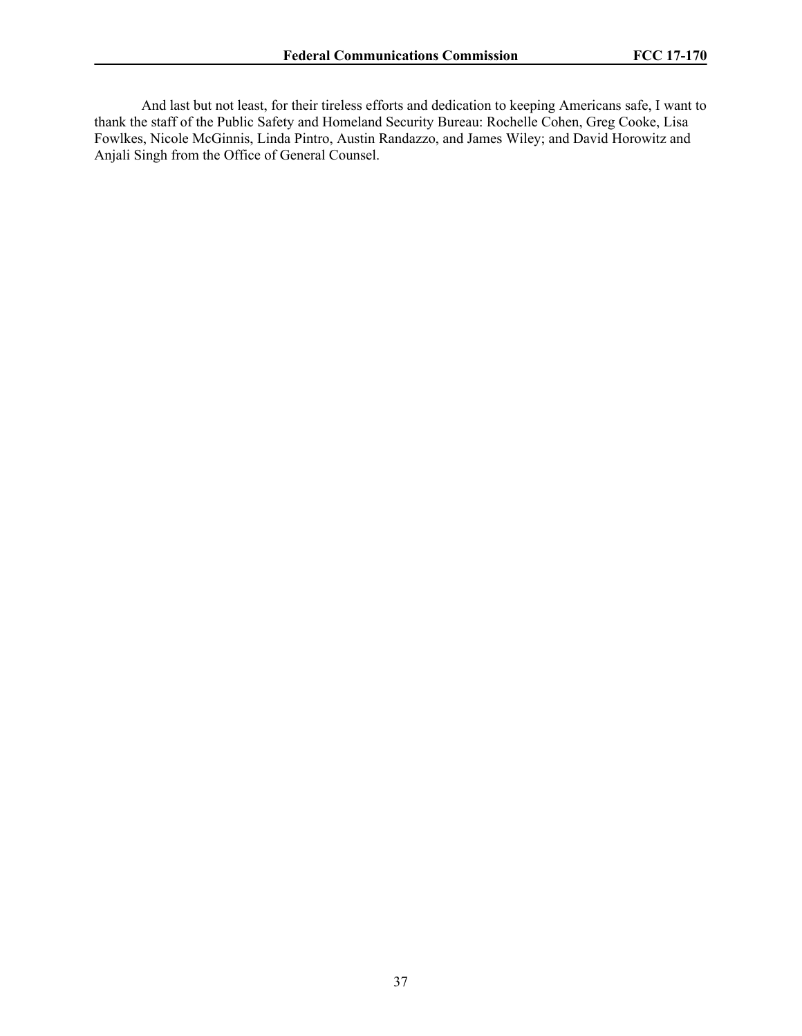And last but not least, for their tireless efforts and dedication to keeping Americans safe, I want to thank the staff of the Public Safety and Homeland Security Bureau: Rochelle Cohen, Greg Cooke, Lisa Fowlkes, Nicole McGinnis, Linda Pintro, Austin Randazzo, and James Wiley; and David Horowitz and Anjali Singh from the Office of General Counsel.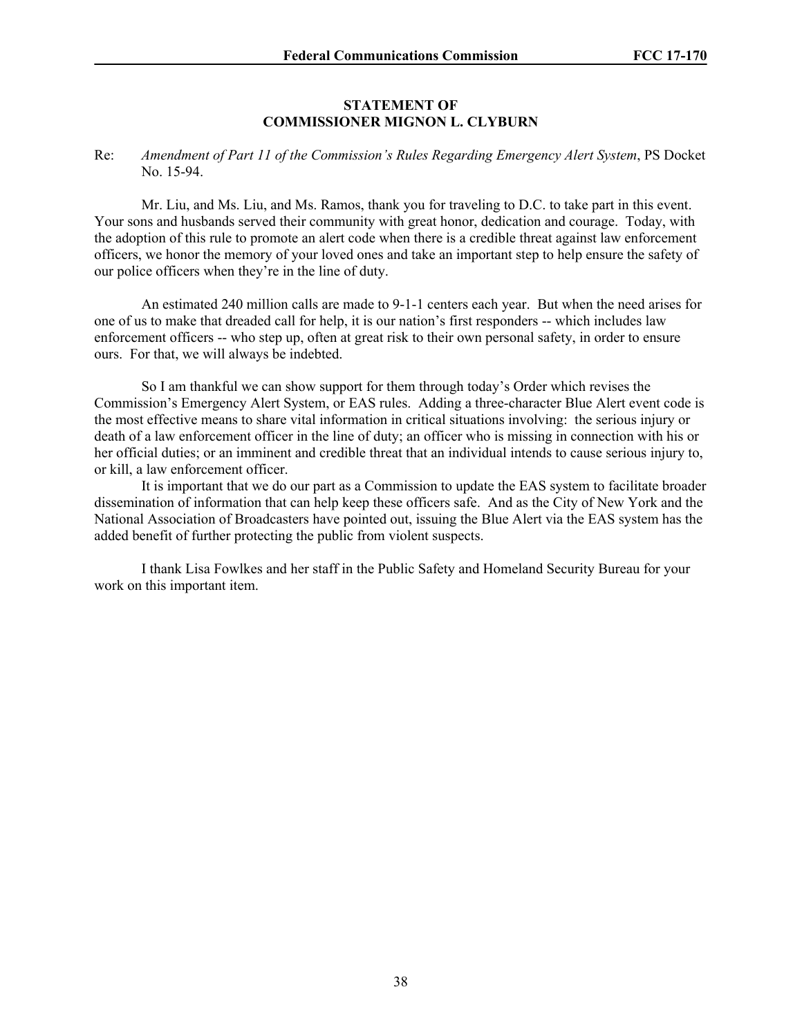#### **STATEMENT OF COMMISSIONER MIGNON L. CLYBURN**

#### Re: *Amendment of Part 11 of the Commission's Rules Regarding Emergency Alert System*, PS Docket No. 15-94.

Mr. Liu, and Ms. Liu, and Ms. Ramos, thank you for traveling to D.C. to take part in this event. Your sons and husbands served their community with great honor, dedication and courage. Today, with the adoption of this rule to promote an alert code when there is a credible threat against law enforcement officers, we honor the memory of your loved ones and take an important step to help ensure the safety of our police officers when they're in the line of duty.

An estimated 240 million calls are made to 9-1-1 centers each year. But when the need arises for one of us to make that dreaded call for help, it is our nation's first responders -- which includes law enforcement officers -- who step up, often at great risk to their own personal safety, in order to ensure ours. For that, we will always be indebted.

So I am thankful we can show support for them through today's Order which revises the Commission's Emergency Alert System, or EAS rules. Adding a three-character Blue Alert event code is the most effective means to share vital information in critical situations involving: the serious injury or death of a law enforcement officer in the line of duty; an officer who is missing in connection with his or her official duties; or an imminent and credible threat that an individual intends to cause serious injury to, or kill, a law enforcement officer.

It is important that we do our part as a Commission to update the EAS system to facilitate broader dissemination of information that can help keep these officers safe. And as the City of New York and the National Association of Broadcasters have pointed out, issuing the Blue Alert via the EAS system has the added benefit of further protecting the public from violent suspects.

I thank Lisa Fowlkes and her staff in the Public Safety and Homeland Security Bureau for your work on this important item.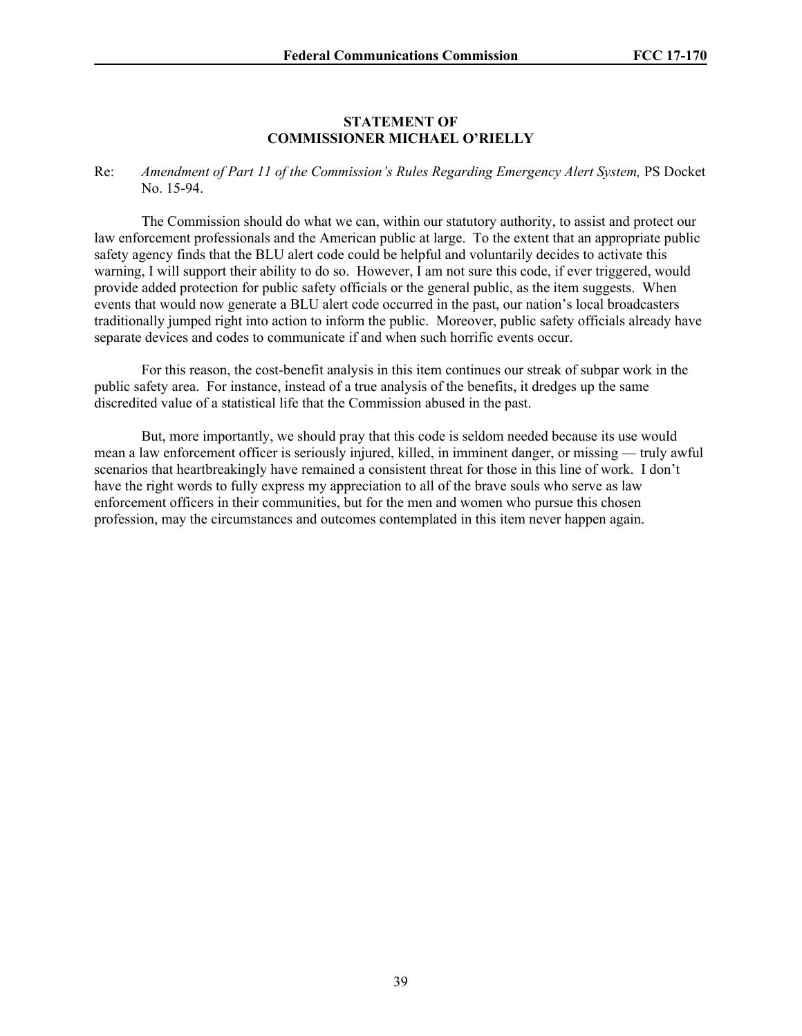#### **STATEMENT OF COMMISSIONER MICHAEL O'RIELLY**

Re: *Amendment of Part 11 of the Commission's Rules Regarding Emergency Alert System, PS Docket* No. 15-94.

The Commission should do what we can, within our statutory authority, to assist and protect our law enforcement professionals and the American public at large. To the extent that an appropriate public safety agency finds that the BLU alert code could be helpful and voluntarily decides to activate this warning, I will support their ability to do so. However, I am not sure this code, if ever triggered, would provide added protection for public safety officials or the general public, as the item suggests. When events that would now generate a BLU alert code occurred in the past, our nation's local broadcasters traditionally jumped right into action to inform the public. Moreover, public safety officials already have separate devices and codes to communicate if and when such horrific events occur.

For this reason, the cost-benefit analysis in this item continues our streak of subpar work in the public safety area. For instance, instead of a true analysis of the benefits, it dredges up the same discredited value of a statistical life that the Commission abused in the past.

But, more importantly, we should pray that this code is seldom needed because its use would mean a law enforcement officer is seriously injured, killed, in imminent danger, or missing — truly awful scenarios that heartbreakingly have remained a consistent threat for those in this line of work. I don't have the right words to fully express my appreciation to all of the brave souls who serve as law enforcement officers in their communities, but for the men and women who pursue this chosen profession, may the circumstances and outcomes contemplated in this item never happen again.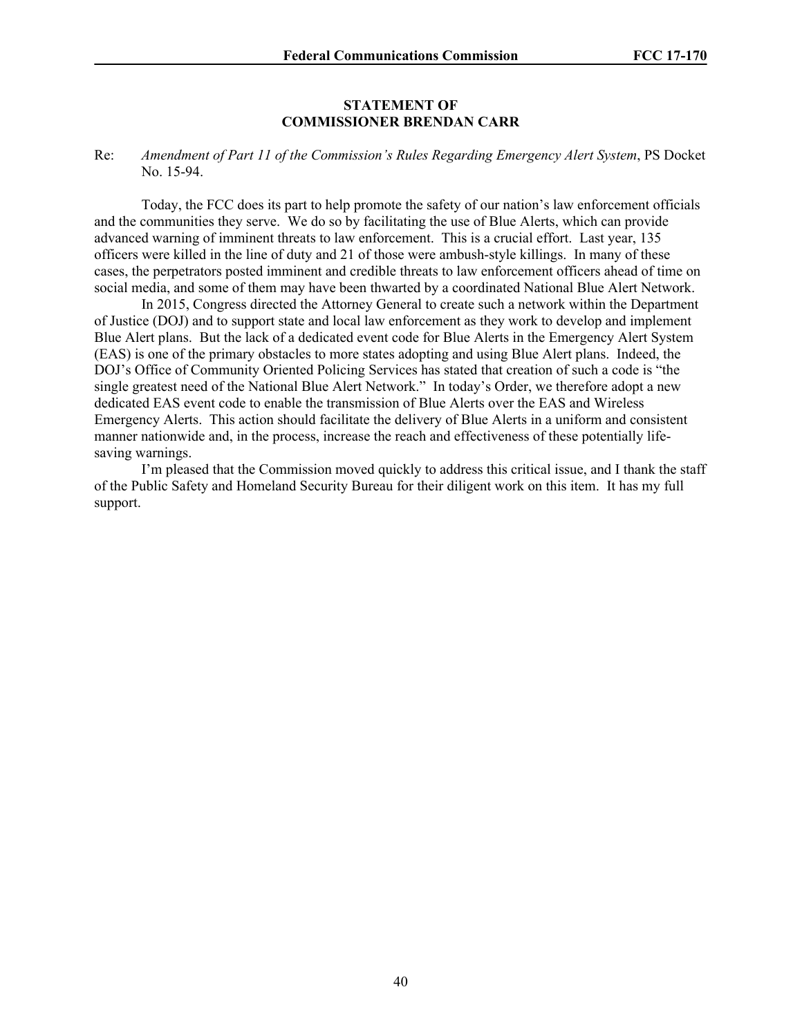#### **STATEMENT OF COMMISSIONER BRENDAN CARR**

#### Re: *Amendment of Part 11 of the Commission's Rules Regarding Emergency Alert System*, PS Docket No. 15-94.

Today, the FCC does its part to help promote the safety of our nation's law enforcement officials and the communities they serve. We do so by facilitating the use of Blue Alerts, which can provide advanced warning of imminent threats to law enforcement. This is a crucial effort. Last year, 135 officers were killed in the line of duty and 21 of those were ambush-style killings. In many of these cases, the perpetrators posted imminent and credible threats to law enforcement officers ahead of time on social media, and some of them may have been thwarted by a coordinated National Blue Alert Network.

In 2015, Congress directed the Attorney General to create such a network within the Department of Justice (DOJ) and to support state and local law enforcement as they work to develop and implement Blue Alert plans. But the lack of a dedicated event code for Blue Alerts in the Emergency Alert System (EAS) is one of the primary obstacles to more states adopting and using Blue Alert plans. Indeed, the DOJ's Office of Community Oriented Policing Services has stated that creation of such a code is "the single greatest need of the National Blue Alert Network." In today's Order, we therefore adopt a new dedicated EAS event code to enable the transmission of Blue Alerts over the EAS and Wireless Emergency Alerts. This action should facilitate the delivery of Blue Alerts in a uniform and consistent manner nationwide and, in the process, increase the reach and effectiveness of these potentially lifesaving warnings.

I'm pleased that the Commission moved quickly to address this critical issue, and I thank the staff of the Public Safety and Homeland Security Bureau for their diligent work on this item. It has my full support.